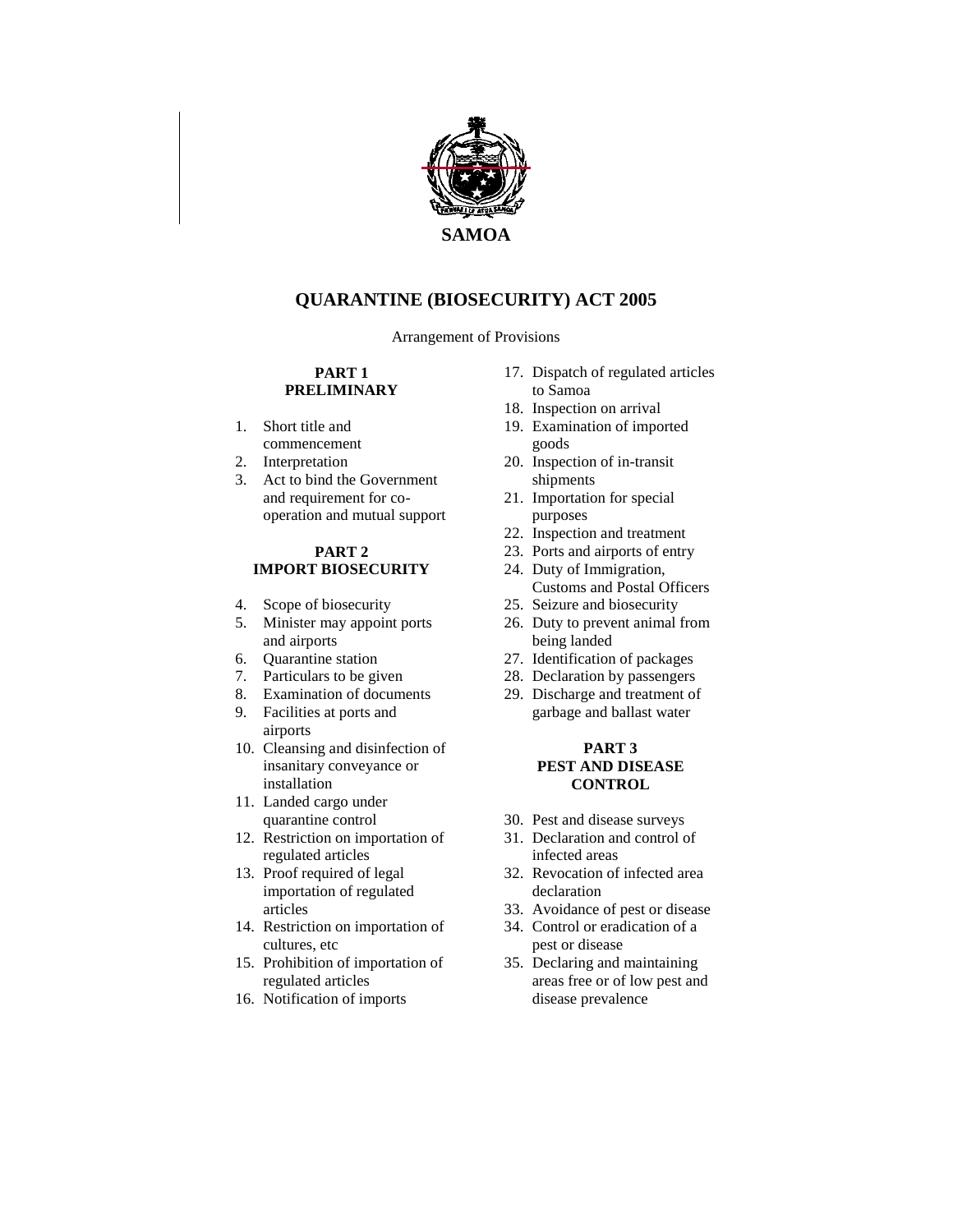

# **QUARANTINE (BIOSECURITY) ACT 2005**

Arrangement of Provisions

#### **PART 1 PRELIMINARY**

- 1. Short title and commencement
- 2. Interpretation
- 3. Act to bind the Government and requirement for cooperation and mutual support

#### **PART 2 IMPORT BIOSECURITY**

- 4. Scope of biosecurity
- 5. Minister may appoint ports and airports
- 6. Quarantine station
- 7. Particulars to be given
- 8. Examination of documents
- 9. Facilities at ports and airports
- 10. Cleansing and disinfection of insanitary conveyance or installation
- 11. Landed cargo under quarantine control
- 12. Restriction on importation of regulated articles
- 13. Proof required of legal importation of regulated articles
- 14. Restriction on importation of cultures, etc
- 15. Prohibition of importation of regulated articles
- 16. Notification of imports
- 17. Dispatch of regulated articles to Samoa
- 18. Inspection on arrival
- 19. Examination of imported goods
- 20. Inspection of in-transit shipments
- 21. Importation for special purposes
- 22. Inspection and treatment
- 23. Ports and airports of entry
- 24. Duty of Immigration, Customs and Postal Officers
- 25. Seizure and biosecurity
- 26. Duty to prevent animal from being landed
- 27. Identification of packages
- 28. Declaration by passengers
- 29. Discharge and treatment of garbage and ballast water

#### **PART 3 PEST AND DISEASE CONTROL**

- 30. Pest and disease surveys
- 31. Declaration and control of infected areas
- 32. Revocation of infected area declaration
- 33. Avoidance of pest or disease
- 34. Control or eradication of a pest or disease
- 35. Declaring and maintaining areas free or of low pest and disease prevalence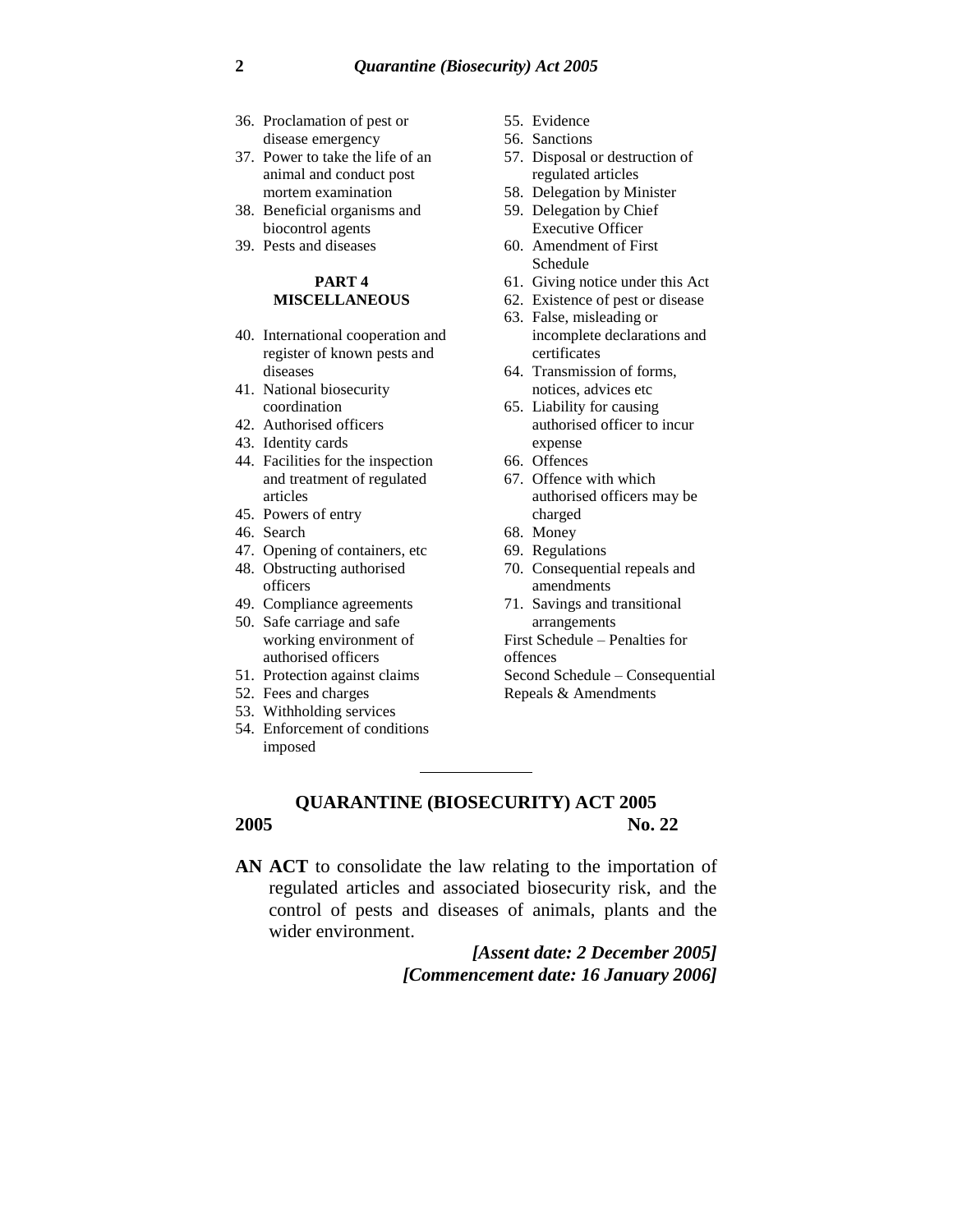- 36. Proclamation of pest or disease emergency
- 37. Power to take the life of an animal and conduct post mortem examination
- 38. Beneficial organisms and biocontrol agents
- 39. Pests and diseases

#### **PART 4 MISCELLANEOUS**

- 40. International cooperation and register of known pests and diseases
- 41. National biosecurity coordination
- 42. Authorised officers
- 43. Identity cards
- 44. Facilities for the inspection and treatment of regulated articles
- 45. Powers of entry
- 46. Search
- 47. Opening of containers, etc
- 48. Obstructing authorised officers
- 49. Compliance agreements
- 50. Safe carriage and safe working environment of authorised officers
- 51. Protection against claims
- 52. Fees and charges
- 53. Withholding services
- 54. Enforcement of conditions imposed
- 55. Evidence
- 56. Sanctions
- 57. Disposal or destruction of regulated articles
- 58. Delegation by Minister
- 59. Delegation by Chief Executive Officer
- 60. Amendment of First Schedule
- 61. Giving notice under this Act
- 62. Existence of pest or disease
- 63. False, misleading or incomplete declarations and certificates
- 64. Transmission of forms, notices, advices etc
- 65. Liability for causing authorised officer to incur expense
- 66. Offences
- 67. Offence with which authorised officers may be charged
- 68. Money
- 69. Regulations
- 70. Consequential repeals and amendments
- 71. Savings and transitional arrangements
- First Schedule Penalties for
- offences
- Second Schedule Consequential
- Repeals & Amendments

### **QUARANTINE (BIOSECURITY) ACT 2005 2005 No. 22**

**AN ACT** to consolidate the law relating to the importation of regulated articles and associated biosecurity risk, and the control of pests and diseases of animals, plants and the wider environment.

> *[Assent date: 2 December 2005] [Commencement date: 16 January 2006]*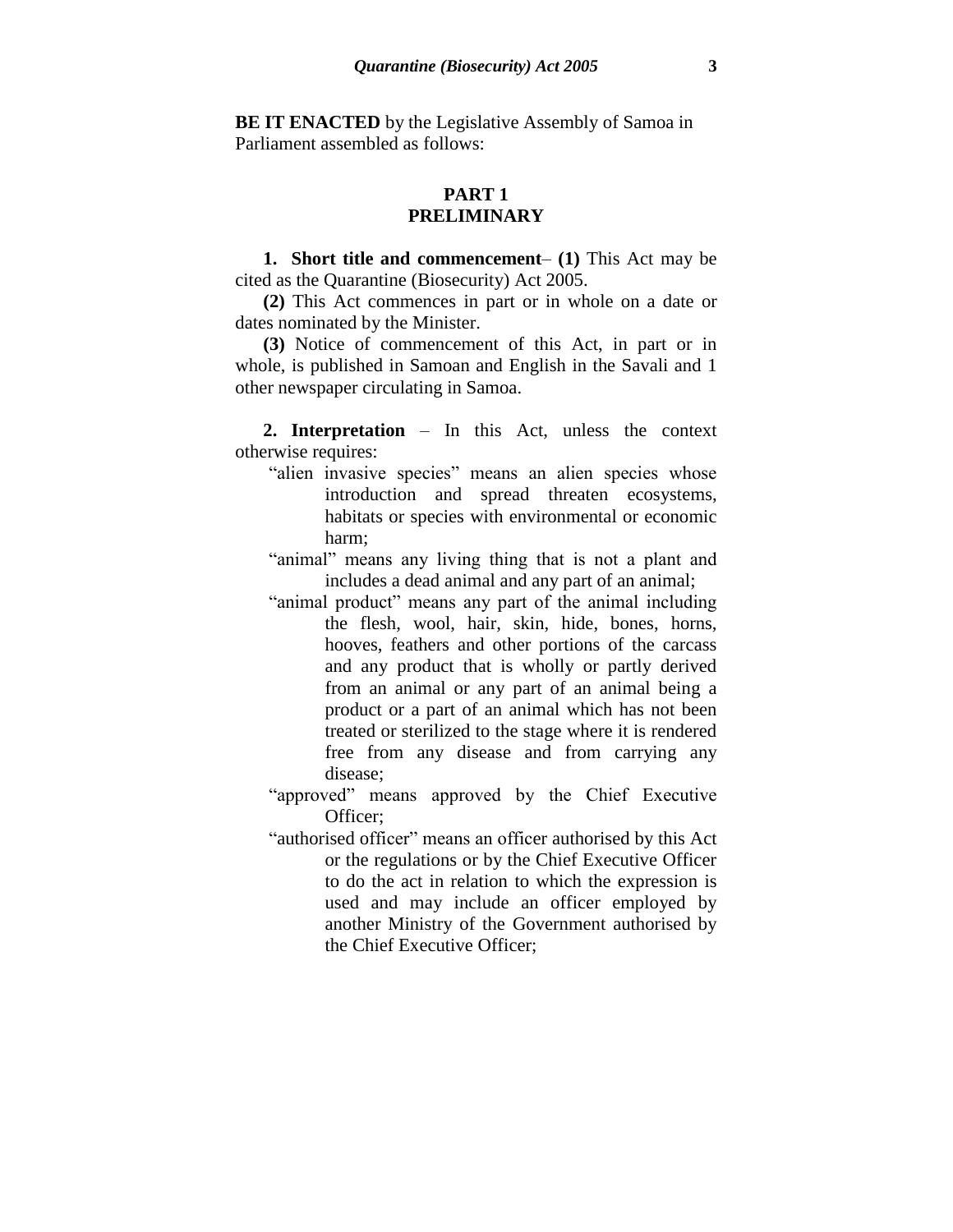**BE IT ENACTED** by the Legislative Assembly of Samoa in Parliament assembled as follows:

#### **PART 1 PRELIMINARY**

**1. Short title and commencement**– **(1)** This Act may be cited as the Quarantine (Biosecurity) Act 2005.

**(2)** This Act commences in part or in whole on a date or dates nominated by the Minister.

**(3)** Notice of commencement of this Act, in part or in whole, is published in Samoan and English in the Savali and 1 other newspaper circulating in Samoa.

**2. Interpretation** – In this Act, unless the context otherwise requires:

- "alien invasive species" means an alien species whose introduction and spread threaten ecosystems, habitats or species with environmental or economic harm;
- "animal" means any living thing that is not a plant and includes a dead animal and any part of an animal;
- "animal product" means any part of the animal including the flesh, wool, hair, skin, hide, bones, horns, hooves, feathers and other portions of the carcass and any product that is wholly or partly derived from an animal or any part of an animal being a product or a part of an animal which has not been treated or sterilized to the stage where it is rendered free from any disease and from carrying any disease;
- "approved" means approved by the Chief Executive Officer;
- "authorised officer" means an officer authorised by this Act or the regulations or by the Chief Executive Officer to do the act in relation to which the expression is used and may include an officer employed by another Ministry of the Government authorised by the Chief Executive Officer;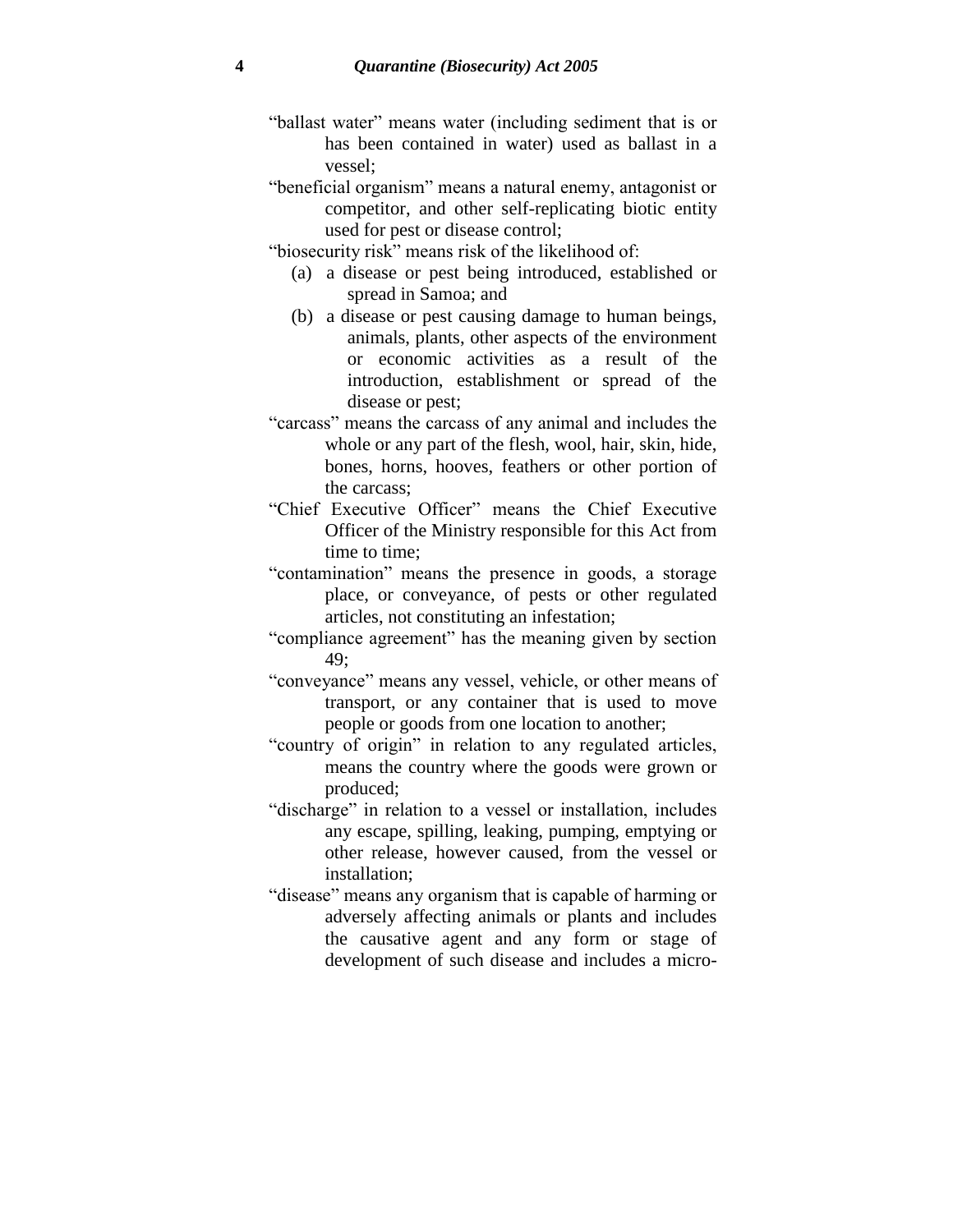- "ballast water" means water (including sediment that is or has been contained in water) used as ballast in a vessel;
- "beneficial organism" means a natural enemy, antagonist or competitor, and other self-replicating biotic entity used for pest or disease control;
- "biosecurity risk" means risk of the likelihood of:
	- (a) a disease or pest being introduced, established or spread in Samoa; and
	- (b) a disease or pest causing damage to human beings, animals, plants, other aspects of the environment or economic activities as a result of the introduction, establishment or spread of the disease or pest;
- "carcass" means the carcass of any animal and includes the whole or any part of the flesh, wool, hair, skin, hide, bones, horns, hooves, feathers or other portion of the carcass;
- "Chief Executive Officer" means the Chief Executive Officer of the Ministry responsible for this Act from time to time;
- "contamination" means the presence in goods, a storage place, or conveyance, of pests or other regulated articles, not constituting an infestation;
- "compliance agreement" has the meaning given by section 49;
- "conveyance" means any vessel, vehicle, or other means of transport, or any container that is used to move people or goods from one location to another;
- "country of origin" in relation to any regulated articles, means the country where the goods were grown or produced;
- "discharge" in relation to a vessel or installation, includes any escape, spilling, leaking, pumping, emptying or other release, however caused, from the vessel or installation;
- "disease" means any organism that is capable of harming or adversely affecting animals or plants and includes the causative agent and any form or stage of development of such disease and includes a micro-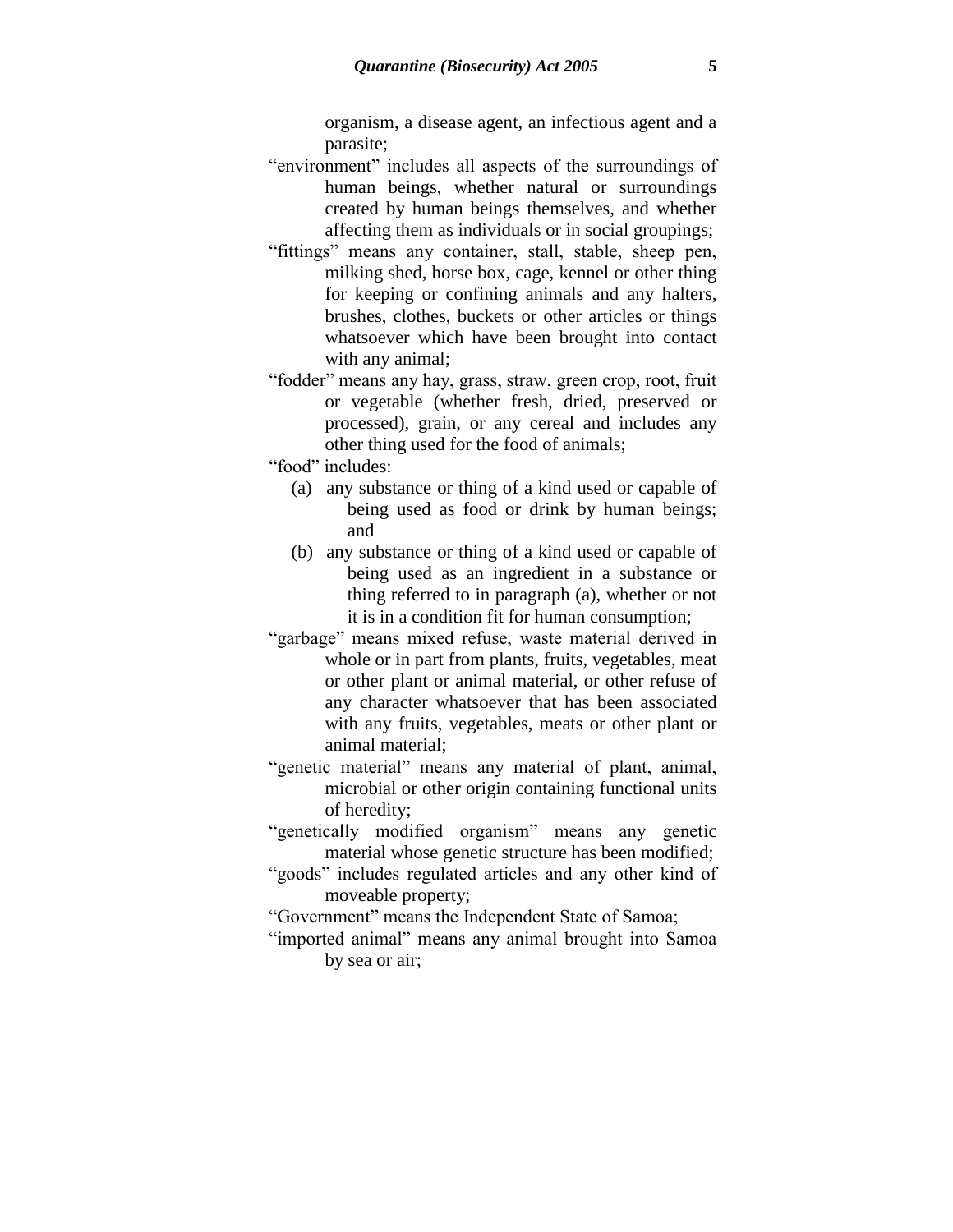organism, a disease agent, an infectious agent and a parasite;

- "environment" includes all aspects of the surroundings of human beings, whether natural or surroundings created by human beings themselves, and whether affecting them as individuals or in social groupings;
- "fittings" means any container, stall, stable, sheep pen, milking shed, horse box, cage, kennel or other thing for keeping or confining animals and any halters, brushes, clothes, buckets or other articles or things whatsoever which have been brought into contact with any animal;
- "fodder" means any hay, grass, straw, green crop, root, fruit or vegetable (whether fresh, dried, preserved or processed), grain, or any cereal and includes any other thing used for the food of animals;
- "food" includes:
	- (a) any substance or thing of a kind used or capable of being used as food or drink by human beings; and
	- (b) any substance or thing of a kind used or capable of being used as an ingredient in a substance or thing referred to in paragraph (a), whether or not it is in a condition fit for human consumption;
- "garbage" means mixed refuse, waste material derived in whole or in part from plants, fruits, vegetables, meat or other plant or animal material, or other refuse of any character whatsoever that has been associated with any fruits, vegetables, meats or other plant or animal material;
- "genetic material" means any material of plant, animal, microbial or other origin containing functional units of heredity;
- "genetically modified organism" means any genetic material whose genetic structure has been modified;
- "goods" includes regulated articles and any other kind of moveable property;
- "Government" means the Independent State of Samoa;
- "imported animal" means any animal brought into Samoa by sea or air;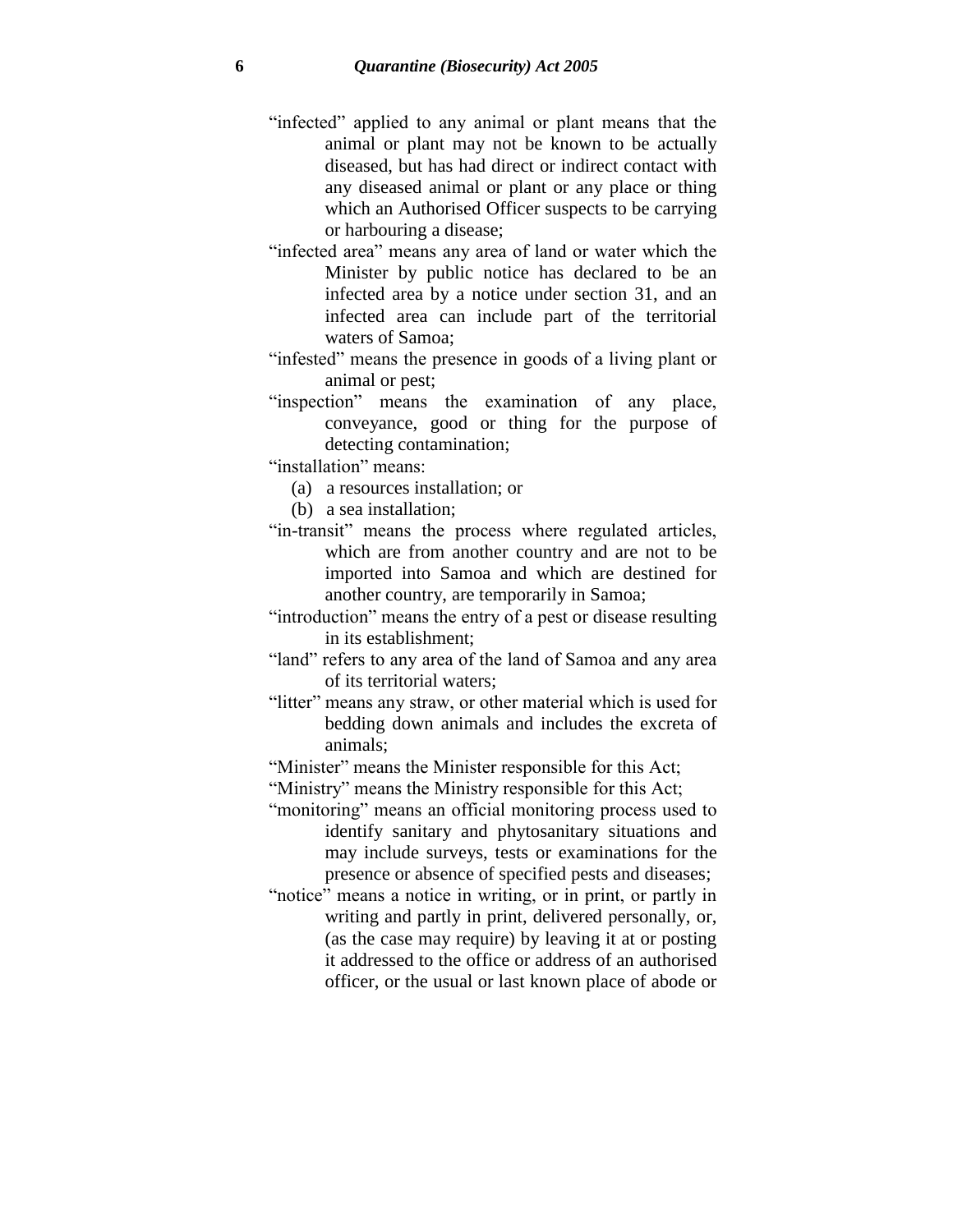- "infected" applied to any animal or plant means that the animal or plant may not be known to be actually diseased, but has had direct or indirect contact with any diseased animal or plant or any place or thing which an Authorised Officer suspects to be carrying or harbouring a disease;
- "infected area" means any area of land or water which the Minister by public notice has declared to be an infected area by a notice under section 31, and an infected area can include part of the territorial waters of Samoa;
- "infested" means the presence in goods of a living plant or animal or pest;
- "inspection" means the examination of any place, conveyance, good or thing for the purpose of detecting contamination;

"installation" means:

- (a) a resources installation; or
- (b) a sea installation;
- "in-transit" means the process where regulated articles, which are from another country and are not to be imported into Samoa and which are destined for another country, are temporarily in Samoa;
- "introduction" means the entry of a pest or disease resulting in its establishment;
- "land" refers to any area of the land of Samoa and any area of its territorial waters;
- "litter" means any straw, or other material which is used for bedding down animals and includes the excreta of animals;
- "Minister" means the Minister responsible for this Act;
- "Ministry" means the Ministry responsible for this Act;
- "monitoring" means an official monitoring process used to identify sanitary and phytosanitary situations and may include surveys, tests or examinations for the presence or absence of specified pests and diseases;
- "notice" means a notice in writing, or in print, or partly in writing and partly in print, delivered personally, or, (as the case may require) by leaving it at or posting it addressed to the office or address of an authorised officer, or the usual or last known place of abode or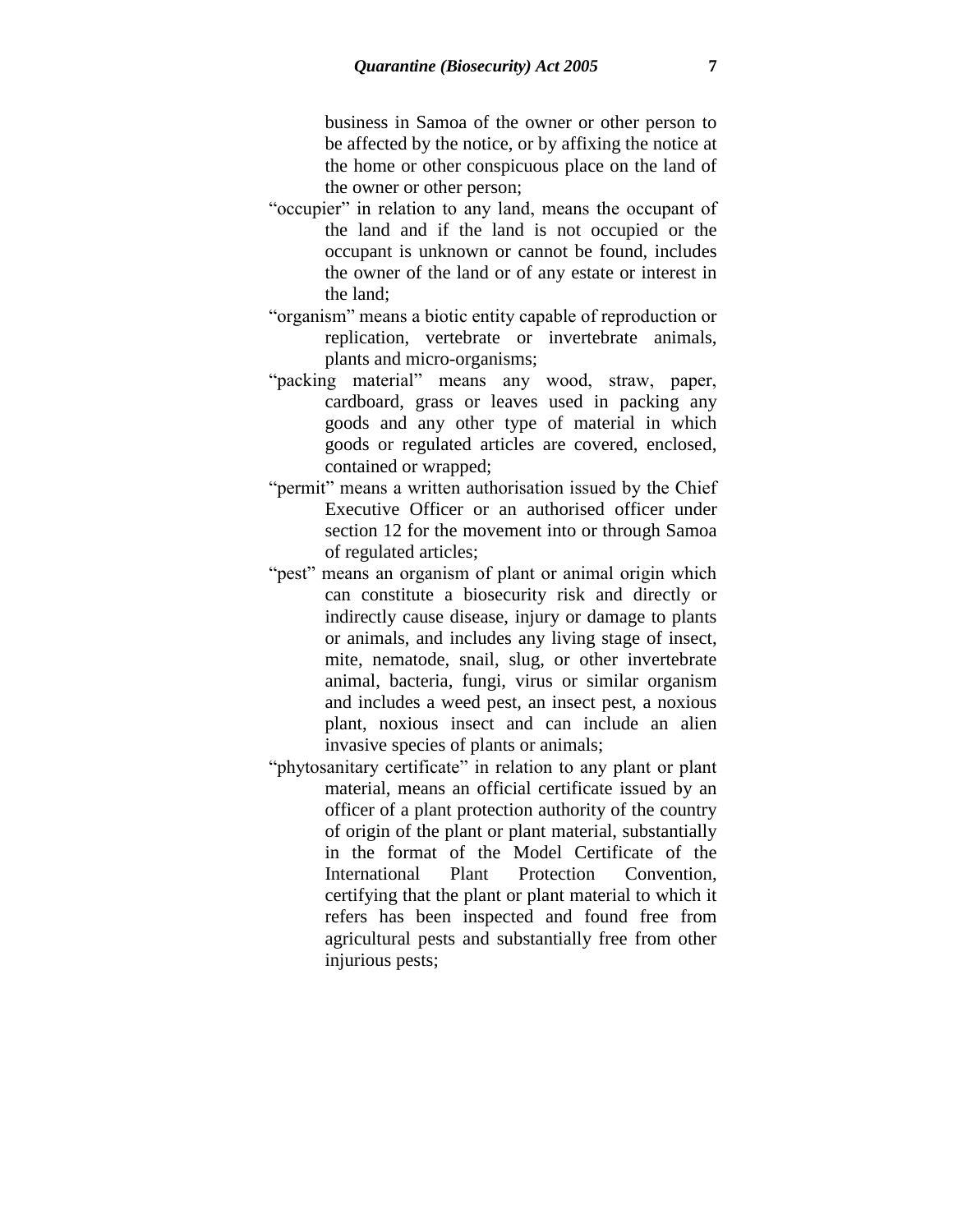business in Samoa of the owner or other person to be affected by the notice, or by affixing the notice at the home or other conspicuous place on the land of the owner or other person;

- "occupier" in relation to any land, means the occupant of the land and if the land is not occupied or the occupant is unknown or cannot be found, includes the owner of the land or of any estate or interest in the land;
- "organism" means a biotic entity capable of reproduction or replication, vertebrate or invertebrate animals, plants and micro-organisms;
- "packing material" means any wood, straw, paper, cardboard, grass or leaves used in packing any goods and any other type of material in which goods or regulated articles are covered, enclosed, contained or wrapped;
- "permit" means a written authorisation issued by the Chief Executive Officer or an authorised officer under section 12 for the movement into or through Samoa of regulated articles;
- "pest" means an organism of plant or animal origin which can constitute a biosecurity risk and directly or indirectly cause disease, injury or damage to plants or animals, and includes any living stage of insect, mite, nematode, snail, slug, or other invertebrate animal, bacteria, fungi, virus or similar organism and includes a weed pest, an insect pest, a noxious plant, noxious insect and can include an alien invasive species of plants or animals;
- "phytosanitary certificate" in relation to any plant or plant material, means an official certificate issued by an officer of a plant protection authority of the country of origin of the plant or plant material, substantially in the format of the Model Certificate of the International Plant Protection Convention, certifying that the plant or plant material to which it refers has been inspected and found free from agricultural pests and substantially free from other injurious pests;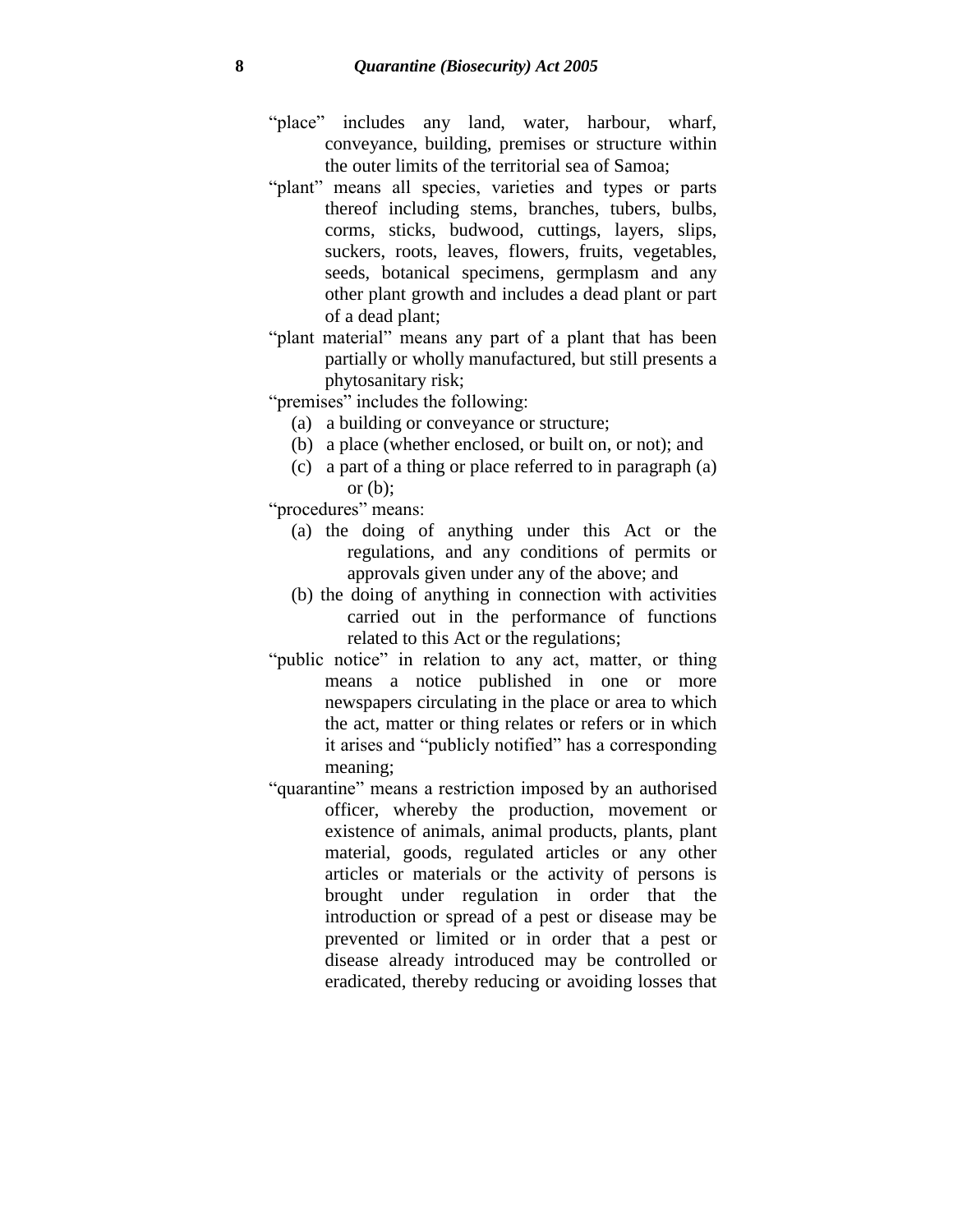- "place" includes any land, water, harbour, wharf, conveyance, building, premises or structure within the outer limits of the territorial sea of Samoa;
- "plant" means all species, varieties and types or parts thereof including stems, branches, tubers, bulbs, corms, sticks, budwood, cuttings, layers, slips, suckers, roots, leaves, flowers, fruits, vegetables, seeds, botanical specimens, germplasm and any other plant growth and includes a dead plant or part of a dead plant;
- "plant material" means any part of a plant that has been partially or wholly manufactured, but still presents a phytosanitary risk;
- "premises" includes the following:
	- (a) a building or conveyance or structure;
	- (b) a place (whether enclosed, or built on, or not); and
	- (c) a part of a thing or place referred to in paragraph (a) or  $(b)$ :

"procedures" means:

- (a) the doing of anything under this Act or the regulations, and any conditions of permits or approvals given under any of the above; and
- (b) the doing of anything in connection with activities carried out in the performance of functions related to this Act or the regulations;
- "public notice" in relation to any act, matter, or thing means a notice published in one or more newspapers circulating in the place or area to which the act, matter or thing relates or refers or in which it arises and "publicly notified" has a corresponding meaning;
- "quarantine" means a restriction imposed by an authorised officer, whereby the production, movement or existence of animals, animal products, plants, plant material, goods, regulated articles or any other articles or materials or the activity of persons is brought under regulation in order that the introduction or spread of a pest or disease may be prevented or limited or in order that a pest or disease already introduced may be controlled or eradicated, thereby reducing or avoiding losses that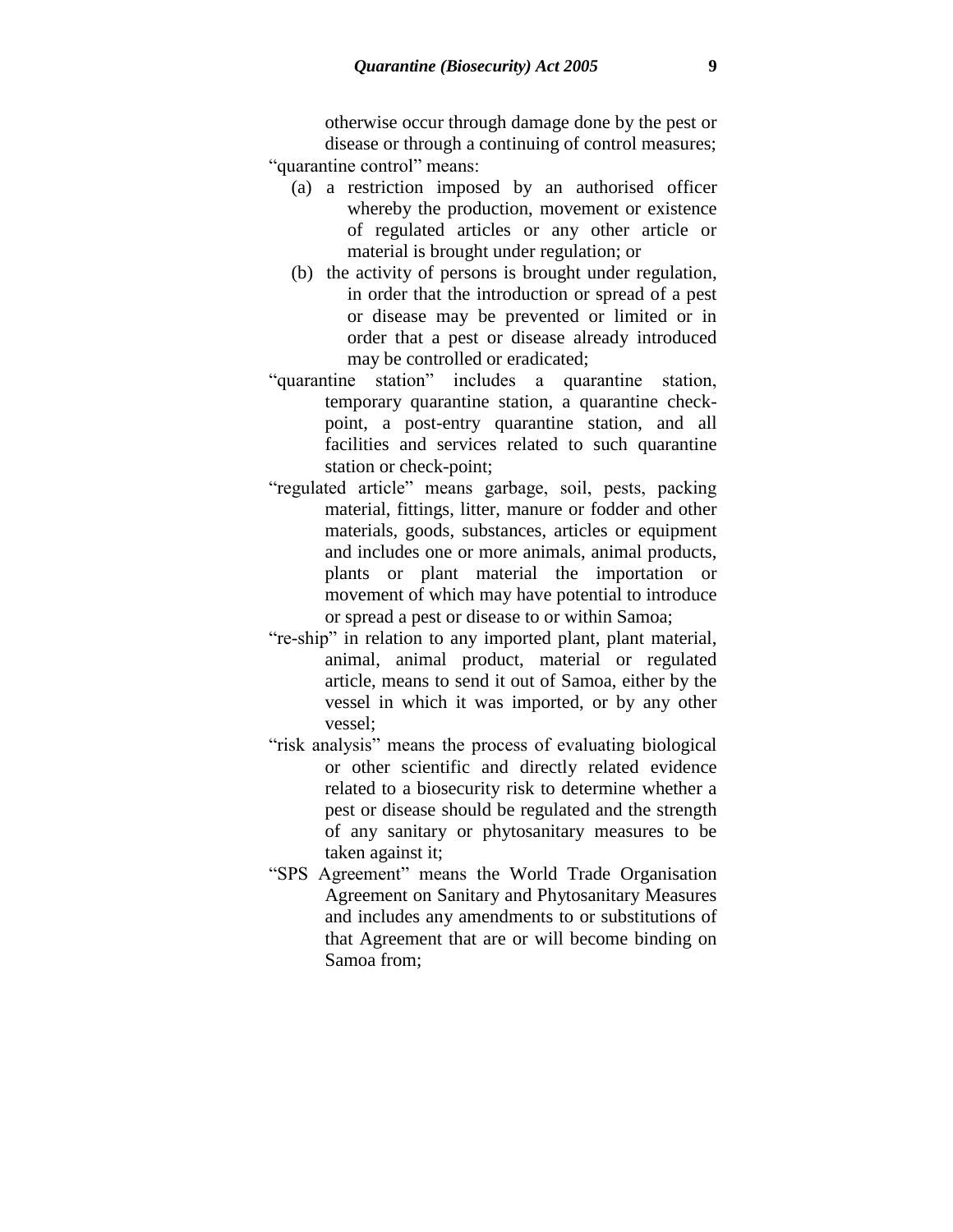otherwise occur through damage done by the pest or disease or through a continuing of control measures; "quarantine control" means:

- (a) a restriction imposed by an authorised officer whereby the production, movement or existence of regulated articles or any other article or material is brought under regulation; or
- (b) the activity of persons is brought under regulation, in order that the introduction or spread of a pest or disease may be prevented or limited or in order that a pest or disease already introduced may be controlled or eradicated;
- "quarantine station" includes a quarantine station, temporary quarantine station, a quarantine checkpoint, a post-entry quarantine station, and all facilities and services related to such quarantine station or check-point;
- "regulated article" means garbage, soil, pests, packing material, fittings, litter, manure or fodder and other materials, goods, substances, articles or equipment and includes one or more animals, animal products, plants or plant material the importation or movement of which may have potential to introduce or spread a pest or disease to or within Samoa;
- "re-ship" in relation to any imported plant, plant material, animal, animal product, material or regulated article, means to send it out of Samoa, either by the vessel in which it was imported, or by any other vessel;
- "risk analysis" means the process of evaluating biological or other scientific and directly related evidence related to a biosecurity risk to determine whether a pest or disease should be regulated and the strength of any sanitary or phytosanitary measures to be taken against it;
- "SPS Agreement" means the World Trade Organisation Agreement on Sanitary and Phytosanitary Measures and includes any amendments to or substitutions of that Agreement that are or will become binding on Samoa from;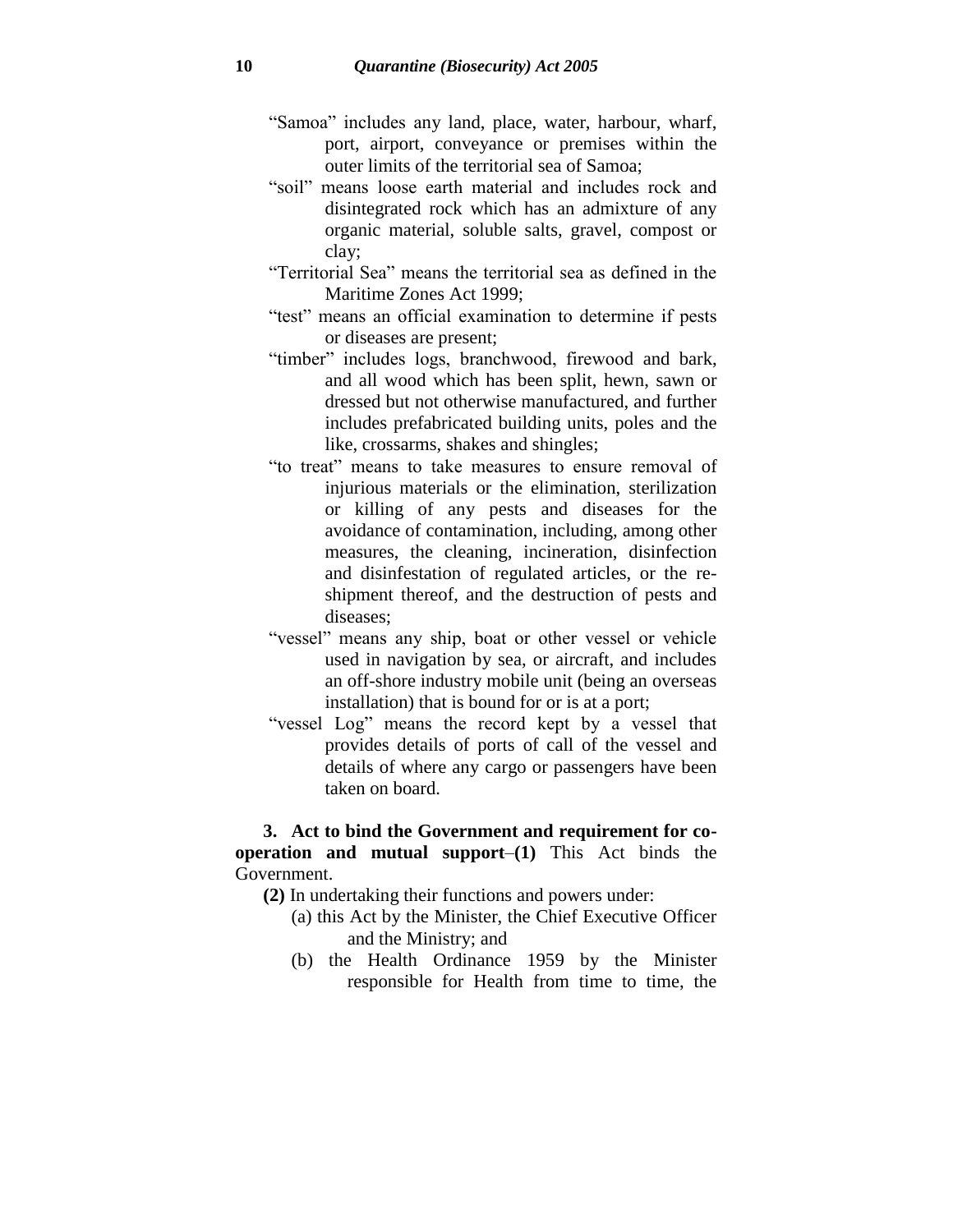- "Samoa" includes any land, place, water, harbour, wharf, port, airport, conveyance or premises within the outer limits of the territorial sea of Samoa;
- "soil" means loose earth material and includes rock and disintegrated rock which has an admixture of any organic material, soluble salts, gravel, compost or clay;
- "Territorial Sea" means the territorial sea as defined in the Maritime Zones Act 1999;
- "test" means an official examination to determine if pests or diseases are present;
- "timber" includes logs, branchwood, firewood and bark, and all wood which has been split, hewn, sawn or dressed but not otherwise manufactured, and further includes prefabricated building units, poles and the like, crossarms, shakes and shingles;
- "to treat" means to take measures to ensure removal of injurious materials or the elimination, sterilization or killing of any pests and diseases for the avoidance of contamination, including, among other measures, the cleaning, incineration, disinfection and disinfestation of regulated articles, or the reshipment thereof, and the destruction of pests and diseases;
- "vessel" means any ship, boat or other vessel or vehicle used in navigation by sea, or aircraft, and includes an off-shore industry mobile unit (being an overseas installation) that is bound for or is at a port;
- "vessel Log" means the record kept by a vessel that provides details of ports of call of the vessel and details of where any cargo or passengers have been taken on board.

### **3. Act to bind the Government and requirement for cooperation and mutual support**–**(1)** This Act binds the Government.

- **(2)** In undertaking their functions and powers under:
	- (a) this Act by the Minister, the Chief Executive Officer and the Ministry; and
	- (b) the Health Ordinance 1959 by the Minister responsible for Health from time to time, the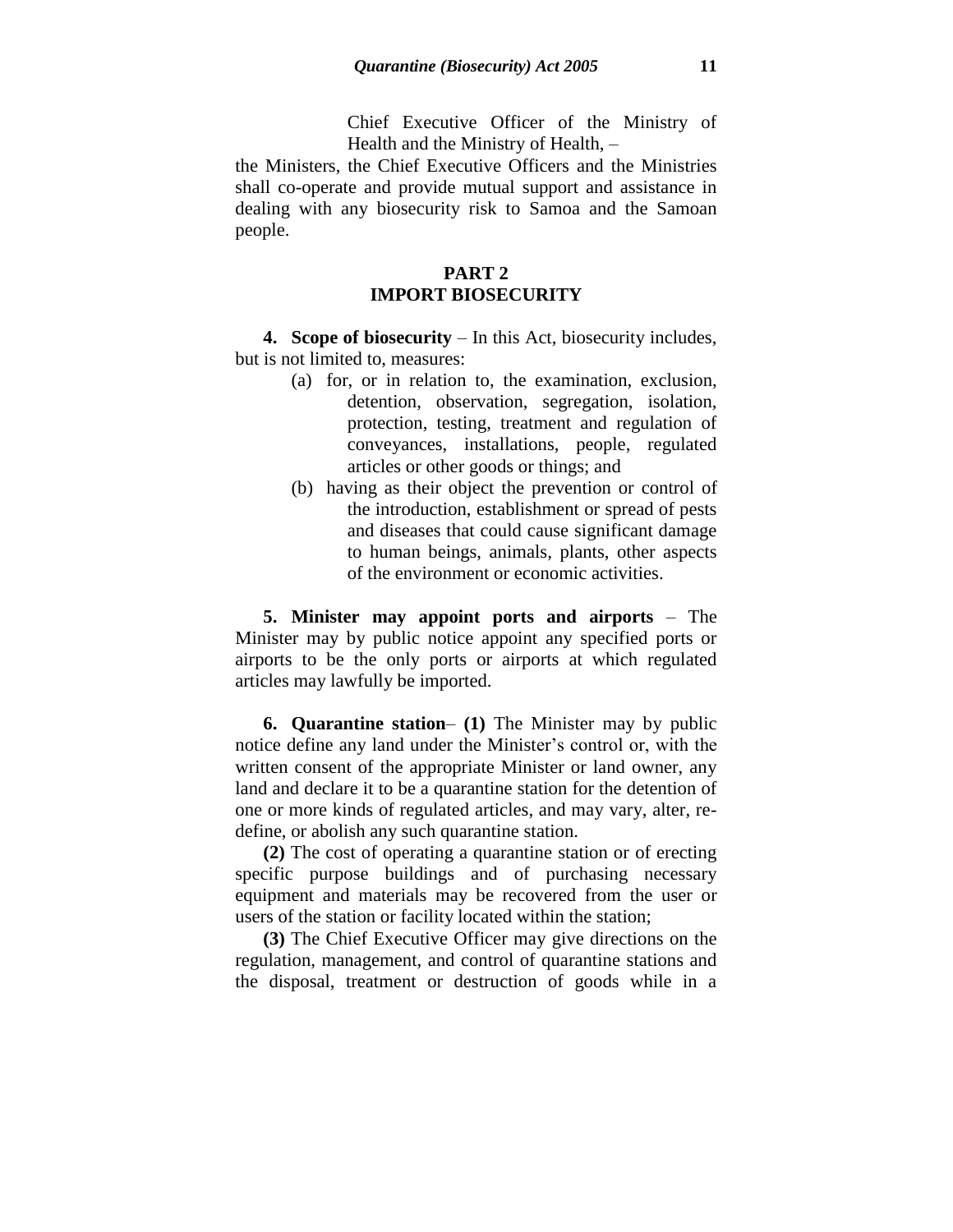Chief Executive Officer of the Ministry of Health and the Ministry of Health, –

the Ministers, the Chief Executive Officers and the Ministries shall co-operate and provide mutual support and assistance in dealing with any biosecurity risk to Samoa and the Samoan people.

### **PART 2 IMPORT BIOSECURITY**

**4. Scope of biosecurity** – In this Act, biosecurity includes, but is not limited to, measures:

- (a) for, or in relation to, the examination, exclusion, detention, observation, segregation, isolation, protection, testing, treatment and regulation of conveyances, installations, people, regulated articles or other goods or things; and
- (b) having as their object the prevention or control of the introduction, establishment or spread of pests and diseases that could cause significant damage to human beings, animals, plants, other aspects of the environment or economic activities.

**5. Minister may appoint ports and airports** – The Minister may by public notice appoint any specified ports or airports to be the only ports or airports at which regulated articles may lawfully be imported.

**6. Quarantine station**– **(1)** The Minister may by public notice define any land under the Minister's control or, with the written consent of the appropriate Minister or land owner, any land and declare it to be a quarantine station for the detention of one or more kinds of regulated articles, and may vary, alter, redefine, or abolish any such quarantine station.

**(2)** The cost of operating a quarantine station or of erecting specific purpose buildings and of purchasing necessary equipment and materials may be recovered from the user or users of the station or facility located within the station;

**(3)** The Chief Executive Officer may give directions on the regulation, management, and control of quarantine stations and the disposal, treatment or destruction of goods while in a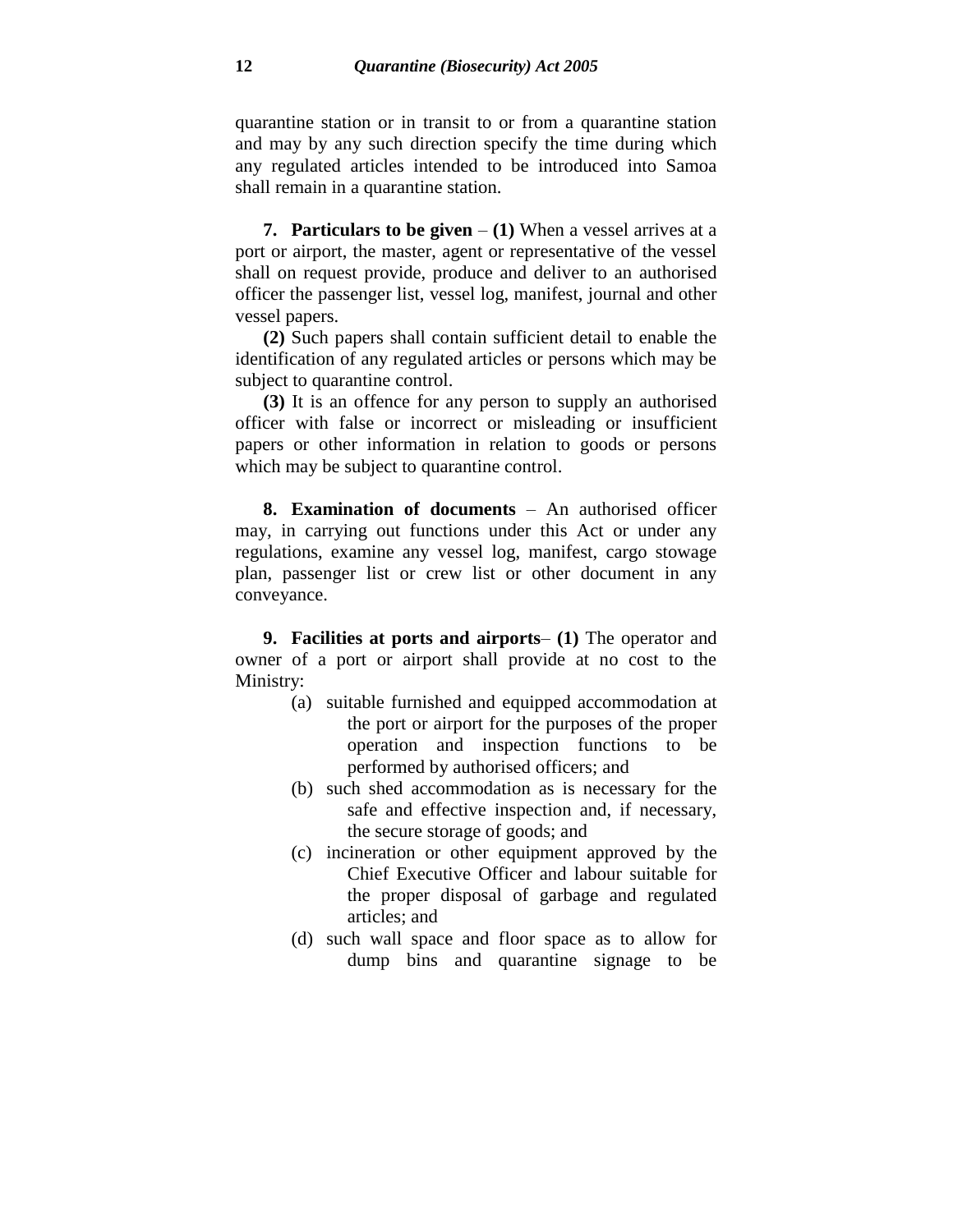quarantine station or in transit to or from a quarantine station and may by any such direction specify the time during which any regulated articles intended to be introduced into Samoa shall remain in a quarantine station.

**7. Particulars to be given**  $- (1)$  When a vessel arrives at a port or airport, the master, agent or representative of the vessel shall on request provide, produce and deliver to an authorised officer the passenger list, vessel log, manifest, journal and other vessel papers.

**(2)** Such papers shall contain sufficient detail to enable the identification of any regulated articles or persons which may be subject to quarantine control.

**(3)** It is an offence for any person to supply an authorised officer with false or incorrect or misleading or insufficient papers or other information in relation to goods or persons which may be subject to quarantine control.

**8. Examination of documents** – An authorised officer may, in carrying out functions under this Act or under any regulations, examine any vessel log, manifest, cargo stowage plan, passenger list or crew list or other document in any conveyance.

**9. Facilities at ports and airports**– **(1)** The operator and owner of a port or airport shall provide at no cost to the Ministry:

- (a) suitable furnished and equipped accommodation at the port or airport for the purposes of the proper operation and inspection functions to be performed by authorised officers; and
- (b) such shed accommodation as is necessary for the safe and effective inspection and, if necessary, the secure storage of goods; and
- (c) incineration or other equipment approved by the Chief Executive Officer and labour suitable for the proper disposal of garbage and regulated articles; and
- (d) such wall space and floor space as to allow for dump bins and quarantine signage to be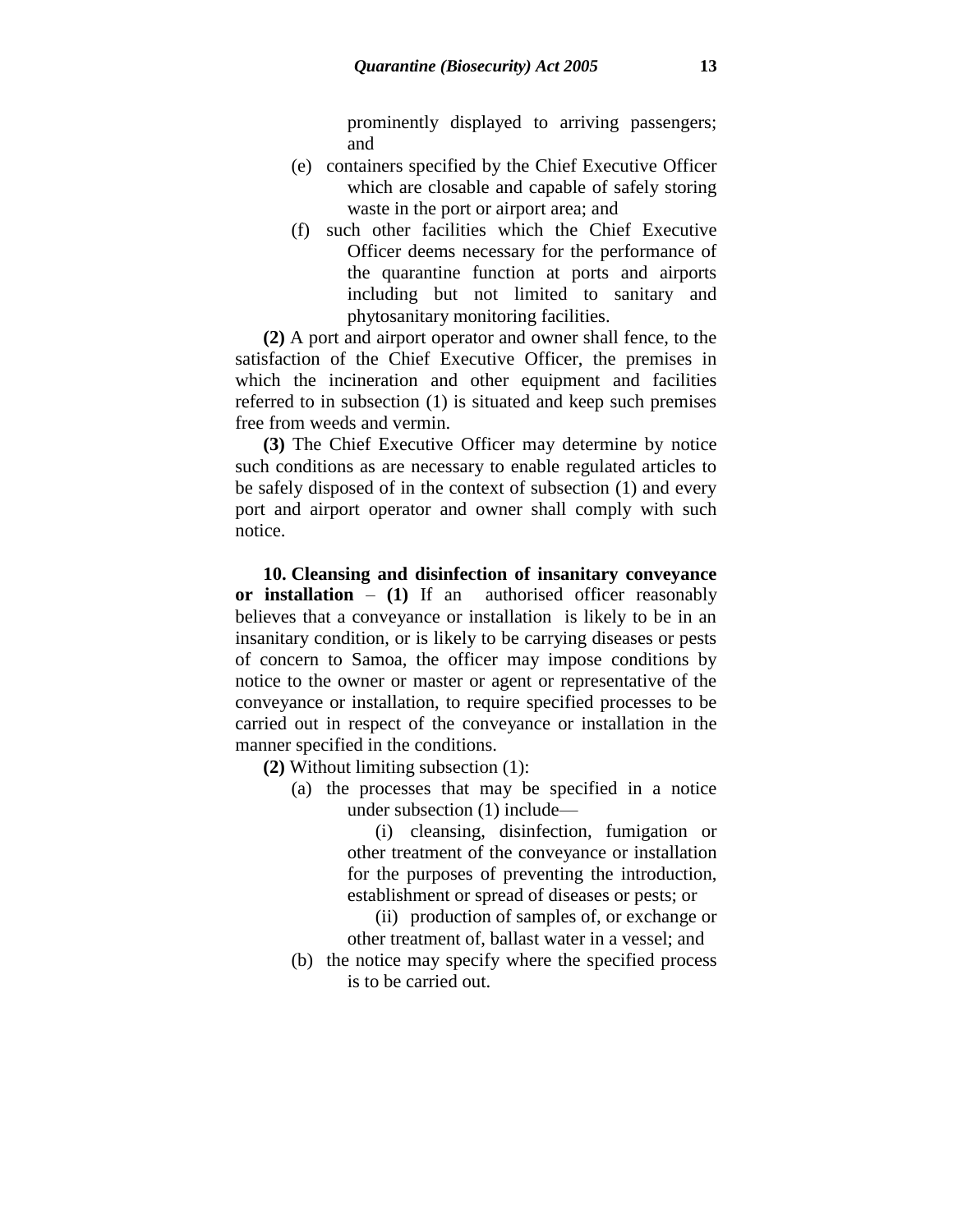prominently displayed to arriving passengers; and

- (e) containers specified by the Chief Executive Officer which are closable and capable of safely storing waste in the port or airport area; and
- (f) such other facilities which the Chief Executive Officer deems necessary for the performance of the quarantine function at ports and airports including but not limited to sanitary and phytosanitary monitoring facilities.

**(2)** A port and airport operator and owner shall fence, to the satisfaction of the Chief Executive Officer, the premises in which the incineration and other equipment and facilities referred to in subsection (1) is situated and keep such premises free from weeds and vermin.

**(3)** The Chief Executive Officer may determine by notice such conditions as are necessary to enable regulated articles to be safely disposed of in the context of subsection (1) and every port and airport operator and owner shall comply with such notice.

**10. Cleansing and disinfection of insanitary conveyance or installation** – **(1)** If an authorised officer reasonably believes that a conveyance or installation is likely to be in an insanitary condition, or is likely to be carrying diseases or pests of concern to Samoa, the officer may impose conditions by notice to the owner or master or agent or representative of the conveyance or installation, to require specified processes to be carried out in respect of the conveyance or installation in the manner specified in the conditions.

**(2)** Without limiting subsection (1):

(a) the processes that may be specified in a notice under subsection (1) include—

> (i) cleansing, disinfection, fumigation or other treatment of the conveyance or installation for the purposes of preventing the introduction, establishment or spread of diseases or pests; or

> (ii) production of samples of, or exchange or other treatment of, ballast water in a vessel; and

(b) the notice may specify where the specified process is to be carried out.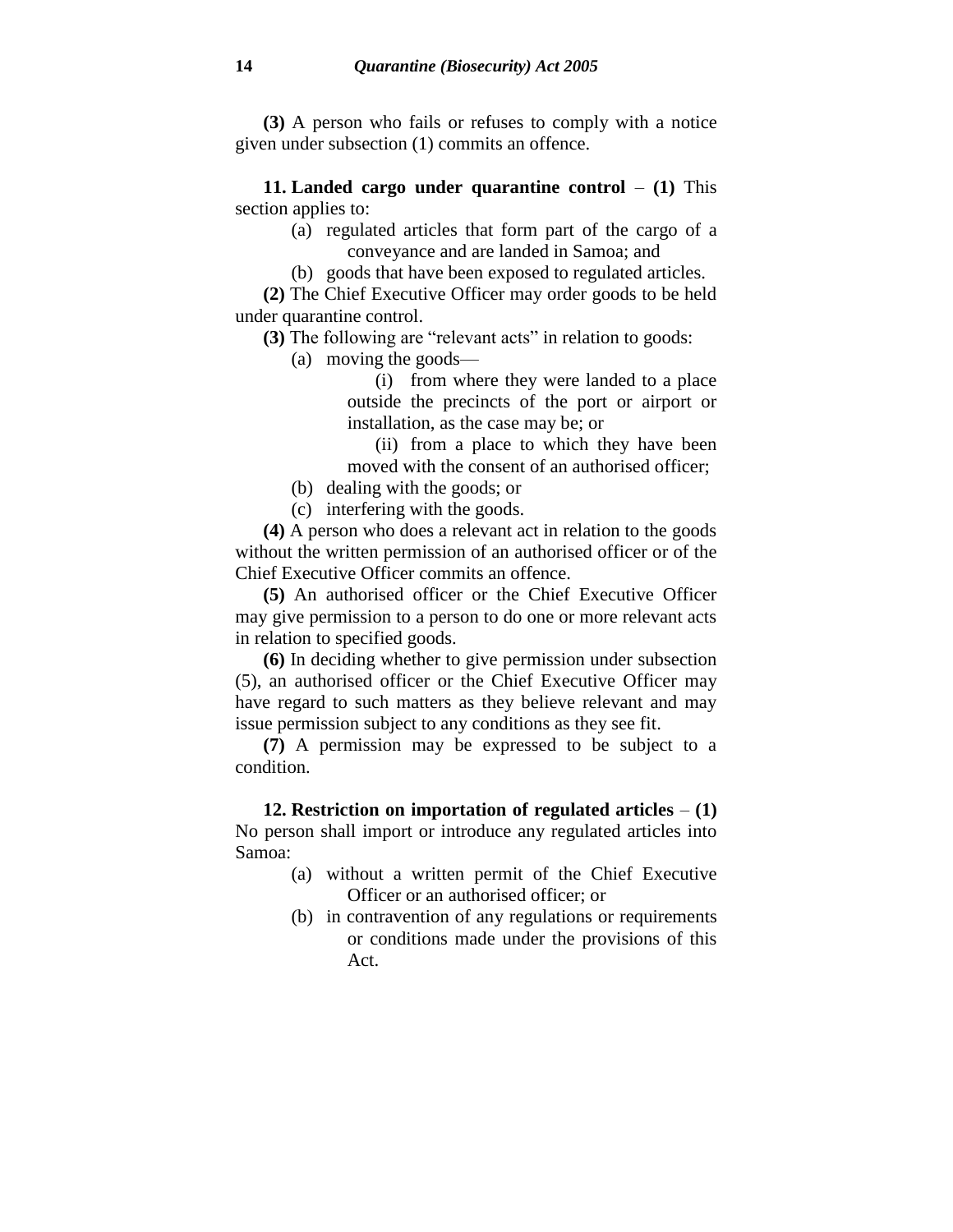**(3)** A person who fails or refuses to comply with a notice given under subsection (1) commits an offence.

**11. Landed cargo under quarantine control** – **(1)** This section applies to:

- (a) regulated articles that form part of the cargo of a conveyance and are landed in Samoa; and
- (b) goods that have been exposed to regulated articles.

**(2)** The Chief Executive Officer may order goods to be held under quarantine control.

**(3)** The following are "relevant acts" in relation to goods:

(a) moving the goods—

(i) from where they were landed to a place outside the precincts of the port or airport or installation, as the case may be; or

(ii) from a place to which they have been moved with the consent of an authorised officer;

(b) dealing with the goods; or

(c) interfering with the goods.

**(4)** A person who does a relevant act in relation to the goods without the written permission of an authorised officer or of the Chief Executive Officer commits an offence.

**(5)** An authorised officer or the Chief Executive Officer may give permission to a person to do one or more relevant acts in relation to specified goods.

**(6)** In deciding whether to give permission under subsection (5), an authorised officer or the Chief Executive Officer may have regard to such matters as they believe relevant and may issue permission subject to any conditions as they see fit.

**(7)** A permission may be expressed to be subject to a condition.

**12. Restriction on importation of regulated articles** – **(1)** No person shall import or introduce any regulated articles into Samoa:

- (a) without a written permit of the Chief Executive Officer or an authorised officer; or
- (b) in contravention of any regulations or requirements or conditions made under the provisions of this Act.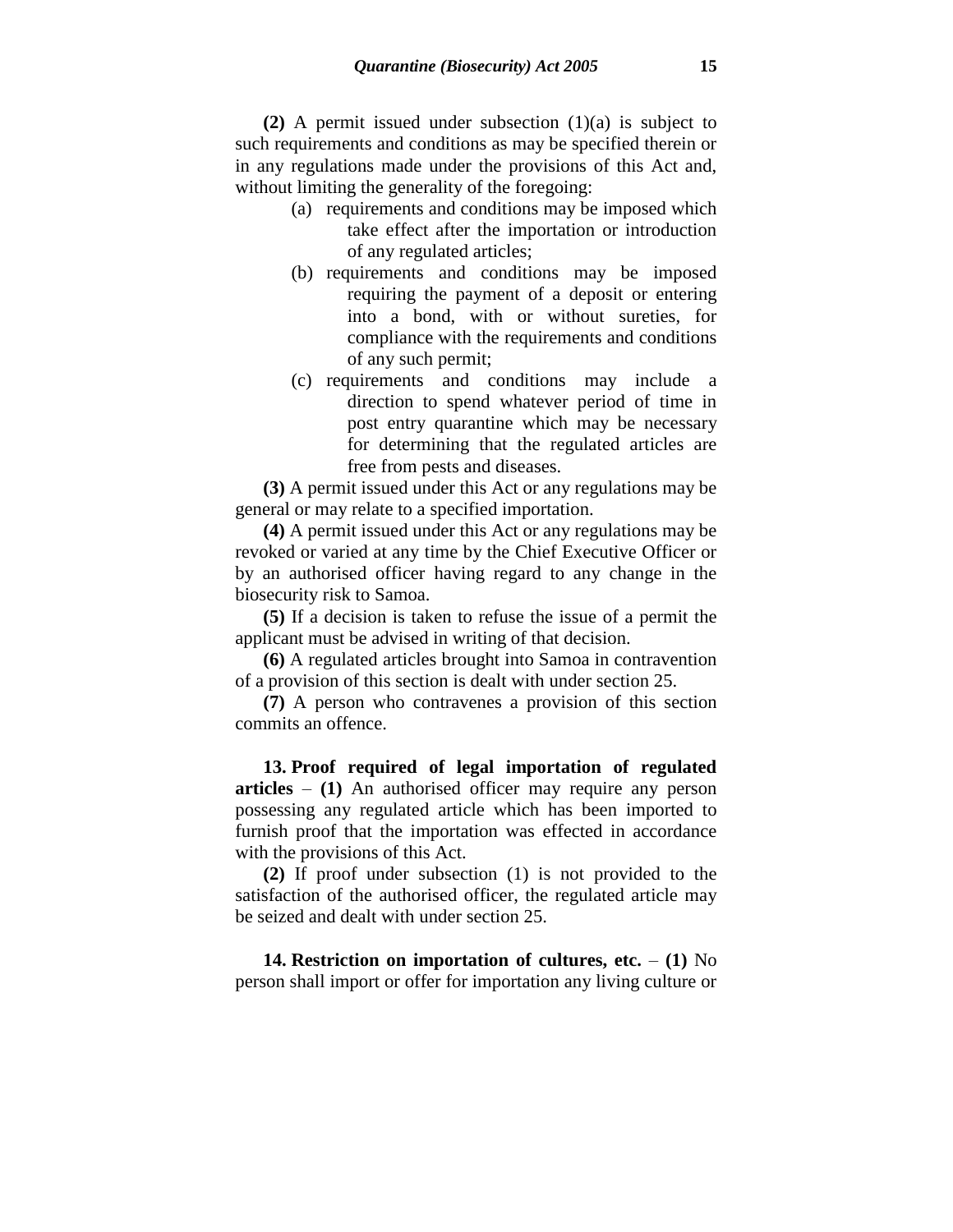**(2)** A permit issued under subsection (1)(a) is subject to such requirements and conditions as may be specified therein or in any regulations made under the provisions of this Act and, without limiting the generality of the foregoing:

- (a) requirements and conditions may be imposed which take effect after the importation or introduction of any regulated articles;
- (b) requirements and conditions may be imposed requiring the payment of a deposit or entering into a bond, with or without sureties, for compliance with the requirements and conditions of any such permit;
- (c) requirements and conditions may include a direction to spend whatever period of time in post entry quarantine which may be necessary for determining that the regulated articles are free from pests and diseases.

**(3)** A permit issued under this Act or any regulations may be general or may relate to a specified importation.

**(4)** A permit issued under this Act or any regulations may be revoked or varied at any time by the Chief Executive Officer or by an authorised officer having regard to any change in the biosecurity risk to Samoa.

**(5)** If a decision is taken to refuse the issue of a permit the applicant must be advised in writing of that decision.

**(6)** A regulated articles brought into Samoa in contravention of a provision of this section is dealt with under section 25.

**(7)** A person who contravenes a provision of this section commits an offence.

**13. Proof required of legal importation of regulated articles** – **(1)** An authorised officer may require any person possessing any regulated article which has been imported to furnish proof that the importation was effected in accordance with the provisions of this Act.

**(2)** If proof under subsection (1) is not provided to the satisfaction of the authorised officer, the regulated article may be seized and dealt with under section 25.

**14. Restriction on importation of cultures, etc.** – **(1)** No person shall import or offer for importation any living culture or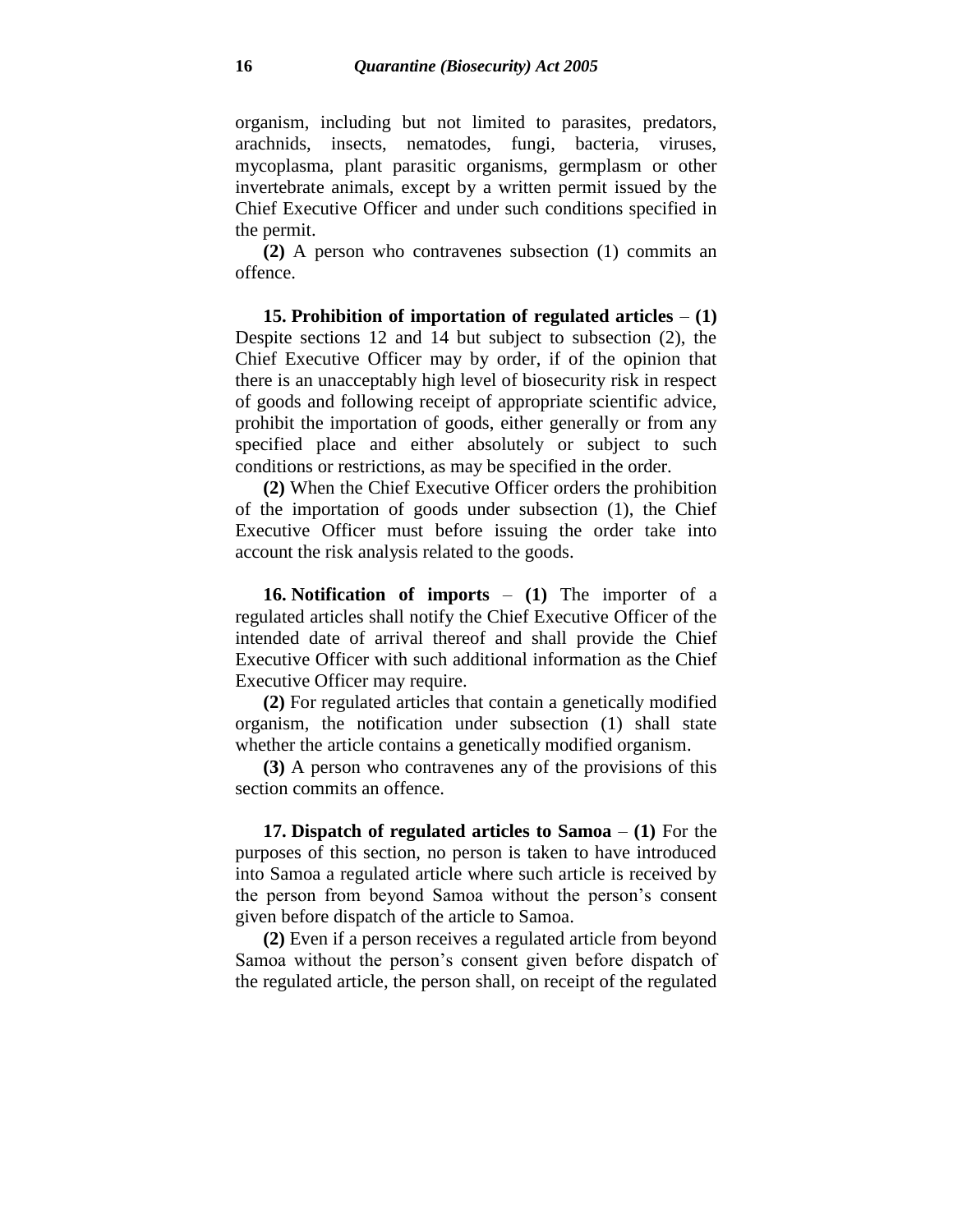organism, including but not limited to parasites, predators, arachnids, insects, nematodes, fungi, bacteria, viruses, mycoplasma, plant parasitic organisms, germplasm or other invertebrate animals, except by a written permit issued by the Chief Executive Officer and under such conditions specified in the permit.

**(2)** A person who contravenes subsection (1) commits an offence.

**15. Prohibition of importation of regulated articles** – **(1)** Despite sections 12 and 14 but subject to subsection (2), the Chief Executive Officer may by order, if of the opinion that there is an unacceptably high level of biosecurity risk in respect of goods and following receipt of appropriate scientific advice, prohibit the importation of goods, either generally or from any specified place and either absolutely or subject to such conditions or restrictions, as may be specified in the order.

**(2)** When the Chief Executive Officer orders the prohibition of the importation of goods under subsection (1), the Chief Executive Officer must before issuing the order take into account the risk analysis related to the goods.

**16. Notification of imports** – **(1)** The importer of a regulated articles shall notify the Chief Executive Officer of the intended date of arrival thereof and shall provide the Chief Executive Officer with such additional information as the Chief Executive Officer may require.

**(2)** For regulated articles that contain a genetically modified organism, the notification under subsection (1) shall state whether the article contains a genetically modified organism.

**(3)** A person who contravenes any of the provisions of this section commits an offence.

**17. Dispatch of regulated articles to Samoa** – **(1)** For the purposes of this section, no person is taken to have introduced into Samoa a regulated article where such article is received by the person from beyond Samoa without the person's consent given before dispatch of the article to Samoa.

**(2)** Even if a person receives a regulated article from beyond Samoa without the person's consent given before dispatch of the regulated article, the person shall, on receipt of the regulated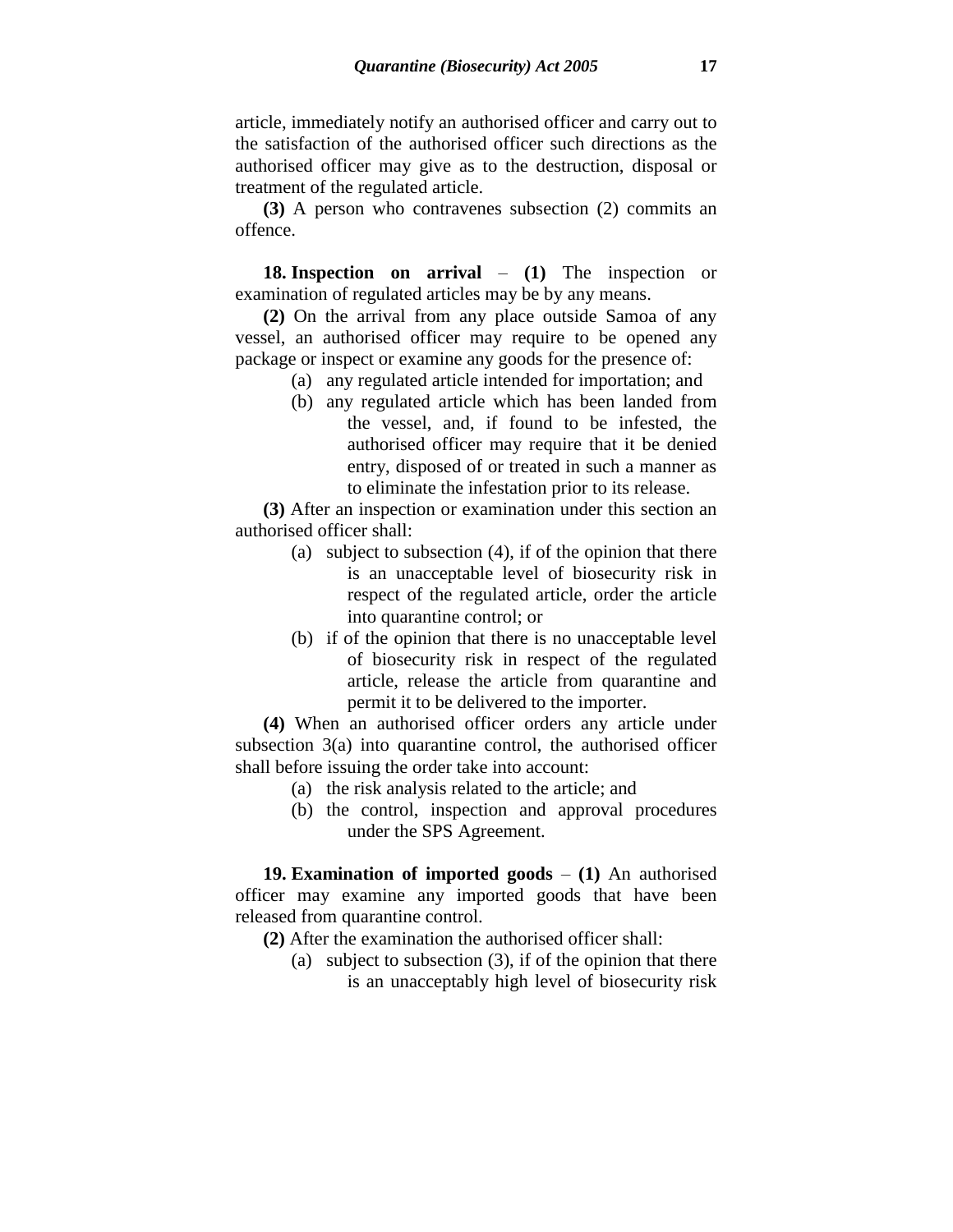article, immediately notify an authorised officer and carry out to the satisfaction of the authorised officer such directions as the authorised officer may give as to the destruction, disposal or treatment of the regulated article.

**(3)** A person who contravenes subsection (2) commits an offence.

**18. Inspection on arrival** – **(1)** The inspection or examination of regulated articles may be by any means.

**(2)** On the arrival from any place outside Samoa of any vessel, an authorised officer may require to be opened any package or inspect or examine any goods for the presence of:

- (a) any regulated article intended for importation; and
- (b) any regulated article which has been landed from the vessel, and, if found to be infested, the authorised officer may require that it be denied entry, disposed of or treated in such a manner as to eliminate the infestation prior to its release.

**(3)** After an inspection or examination under this section an authorised officer shall:

- (a) subject to subsection (4), if of the opinion that there is an unacceptable level of biosecurity risk in respect of the regulated article, order the article into quarantine control; or
- (b) if of the opinion that there is no unacceptable level of biosecurity risk in respect of the regulated article, release the article from quarantine and permit it to be delivered to the importer.

**(4)** When an authorised officer orders any article under subsection 3(a) into quarantine control, the authorised officer shall before issuing the order take into account:

- (a) the risk analysis related to the article; and
- (b) the control, inspection and approval procedures under the SPS Agreement.

**19. Examination of imported goods** – **(1)** An authorised officer may examine any imported goods that have been released from quarantine control.

- **(2)** After the examination the authorised officer shall:
	- (a) subject to subsection (3), if of the opinion that there is an unacceptably high level of biosecurity risk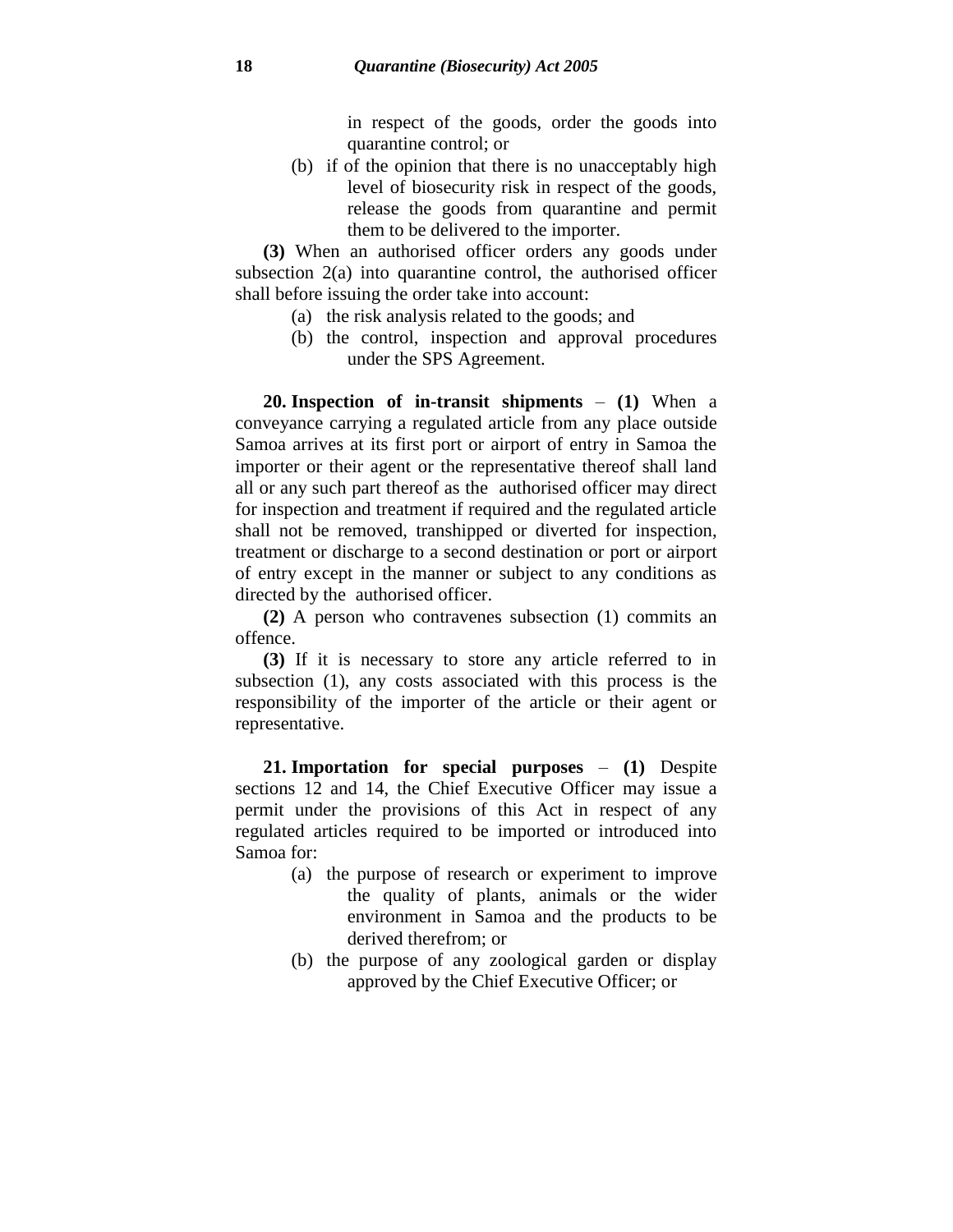in respect of the goods, order the goods into quarantine control; or

(b) if of the opinion that there is no unacceptably high level of biosecurity risk in respect of the goods, release the goods from quarantine and permit them to be delivered to the importer.

**(3)** When an authorised officer orders any goods under subsection 2(a) into quarantine control, the authorised officer shall before issuing the order take into account:

- (a) the risk analysis related to the goods; and
- (b) the control, inspection and approval procedures under the SPS Agreement.

**20. Inspection of in-transit shipments** – **(1)** When a conveyance carrying a regulated article from any place outside Samoa arrives at its first port or airport of entry in Samoa the importer or their agent or the representative thereof shall land all or any such part thereof as the authorised officer may direct for inspection and treatment if required and the regulated article shall not be removed, transhipped or diverted for inspection, treatment or discharge to a second destination or port or airport of entry except in the manner or subject to any conditions as directed by the authorised officer.

**(2)** A person who contravenes subsection (1) commits an offence.

**(3)** If it is necessary to store any article referred to in subsection (1), any costs associated with this process is the responsibility of the importer of the article or their agent or representative.

**21. Importation for special purposes** – **(1)** Despite sections 12 and 14, the Chief Executive Officer may issue a permit under the provisions of this Act in respect of any regulated articles required to be imported or introduced into Samoa for:

- (a) the purpose of research or experiment to improve the quality of plants, animals or the wider environment in Samoa and the products to be derived therefrom; or
- (b) the purpose of any zoological garden or display approved by the Chief Executive Officer; or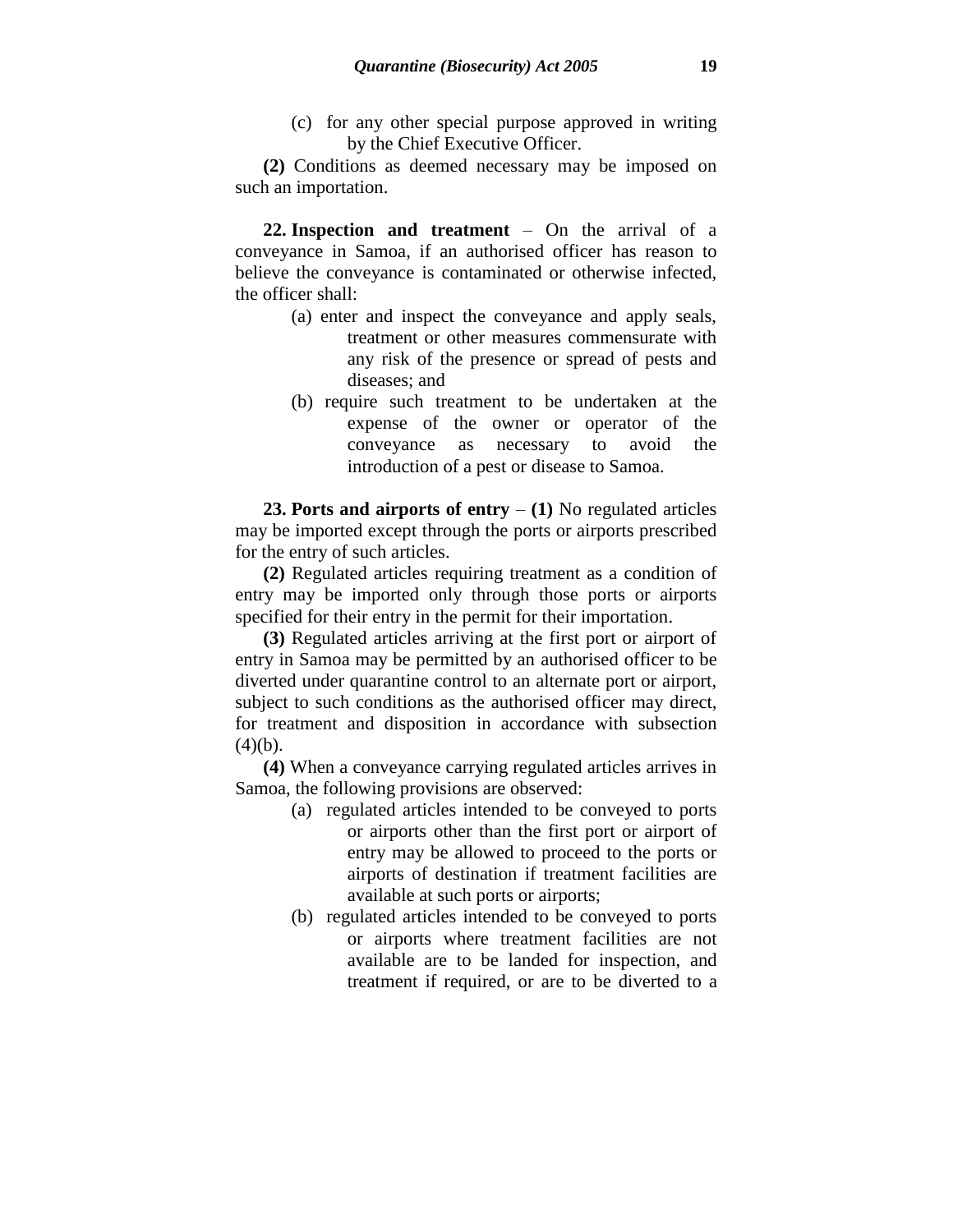(c) for any other special purpose approved in writing by the Chief Executive Officer.

**(2)** Conditions as deemed necessary may be imposed on such an importation.

**22. Inspection and treatment** – On the arrival of a conveyance in Samoa, if an authorised officer has reason to believe the conveyance is contaminated or otherwise infected, the officer shall:

- (a) enter and inspect the conveyance and apply seals, treatment or other measures commensurate with any risk of the presence or spread of pests and diseases; and
- (b) require such treatment to be undertaken at the expense of the owner or operator of the conveyance as necessary to avoid the introduction of a pest or disease to Samoa.

**23. Ports and airports of entry** – **(1)** No regulated articles may be imported except through the ports or airports prescribed for the entry of such articles.

**(2)** Regulated articles requiring treatment as a condition of entry may be imported only through those ports or airports specified for their entry in the permit for their importation.

**(3)** Regulated articles arriving at the first port or airport of entry in Samoa may be permitted by an authorised officer to be diverted under quarantine control to an alternate port or airport, subject to such conditions as the authorised officer may direct, for treatment and disposition in accordance with subsection  $(4)(b)$ .

**(4)** When a conveyance carrying regulated articles arrives in Samoa, the following provisions are observed:

- (a) regulated articles intended to be conveyed to ports or airports other than the first port or airport of entry may be allowed to proceed to the ports or airports of destination if treatment facilities are available at such ports or airports;
- (b) regulated articles intended to be conveyed to ports or airports where treatment facilities are not available are to be landed for inspection, and treatment if required, or are to be diverted to a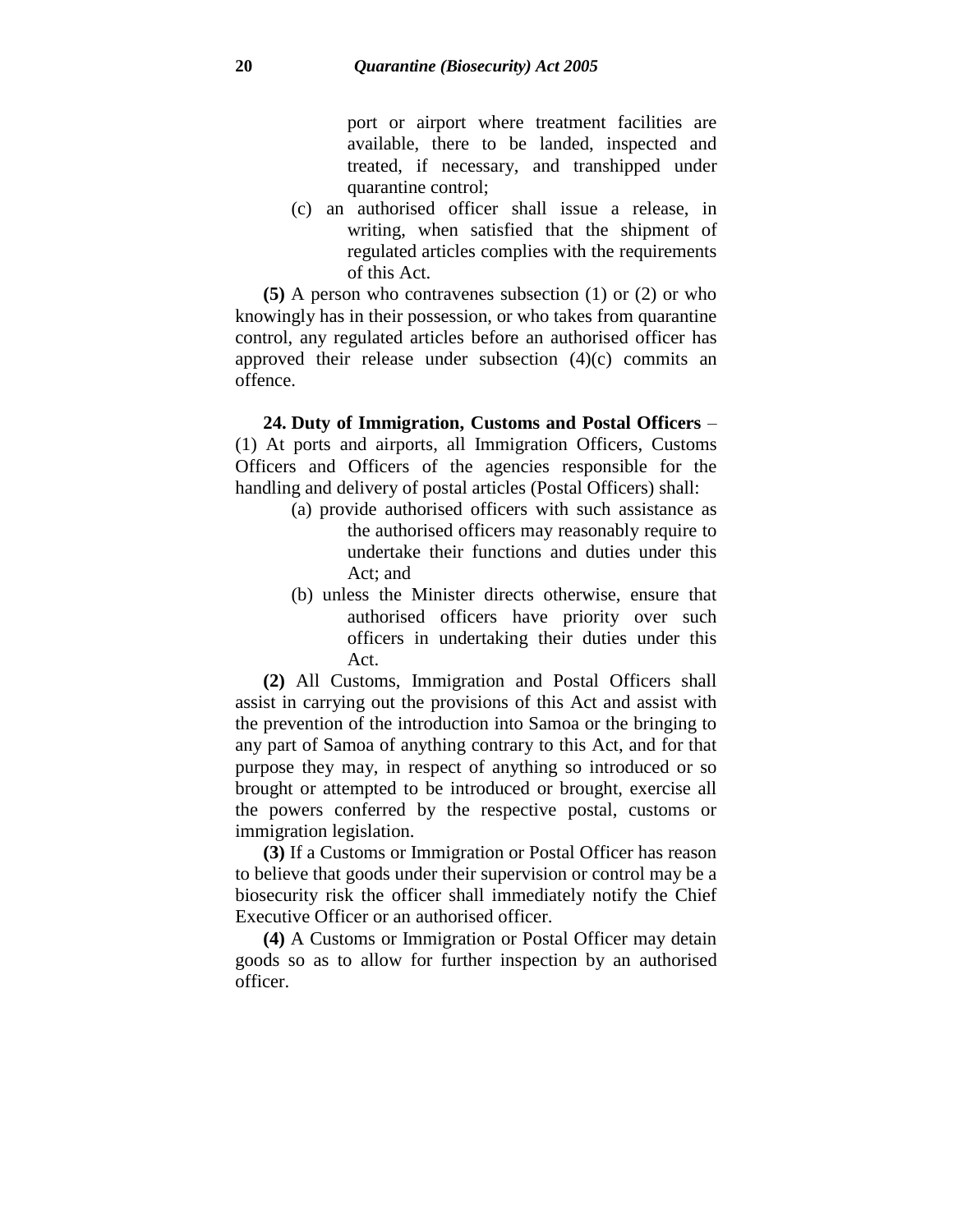port or airport where treatment facilities are available, there to be landed, inspected and treated, if necessary, and transhipped under quarantine control;

(c) an authorised officer shall issue a release, in writing, when satisfied that the shipment of regulated articles complies with the requirements of this Act.

**(5)** A person who contravenes subsection (1) or (2) or who knowingly has in their possession, or who takes from quarantine control, any regulated articles before an authorised officer has approved their release under subsection (4)(c) commits an offence.

**24. Duty of Immigration, Customs and Postal Officers** – (1) At ports and airports, all Immigration Officers, Customs Officers and Officers of the agencies responsible for the handling and delivery of postal articles (Postal Officers) shall:

- (a) provide authorised officers with such assistance as the authorised officers may reasonably require to undertake their functions and duties under this Act; and
- (b) unless the Minister directs otherwise, ensure that authorised officers have priority over such officers in undertaking their duties under this Act.

**(2)** All Customs, Immigration and Postal Officers shall assist in carrying out the provisions of this Act and assist with the prevention of the introduction into Samoa or the bringing to any part of Samoa of anything contrary to this Act, and for that purpose they may, in respect of anything so introduced or so brought or attempted to be introduced or brought, exercise all the powers conferred by the respective postal, customs or immigration legislation.

**(3)** If a Customs or Immigration or Postal Officer has reason to believe that goods under their supervision or control may be a biosecurity risk the officer shall immediately notify the Chief Executive Officer or an authorised officer.

**(4)** A Customs or Immigration or Postal Officer may detain goods so as to allow for further inspection by an authorised officer.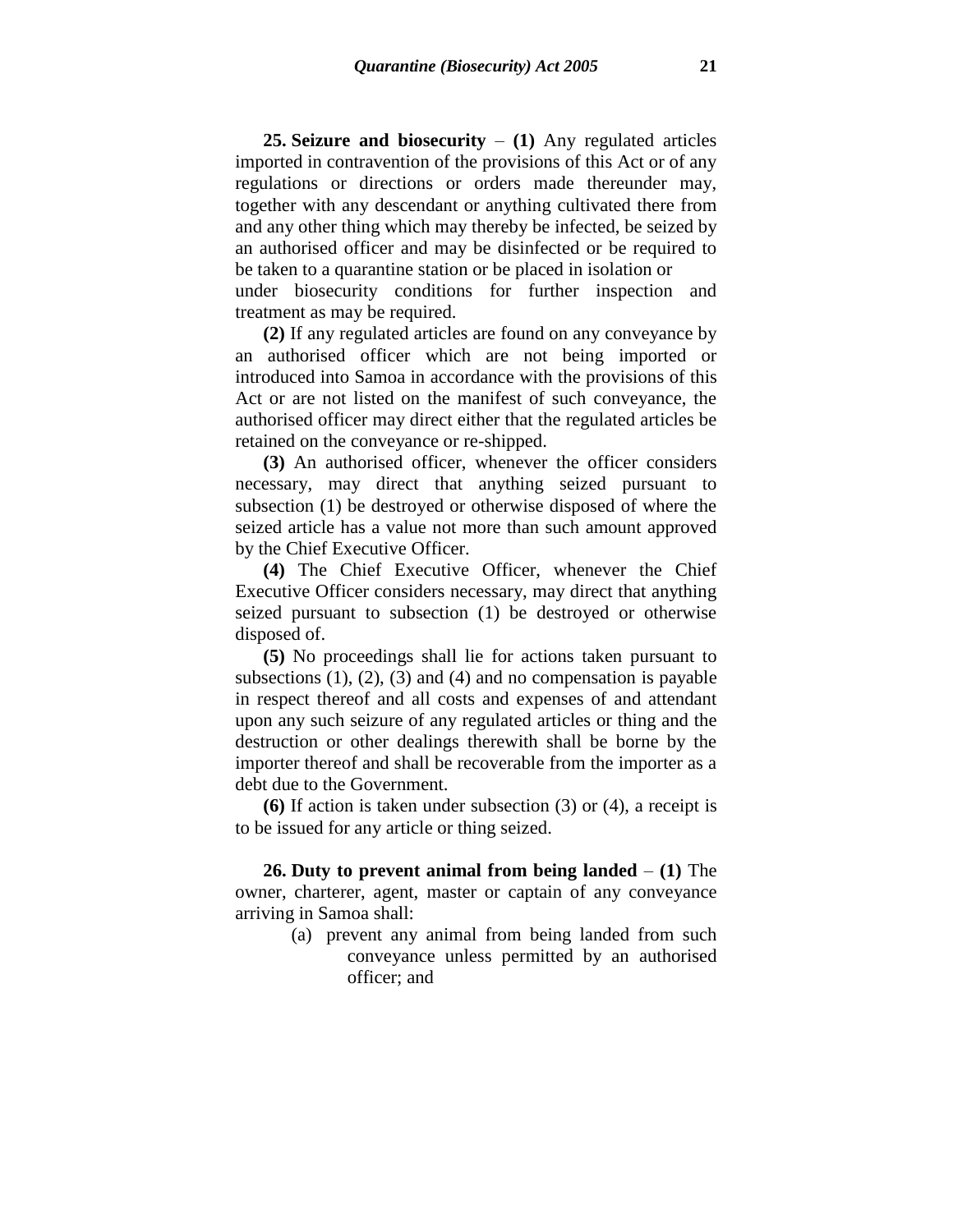**25. Seizure and biosecurity** – **(1)** Any regulated articles imported in contravention of the provisions of this Act or of any regulations or directions or orders made thereunder may, together with any descendant or anything cultivated there from and any other thing which may thereby be infected, be seized by an authorised officer and may be disinfected or be required to be taken to a quarantine station or be placed in isolation or

under biosecurity conditions for further inspection and treatment as may be required.

**(2)** If any regulated articles are found on any conveyance by an authorised officer which are not being imported or introduced into Samoa in accordance with the provisions of this Act or are not listed on the manifest of such conveyance, the authorised officer may direct either that the regulated articles be retained on the conveyance or re-shipped.

**(3)** An authorised officer, whenever the officer considers necessary, may direct that anything seized pursuant to subsection (1) be destroyed or otherwise disposed of where the seized article has a value not more than such amount approved by the Chief Executive Officer.

**(4)** The Chief Executive Officer, whenever the Chief Executive Officer considers necessary, may direct that anything seized pursuant to subsection (1) be destroyed or otherwise disposed of.

**(5)** No proceedings shall lie for actions taken pursuant to subsections  $(1)$ ,  $(2)$ ,  $(3)$  and  $(4)$  and no compensation is payable in respect thereof and all costs and expenses of and attendant upon any such seizure of any regulated articles or thing and the destruction or other dealings therewith shall be borne by the importer thereof and shall be recoverable from the importer as a debt due to the Government.

**(6)** If action is taken under subsection (3) or (4), a receipt is to be issued for any article or thing seized.

**26. Duty to prevent animal from being landed** – **(1)** The owner, charterer, agent, master or captain of any conveyance arriving in Samoa shall:

> (a) prevent any animal from being landed from such conveyance unless permitted by an authorised officer; and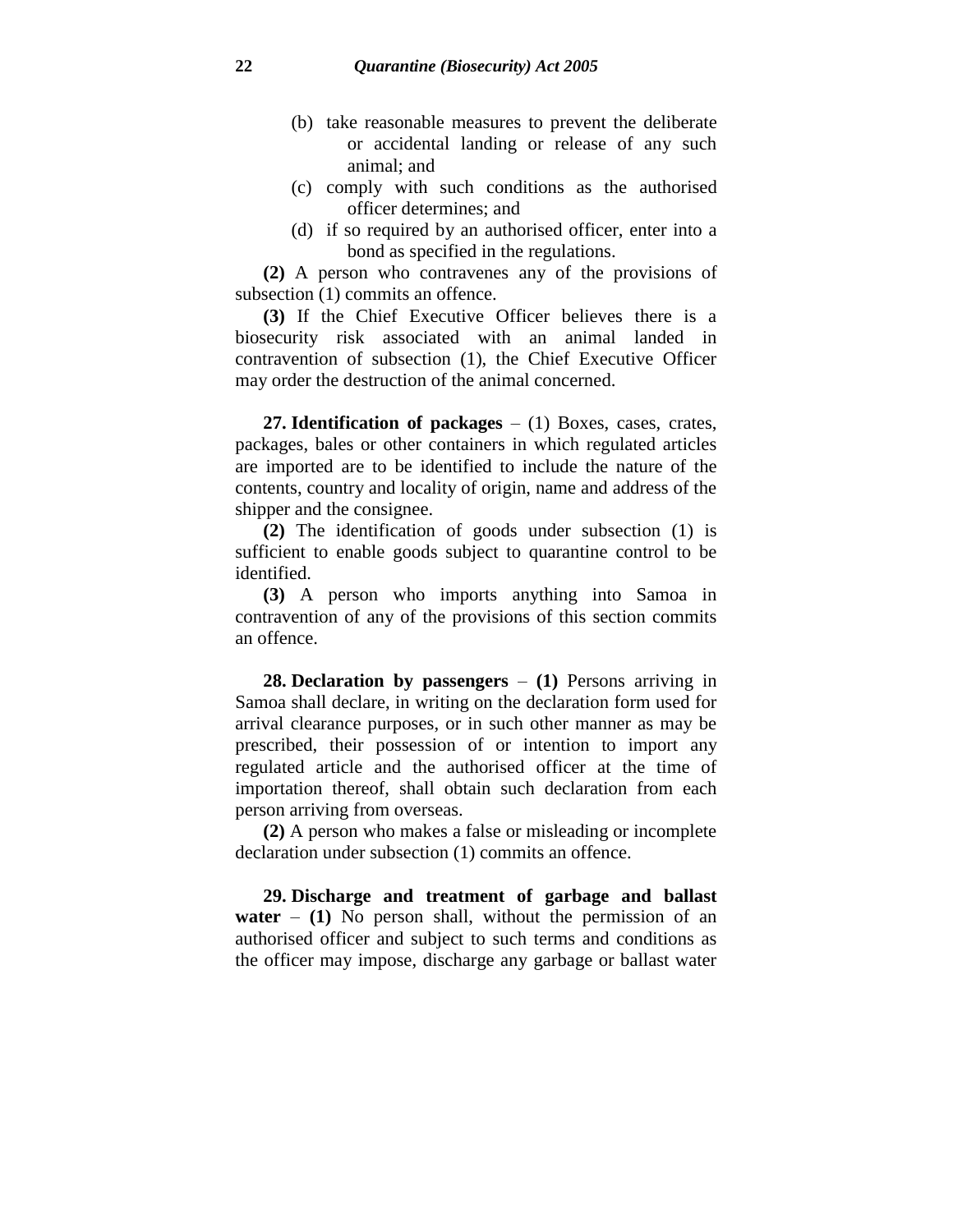- (b) take reasonable measures to prevent the deliberate or accidental landing or release of any such animal; and
- (c) comply with such conditions as the authorised officer determines; and
- (d) if so required by an authorised officer, enter into a bond as specified in the regulations.

**(2)** A person who contravenes any of the provisions of subsection (1) commits an offence.

**(3)** If the Chief Executive Officer believes there is a biosecurity risk associated with an animal landed in contravention of subsection (1), the Chief Executive Officer may order the destruction of the animal concerned.

**27. Identification of packages** – (1) Boxes, cases, crates, packages, bales or other containers in which regulated articles are imported are to be identified to include the nature of the contents, country and locality of origin, name and address of the shipper and the consignee.

**(2)** The identification of goods under subsection (1) is sufficient to enable goods subject to quarantine control to be identified.

**(3)** A person who imports anything into Samoa in contravention of any of the provisions of this section commits an offence.

**28. Declaration by passengers** – **(1)** Persons arriving in Samoa shall declare, in writing on the declaration form used for arrival clearance purposes, or in such other manner as may be prescribed, their possession of or intention to import any regulated article and the authorised officer at the time of importation thereof, shall obtain such declaration from each person arriving from overseas.

**(2)** A person who makes a false or misleading or incomplete declaration under subsection (1) commits an offence.

**29. Discharge and treatment of garbage and ballast water** – **(1)** No person shall, without the permission of an authorised officer and subject to such terms and conditions as the officer may impose, discharge any garbage or ballast water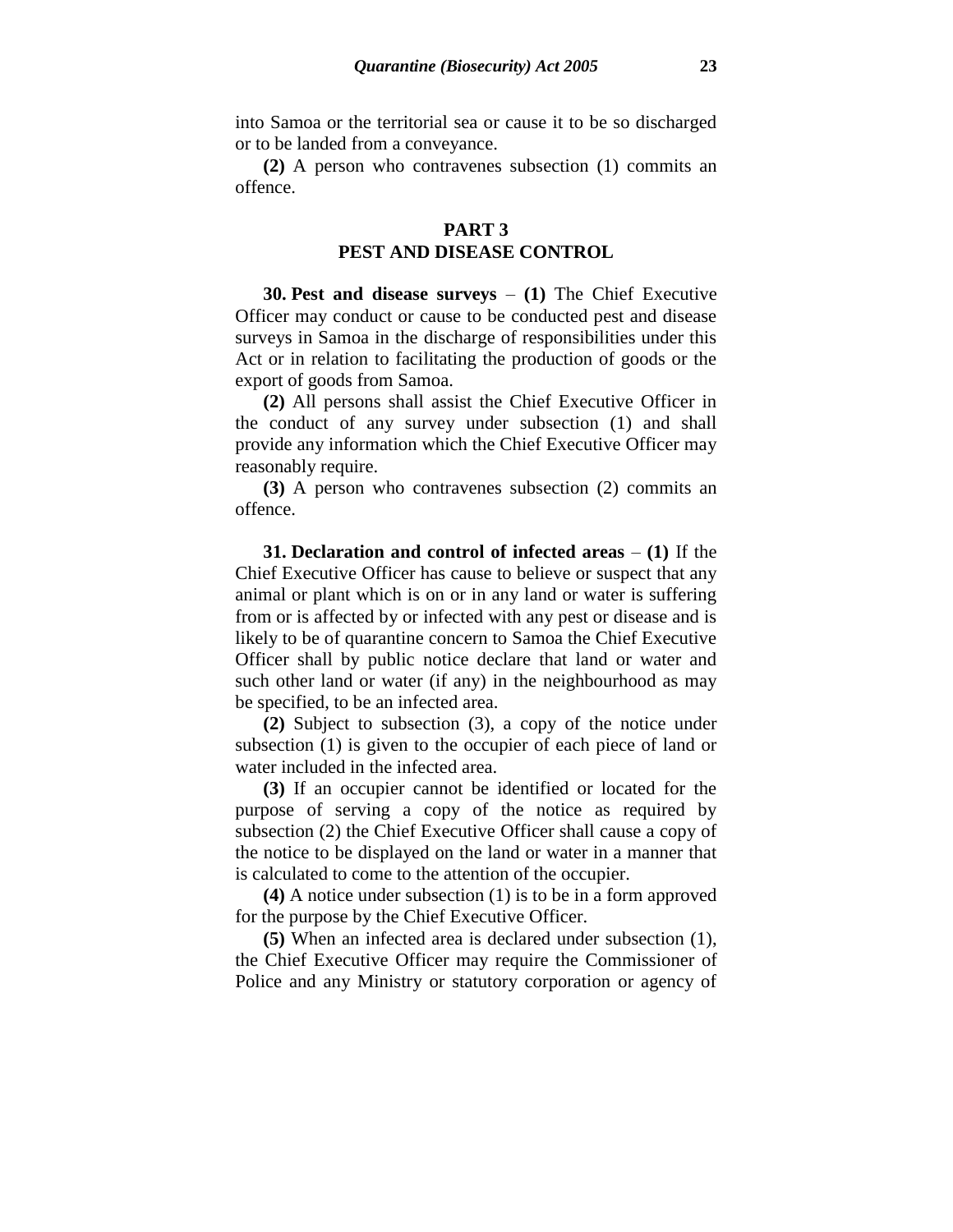into Samoa or the territorial sea or cause it to be so discharged or to be landed from a conveyance.

**(2)** A person who contravenes subsection (1) commits an offence.

### **PART 3 PEST AND DISEASE CONTROL**

**30. Pest and disease surveys** – **(1)** The Chief Executive Officer may conduct or cause to be conducted pest and disease surveys in Samoa in the discharge of responsibilities under this Act or in relation to facilitating the production of goods or the export of goods from Samoa.

**(2)** All persons shall assist the Chief Executive Officer in the conduct of any survey under subsection (1) and shall provide any information which the Chief Executive Officer may reasonably require.

**(3)** A person who contravenes subsection (2) commits an offence.

**31. Declaration and control of infected areas** – **(1)** If the Chief Executive Officer has cause to believe or suspect that any animal or plant which is on or in any land or water is suffering from or is affected by or infected with any pest or disease and is likely to be of quarantine concern to Samoa the Chief Executive Officer shall by public notice declare that land or water and such other land or water (if any) in the neighbourhood as may be specified, to be an infected area.

**(2)** Subject to subsection (3), a copy of the notice under subsection (1) is given to the occupier of each piece of land or water included in the infected area.

**(3)** If an occupier cannot be identified or located for the purpose of serving a copy of the notice as required by subsection (2) the Chief Executive Officer shall cause a copy of the notice to be displayed on the land or water in a manner that is calculated to come to the attention of the occupier.

**(4)** A notice under subsection (1) is to be in a form approved for the purpose by the Chief Executive Officer.

**(5)** When an infected area is declared under subsection (1), the Chief Executive Officer may require the Commissioner of Police and any Ministry or statutory corporation or agency of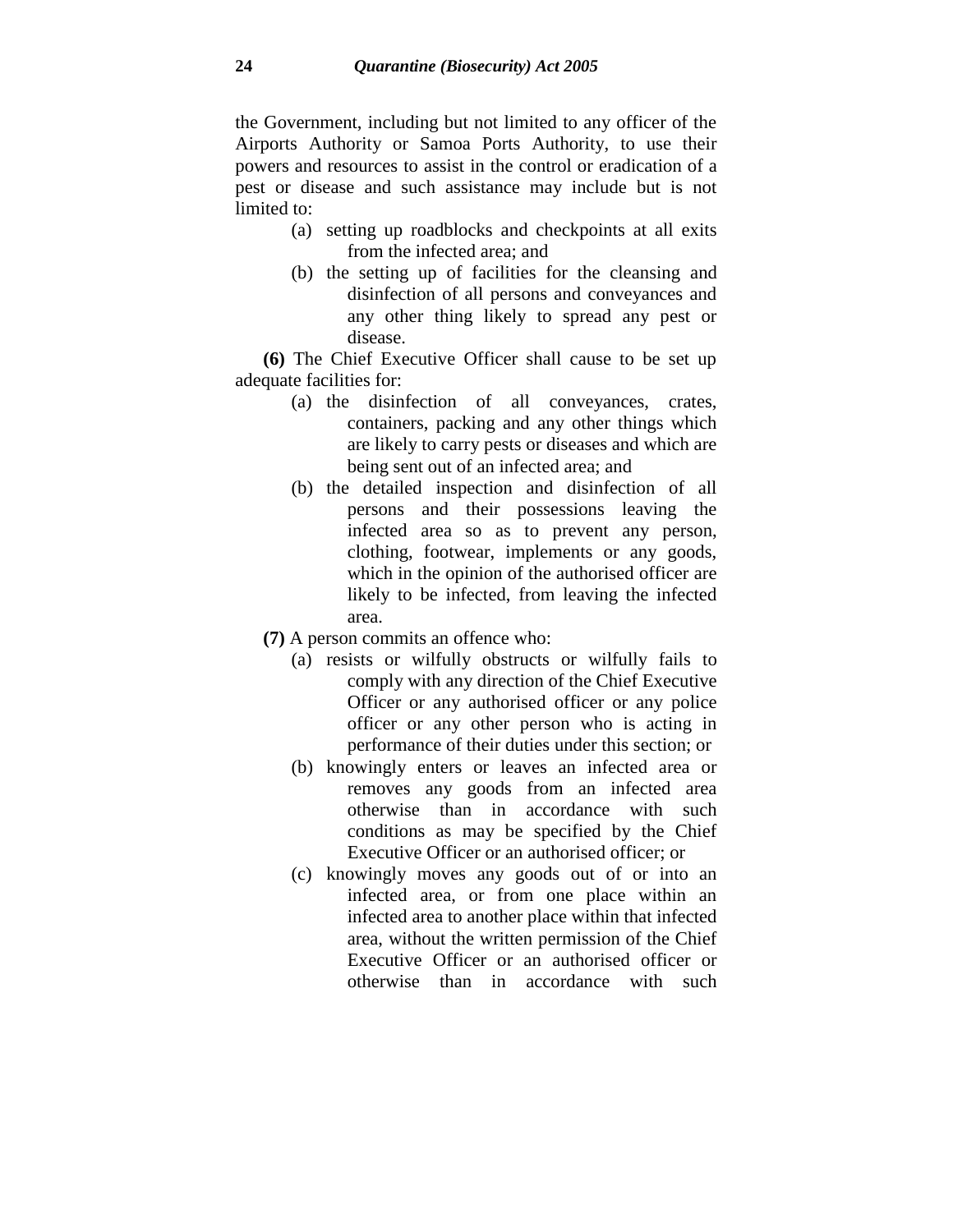the Government, including but not limited to any officer of the Airports Authority or Samoa Ports Authority, to use their powers and resources to assist in the control or eradication of a pest or disease and such assistance may include but is not limited to:

- (a) setting up roadblocks and checkpoints at all exits from the infected area; and
- (b) the setting up of facilities for the cleansing and disinfection of all persons and conveyances and any other thing likely to spread any pest or disease.

**(6)** The Chief Executive Officer shall cause to be set up adequate facilities for:

- (a) the disinfection of all conveyances, crates, containers, packing and any other things which are likely to carry pests or diseases and which are being sent out of an infected area; and
- (b) the detailed inspection and disinfection of all persons and their possessions leaving the infected area so as to prevent any person, clothing, footwear, implements or any goods, which in the opinion of the authorised officer are likely to be infected, from leaving the infected area.
- **(7)** A person commits an offence who:
	- (a) resists or wilfully obstructs or wilfully fails to comply with any direction of the Chief Executive Officer or any authorised officer or any police officer or any other person who is acting in performance of their duties under this section; or
	- (b) knowingly enters or leaves an infected area or removes any goods from an infected area otherwise than in accordance with such conditions as may be specified by the Chief Executive Officer or an authorised officer; or
	- (c) knowingly moves any goods out of or into an infected area, or from one place within an infected area to another place within that infected area, without the written permission of the Chief Executive Officer or an authorised officer or otherwise than in accordance with such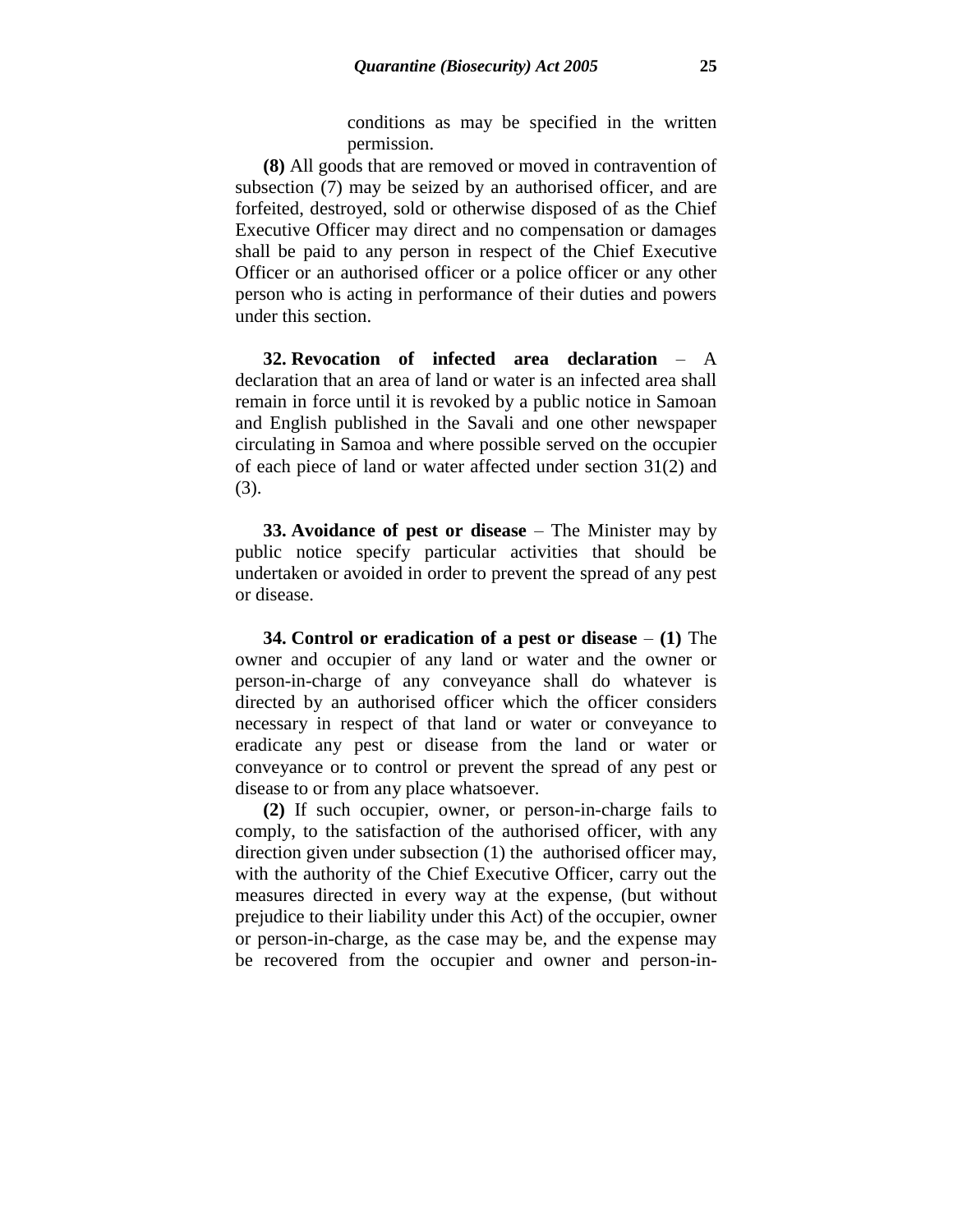conditions as may be specified in the written permission.

**(8)** All goods that are removed or moved in contravention of subsection (7) may be seized by an authorised officer, and are forfeited, destroyed, sold or otherwise disposed of as the Chief Executive Officer may direct and no compensation or damages shall be paid to any person in respect of the Chief Executive Officer or an authorised officer or a police officer or any other person who is acting in performance of their duties and powers under this section.

**32. Revocation of infected area declaration** – A declaration that an area of land or water is an infected area shall remain in force until it is revoked by a public notice in Samoan and English published in the Savali and one other newspaper circulating in Samoa and where possible served on the occupier of each piece of land or water affected under section 31(2) and (3).

**33. Avoidance of pest or disease** – The Minister may by public notice specify particular activities that should be undertaken or avoided in order to prevent the spread of any pest or disease.

**34. Control or eradication of a pest or disease** – **(1)** The owner and occupier of any land or water and the owner or person-in-charge of any conveyance shall do whatever is directed by an authorised officer which the officer considers necessary in respect of that land or water or conveyance to eradicate any pest or disease from the land or water or conveyance or to control or prevent the spread of any pest or disease to or from any place whatsoever.

**(2)** If such occupier, owner, or person-in-charge fails to comply, to the satisfaction of the authorised officer, with any direction given under subsection (1) the authorised officer may, with the authority of the Chief Executive Officer, carry out the measures directed in every way at the expense, (but without prejudice to their liability under this Act) of the occupier, owner or person-in-charge, as the case may be, and the expense may be recovered from the occupier and owner and person-in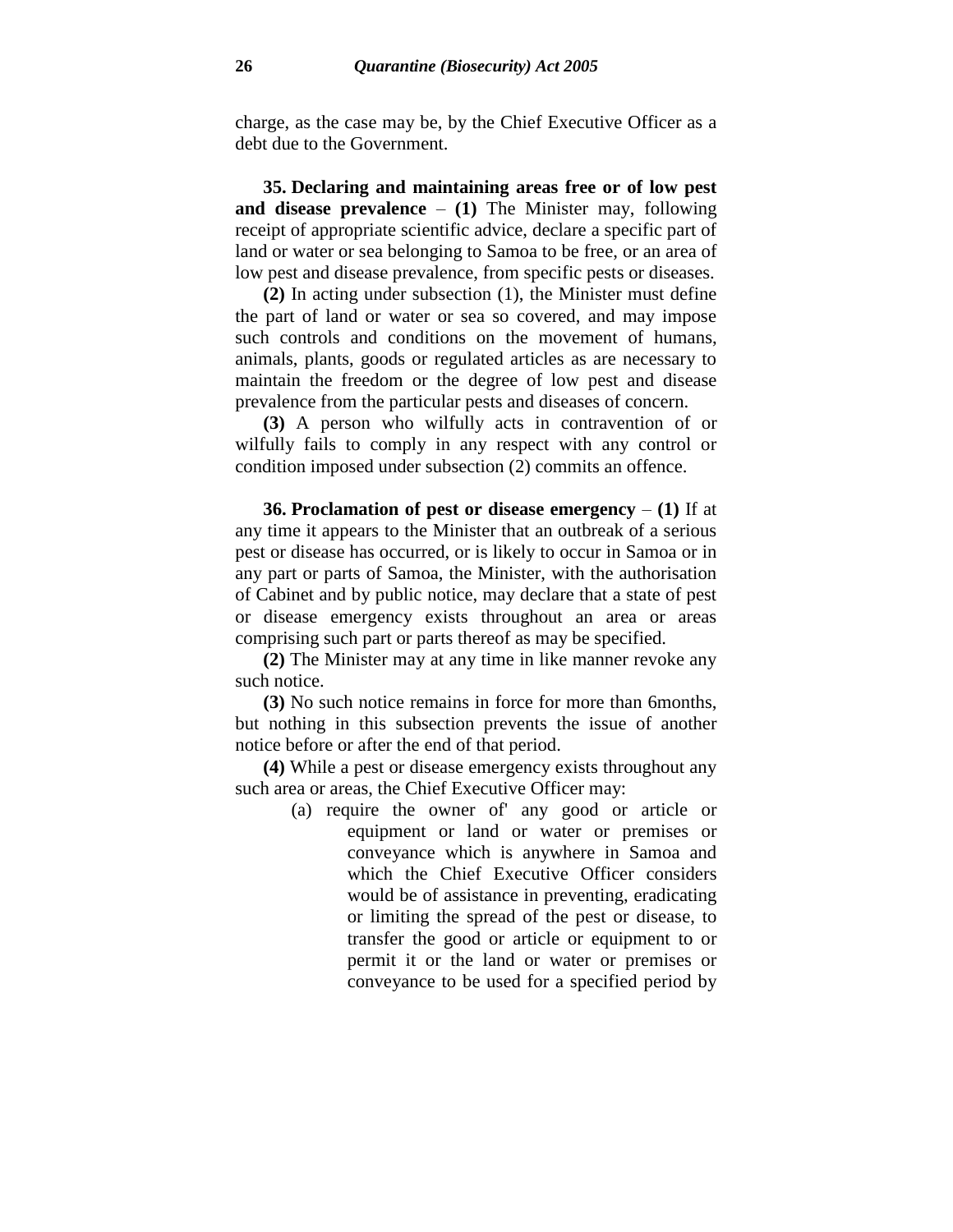charge, as the case may be, by the Chief Executive Officer as a debt due to the Government.

**35. Declaring and maintaining areas free or of low pest and disease prevalence** – **(1)** The Minister may, following receipt of appropriate scientific advice, declare a specific part of land or water or sea belonging to Samoa to be free, or an area of low pest and disease prevalence, from specific pests or diseases.

**(2)** In acting under subsection (1), the Minister must define the part of land or water or sea so covered, and may impose such controls and conditions on the movement of humans, animals, plants, goods or regulated articles as are necessary to maintain the freedom or the degree of low pest and disease prevalence from the particular pests and diseases of concern.

**(3)** A person who wilfully acts in contravention of or wilfully fails to comply in any respect with any control or condition imposed under subsection (2) commits an offence.

**36. Proclamation of pest or disease emergency** – **(1)** If at any time it appears to the Minister that an outbreak of a serious pest or disease has occurred, or is likely to occur in Samoa or in any part or parts of Samoa, the Minister, with the authorisation of Cabinet and by public notice, may declare that a state of pest or disease emergency exists throughout an area or areas comprising such part or parts thereof as may be specified.

**(2)** The Minister may at any time in like manner revoke any such notice.

**(3)** No such notice remains in force for more than 6months, but nothing in this subsection prevents the issue of another notice before or after the end of that period.

**(4)** While a pest or disease emergency exists throughout any such area or areas, the Chief Executive Officer may:

> (a) require the owner of' any good or article or equipment or land or water or premises or conveyance which is anywhere in Samoa and which the Chief Executive Officer considers would be of assistance in preventing, eradicating or limiting the spread of the pest or disease, to transfer the good or article or equipment to or permit it or the land or water or premises or conveyance to be used for a specified period by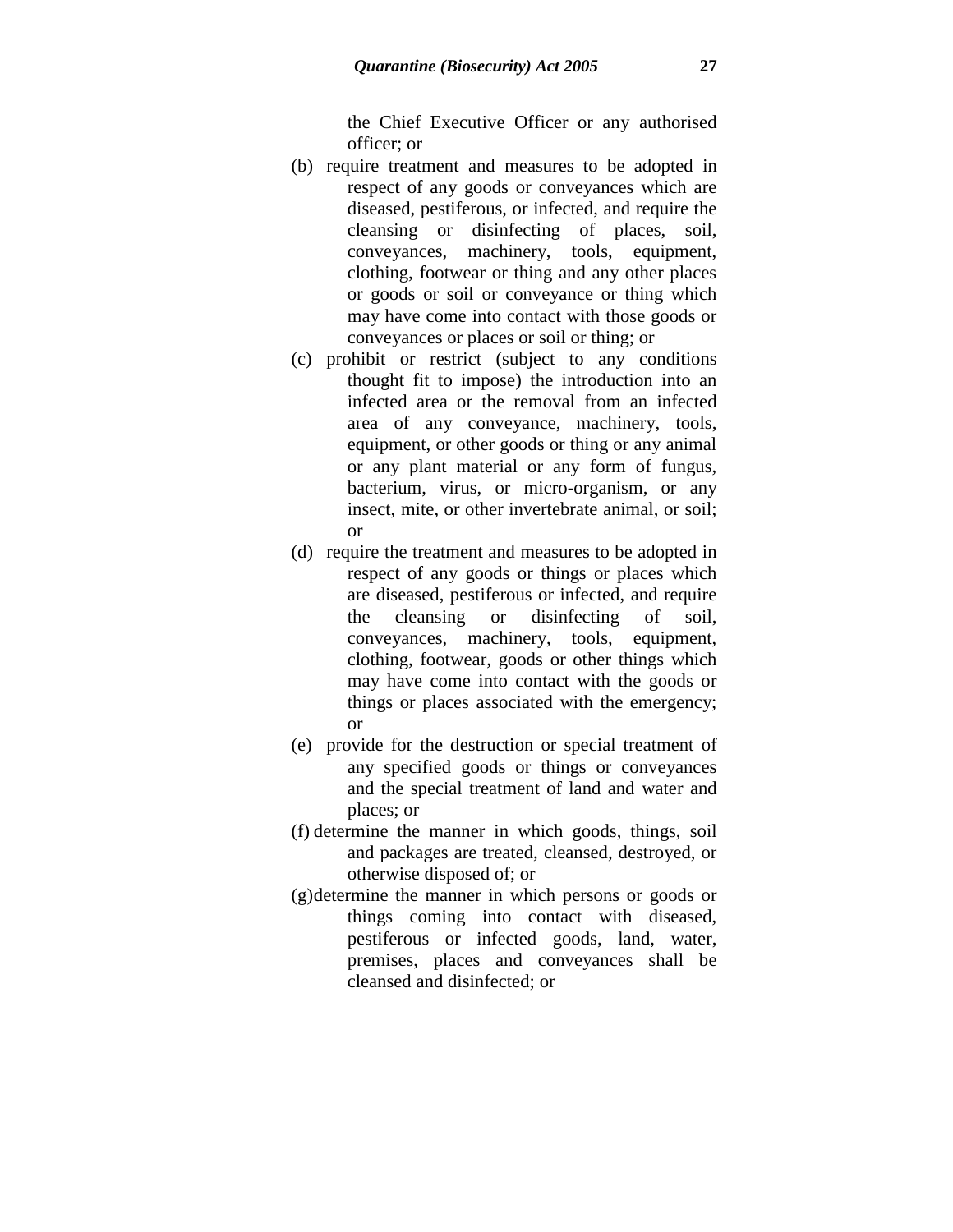the Chief Executive Officer or any authorised officer; or

- (b) require treatment and measures to be adopted in respect of any goods or conveyances which are diseased, pestiferous, or infected, and require the cleansing or disinfecting of places, soil, conveyances, machinery, tools, equipment, clothing, footwear or thing and any other places or goods or soil or conveyance or thing which may have come into contact with those goods or conveyances or places or soil or thing; or
- (c) prohibit or restrict (subject to any conditions thought fit to impose) the introduction into an infected area or the removal from an infected area of any conveyance, machinery, tools, equipment, or other goods or thing or any animal or any plant material or any form of fungus, bacterium, virus, or micro-organism, or any insect, mite, or other invertebrate animal, or soil; or
- (d) require the treatment and measures to be adopted in respect of any goods or things or places which are diseased, pestiferous or infected, and require the cleansing or disinfecting of soil, conveyances, machinery, tools, equipment, clothing, footwear, goods or other things which may have come into contact with the goods or things or places associated with the emergency; or
- (e) provide for the destruction or special treatment of any specified goods or things or conveyances and the special treatment of land and water and places; or
- (f) determine the manner in which goods, things, soil and packages are treated, cleansed, destroyed, or otherwise disposed of; or
- (g)determine the manner in which persons or goods or things coming into contact with diseased, pestiferous or infected goods, land, water, premises, places and conveyances shall be cleansed and disinfected; or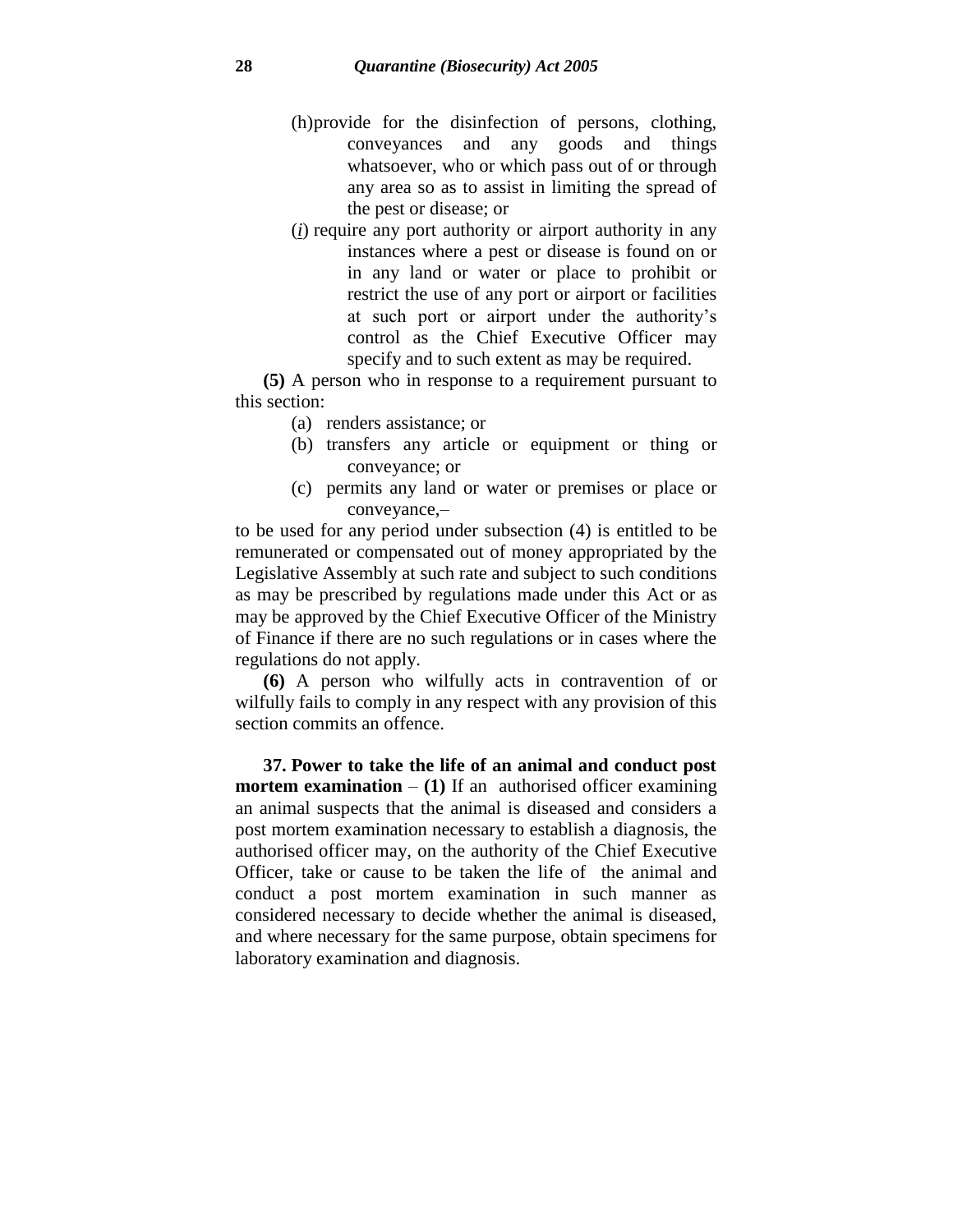- (h)provide for the disinfection of persons, clothing, conveyances and any goods and things whatsoever, who or which pass out of or through any area so as to assist in limiting the spread of the pest or disease; or
- (*i*) require any port authority or airport authority in any instances where a pest or disease is found on or in any land or water or place to prohibit or restrict the use of any port or airport or facilities at such port or airport under the authority's control as the Chief Executive Officer may specify and to such extent as may be required.

**(5)** A person who in response to a requirement pursuant to this section:

- (a) renders assistance; or
- (b) transfers any article or equipment or thing or conveyance; or
- (c) permits any land or water or premises or place or conveyance,–

to be used for any period under subsection (4) is entitled to be remunerated or compensated out of money appropriated by the Legislative Assembly at such rate and subject to such conditions as may be prescribed by regulations made under this Act or as may be approved by the Chief Executive Officer of the Ministry of Finance if there are no such regulations or in cases where the regulations do not apply.

**(6)** A person who wilfully acts in contravention of or wilfully fails to comply in any respect with any provision of this section commits an offence.

**37. Power to take the life of an animal and conduct post mortem examination** – **(1)** If an authorised officer examining an animal suspects that the animal is diseased and considers a post mortem examination necessary to establish a diagnosis, the authorised officer may, on the authority of the Chief Executive Officer, take or cause to be taken the life of the animal and conduct a post mortem examination in such manner as considered necessary to decide whether the animal is diseased, and where necessary for the same purpose, obtain specimens for laboratory examination and diagnosis.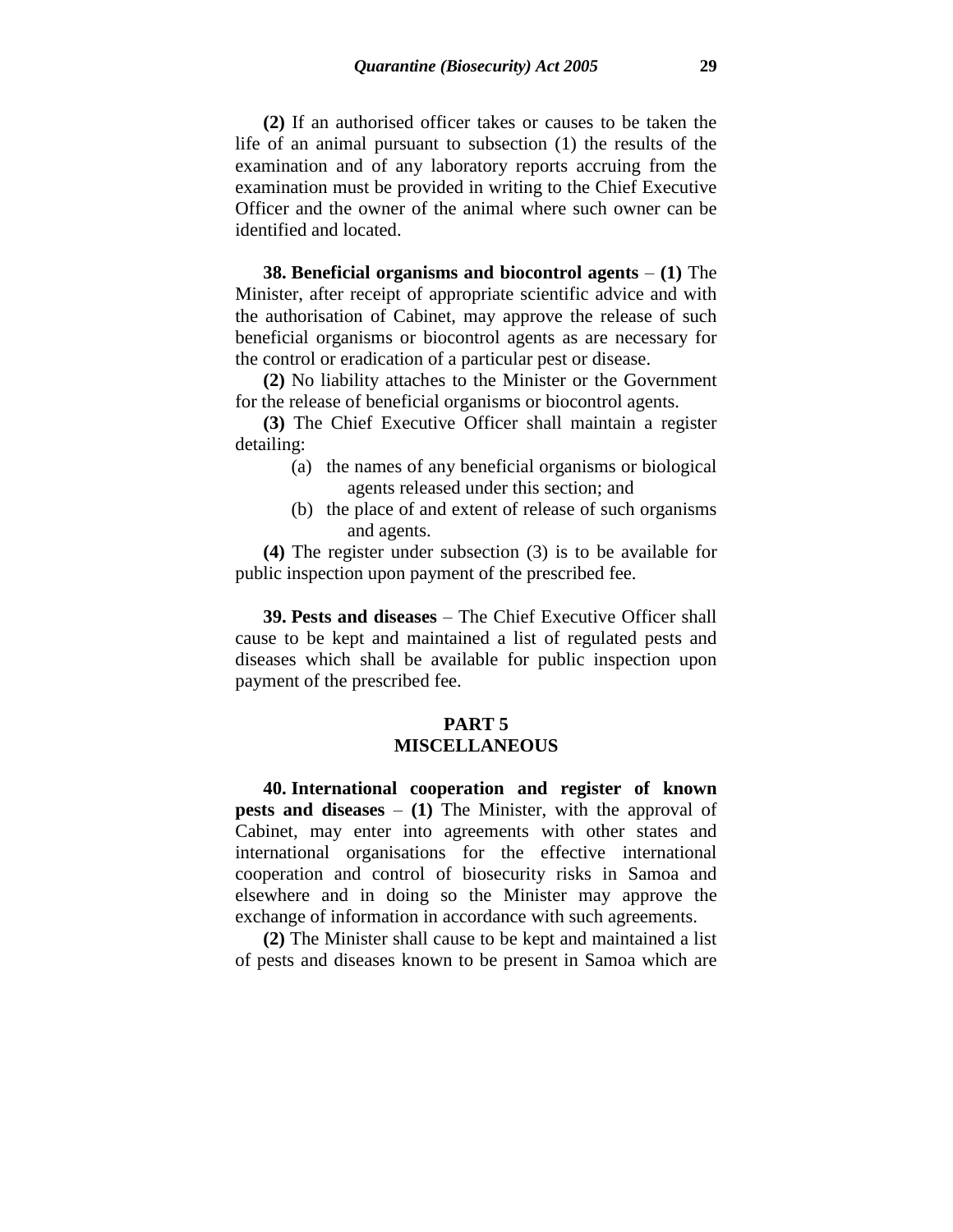**(2)** If an authorised officer takes or causes to be taken the life of an animal pursuant to subsection (1) the results of the examination and of any laboratory reports accruing from the examination must be provided in writing to the Chief Executive Officer and the owner of the animal where such owner can be identified and located.

**38. Beneficial organisms and biocontrol agents** – **(1)** The Minister, after receipt of appropriate scientific advice and with the authorisation of Cabinet, may approve the release of such beneficial organisms or biocontrol agents as are necessary for the control or eradication of a particular pest or disease.

**(2)** No liability attaches to the Minister or the Government for the release of beneficial organisms or biocontrol agents.

**(3)** The Chief Executive Officer shall maintain a register detailing:

- (a) the names of any beneficial organisms or biological agents released under this section; and
- (b) the place of and extent of release of such organisms and agents.

**(4)** The register under subsection (3) is to be available for public inspection upon payment of the prescribed fee.

**39. Pests and diseases** – The Chief Executive Officer shall cause to be kept and maintained a list of regulated pests and diseases which shall be available for public inspection upon payment of the prescribed fee.

### **PART 5 MISCELLANEOUS**

**40. International cooperation and register of known pests and diseases** – **(1)** The Minister, with the approval of Cabinet, may enter into agreements with other states and international organisations for the effective international cooperation and control of biosecurity risks in Samoa and elsewhere and in doing so the Minister may approve the exchange of information in accordance with such agreements.

**(2)** The Minister shall cause to be kept and maintained a list of pests and diseases known to be present in Samoa which are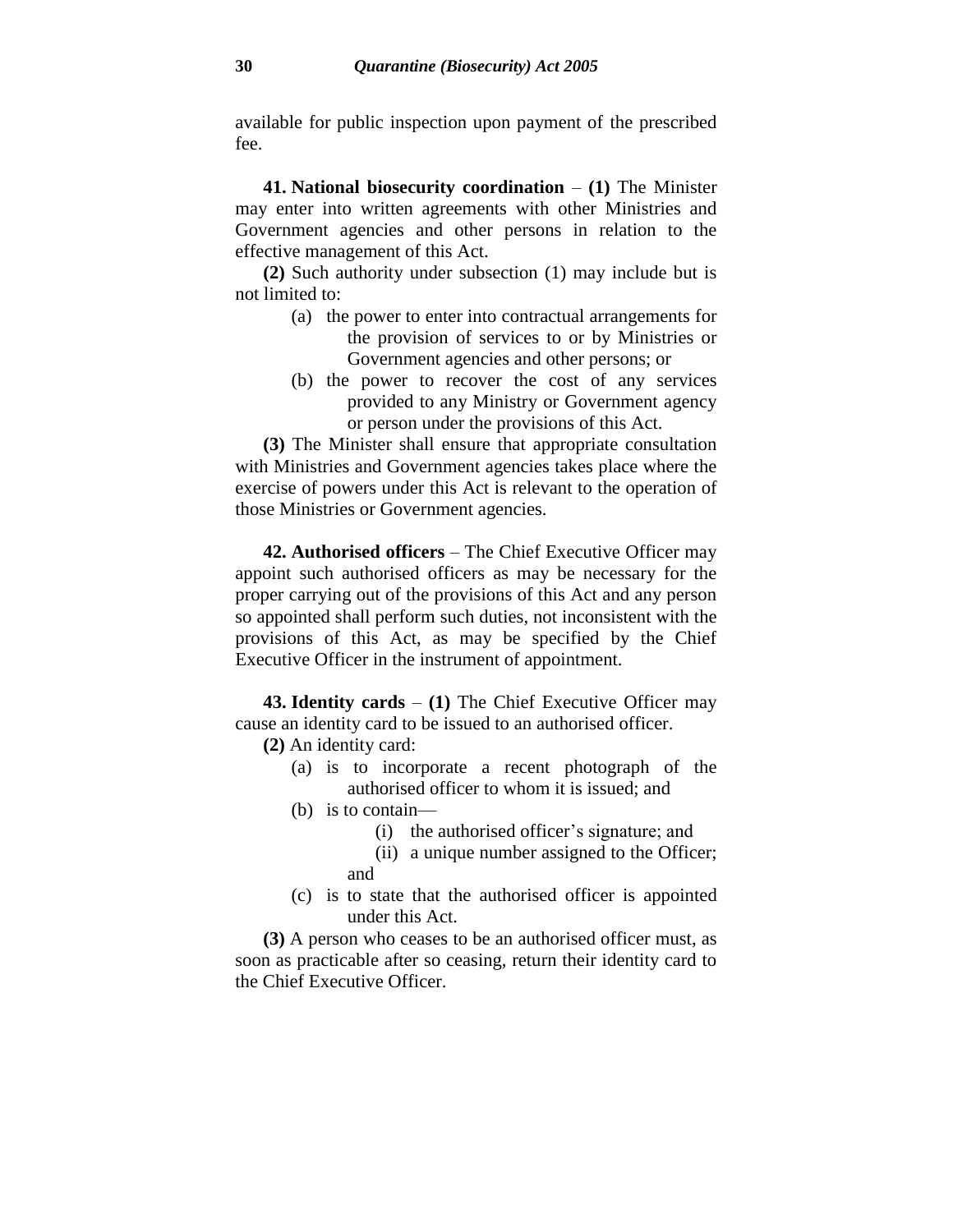available for public inspection upon payment of the prescribed fee.

**41. National biosecurity coordination** – **(1)** The Minister may enter into written agreements with other Ministries and Government agencies and other persons in relation to the effective management of this Act.

**(2)** Such authority under subsection (1) may include but is not limited to:

- (a) the power to enter into contractual arrangements for the provision of services to or by Ministries or Government agencies and other persons; or
- (b) the power to recover the cost of any services provided to any Ministry or Government agency or person under the provisions of this Act.

**(3)** The Minister shall ensure that appropriate consultation with Ministries and Government agencies takes place where the exercise of powers under this Act is relevant to the operation of those Ministries or Government agencies.

**42. Authorised officers** – The Chief Executive Officer may appoint such authorised officers as may be necessary for the proper carrying out of the provisions of this Act and any person so appointed shall perform such duties, not inconsistent with the provisions of this Act, as may be specified by the Chief Executive Officer in the instrument of appointment.

**43. Identity cards** – **(1)** The Chief Executive Officer may cause an identity card to be issued to an authorised officer.

**(2)** An identity card:

- (a) is to incorporate a recent photograph of the authorised officer to whom it is issued; and
- (b) is to contain—
	- (i) the authorised officer's signature; and
	- (ii) a unique number assigned to the Officer; and
- (c) is to state that the authorised officer is appointed under this Act.

**(3)** A person who ceases to be an authorised officer must, as soon as practicable after so ceasing, return their identity card to the Chief Executive Officer.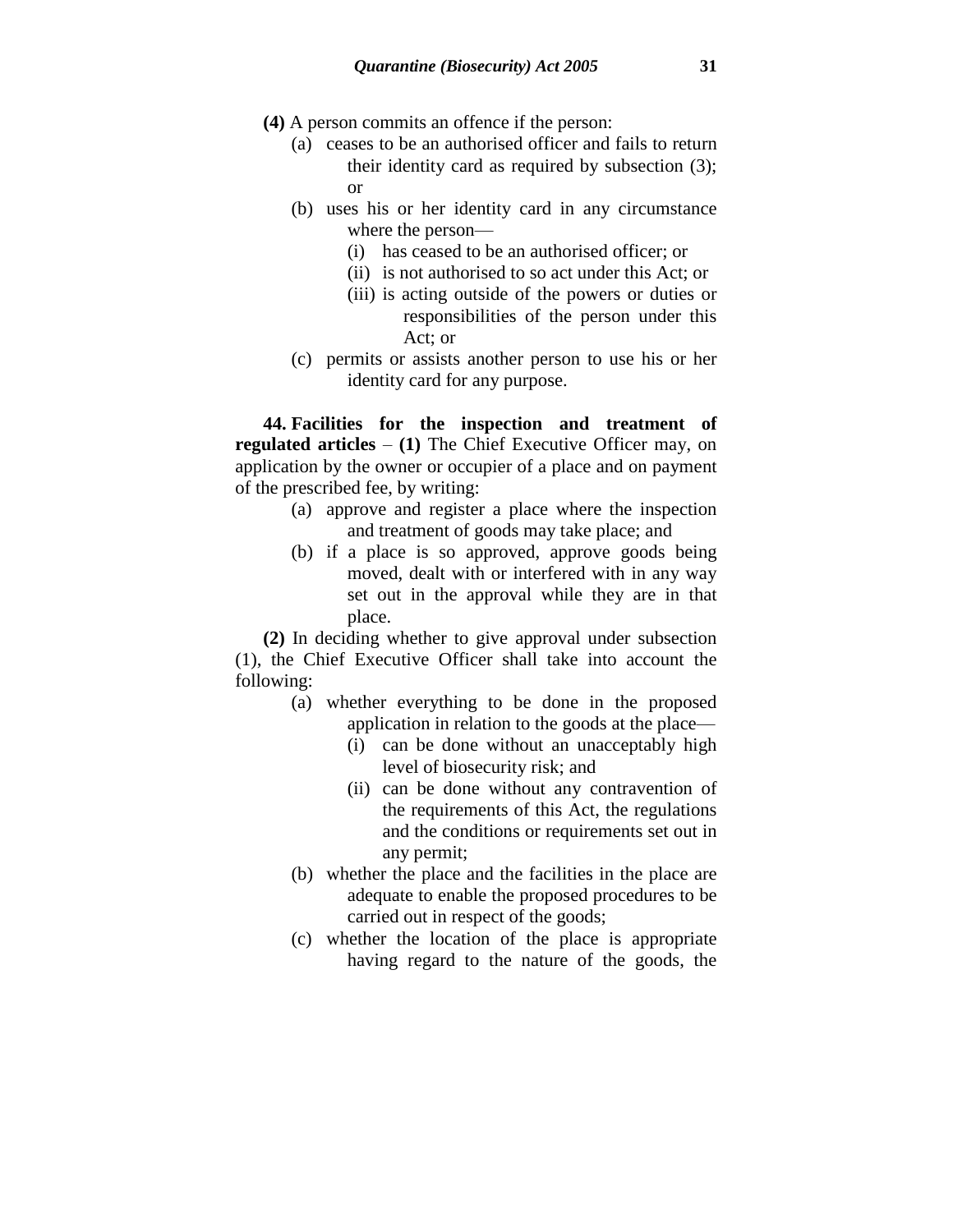- **(4)** A person commits an offence if the person:
	- (a) ceases to be an authorised officer and fails to return their identity card as required by subsection (3); or
	- (b) uses his or her identity card in any circumstance where the person—
		- (i) has ceased to be an authorised officer; or
		- (ii) is not authorised to so act under this Act; or
		- (iii) is acting outside of the powers or duties or responsibilities of the person under this Act; or
	- (c) permits or assists another person to use his or her identity card for any purpose.

**44. Facilities for the inspection and treatment of regulated articles** – **(1)** The Chief Executive Officer may, on application by the owner or occupier of a place and on payment of the prescribed fee, by writing:

- (a) approve and register a place where the inspection and treatment of goods may take place; and
- (b) if a place is so approved, approve goods being moved, dealt with or interfered with in any way set out in the approval while they are in that place.

**(2)** In deciding whether to give approval under subsection (1), the Chief Executive Officer shall take into account the following:

- (a) whether everything to be done in the proposed application in relation to the goods at the place—
	- (i) can be done without an unacceptably high level of biosecurity risk; and
	- (ii) can be done without any contravention of the requirements of this Act, the regulations and the conditions or requirements set out in any permit;
- (b) whether the place and the facilities in the place are adequate to enable the proposed procedures to be carried out in respect of the goods;
- (c) whether the location of the place is appropriate having regard to the nature of the goods, the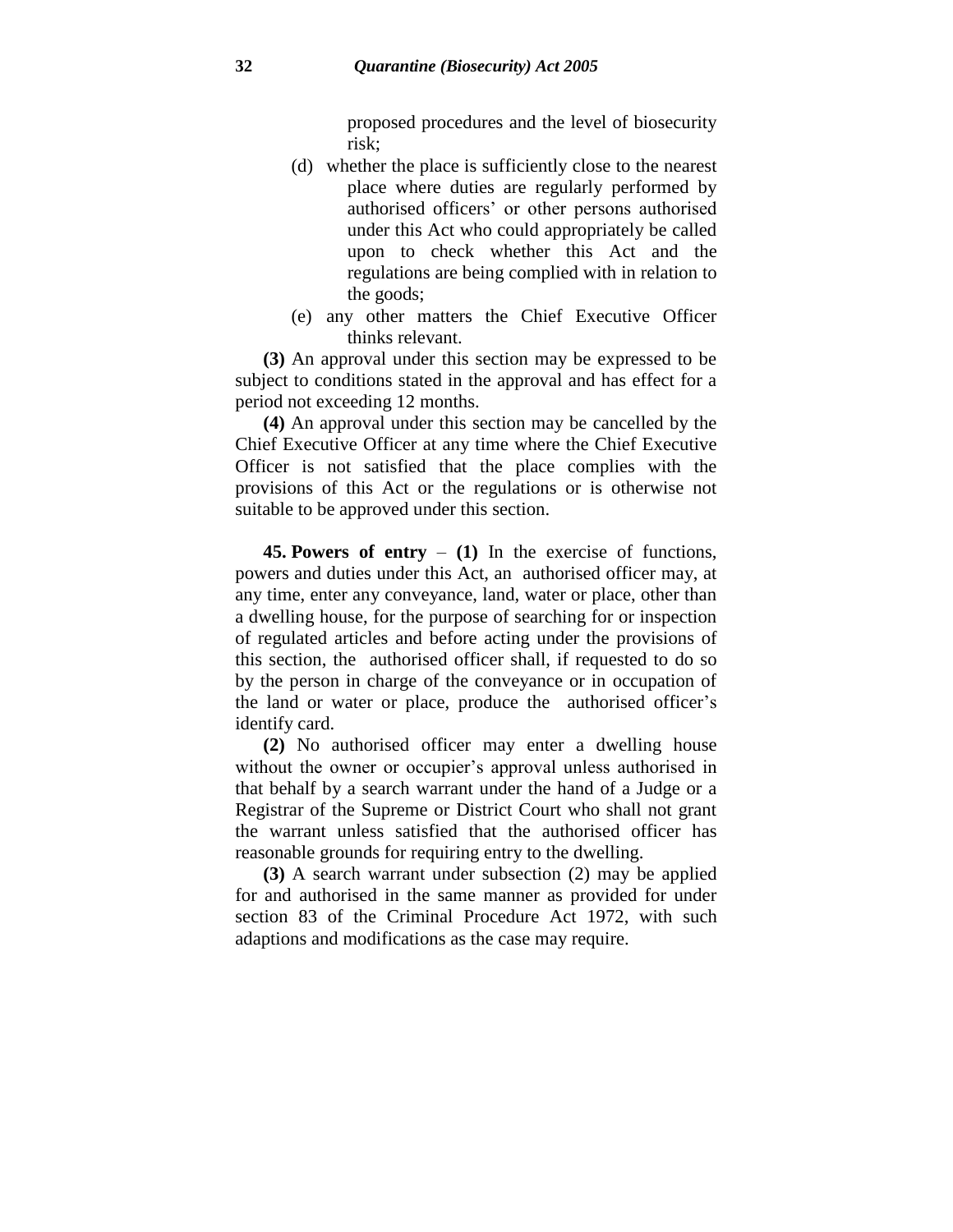proposed procedures and the level of biosecurity risk;

- (d) whether the place is sufficiently close to the nearest place where duties are regularly performed by authorised officers' or other persons authorised under this Act who could appropriately be called upon to check whether this Act and the regulations are being complied with in relation to the goods;
- (e) any other matters the Chief Executive Officer thinks relevant.

**(3)** An approval under this section may be expressed to be subject to conditions stated in the approval and has effect for a period not exceeding 12 months.

**(4)** An approval under this section may be cancelled by the Chief Executive Officer at any time where the Chief Executive Officer is not satisfied that the place complies with the provisions of this Act or the regulations or is otherwise not suitable to be approved under this section.

**45. Powers of entry** – **(1)** In the exercise of functions, powers and duties under this Act, an authorised officer may, at any time, enter any conveyance, land, water or place, other than a dwelling house, for the purpose of searching for or inspection of regulated articles and before acting under the provisions of this section, the authorised officer shall, if requested to do so by the person in charge of the conveyance or in occupation of the land or water or place, produce the authorised officer's identify card.

**(2)** No authorised officer may enter a dwelling house without the owner or occupier's approval unless authorised in that behalf by a search warrant under the hand of a Judge or a Registrar of the Supreme or District Court who shall not grant the warrant unless satisfied that the authorised officer has reasonable grounds for requiring entry to the dwelling.

**(3)** A search warrant under subsection (2) may be applied for and authorised in the same manner as provided for under section 83 of the Criminal Procedure Act 1972, with such adaptions and modifications as the case may require.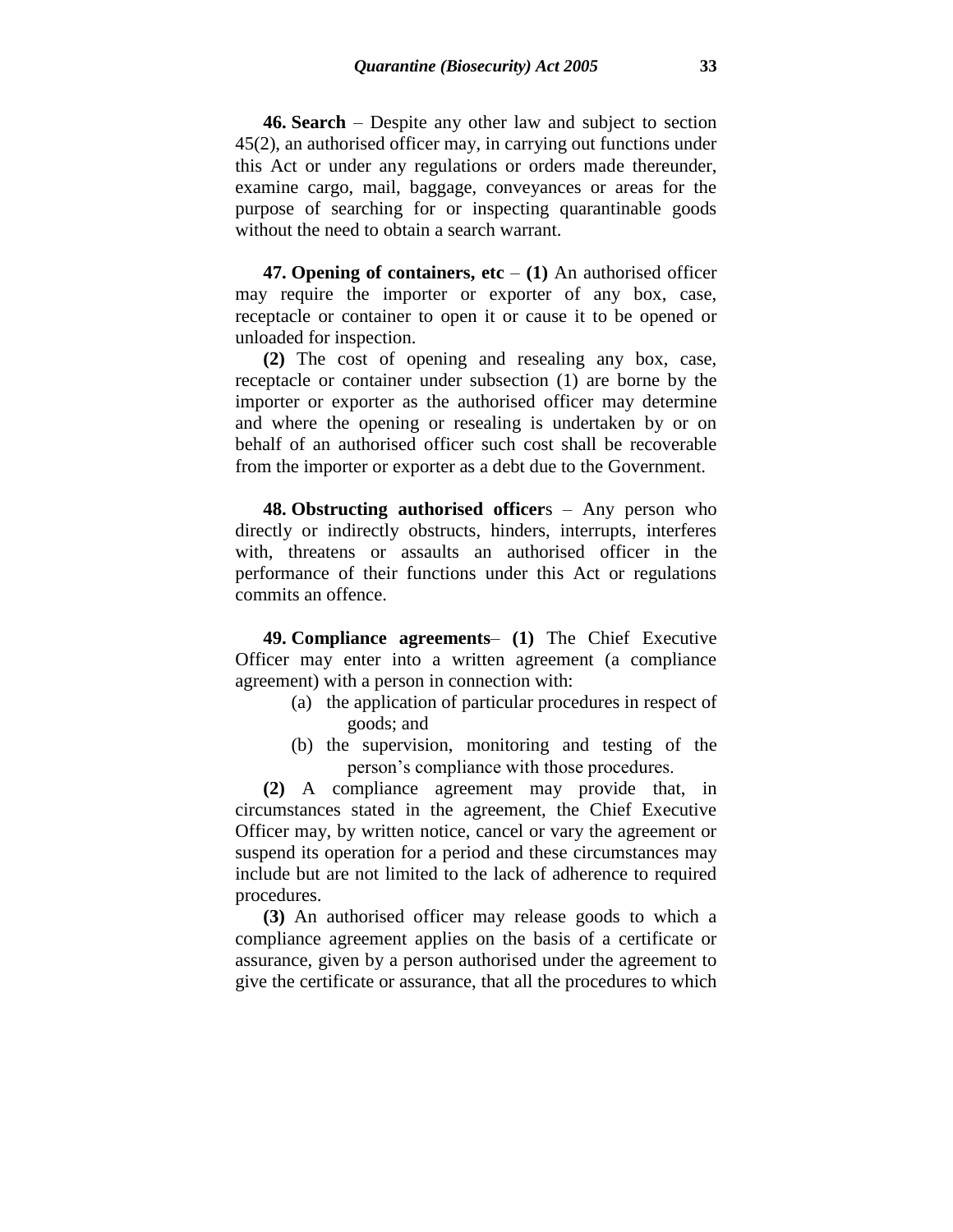**46. Search** – Despite any other law and subject to section 45(2), an authorised officer may, in carrying out functions under this Act or under any regulations or orders made thereunder, examine cargo, mail, baggage, conveyances or areas for the purpose of searching for or inspecting quarantinable goods without the need to obtain a search warrant.

**47. Opening of containers, etc**  $- (1)$  An authorised officer may require the importer or exporter of any box, case, receptacle or container to open it or cause it to be opened or unloaded for inspection.

**(2)** The cost of opening and resealing any box, case, receptacle or container under subsection (1) are borne by the importer or exporter as the authorised officer may determine and where the opening or resealing is undertaken by or on behalf of an authorised officer such cost shall be recoverable from the importer or exporter as a debt due to the Government.

**48. Obstructing authorised officer**s – Any person who directly or indirectly obstructs, hinders, interrupts, interferes with, threatens or assaults an authorised officer in the performance of their functions under this Act or regulations commits an offence.

**49. Compliance agreements**– **(1)** The Chief Executive Officer may enter into a written agreement (a compliance agreement) with a person in connection with:

- (a) the application of particular procedures in respect of goods; and
- (b) the supervision, monitoring and testing of the person's compliance with those procedures.

**(2)** A compliance agreement may provide that, in circumstances stated in the agreement, the Chief Executive Officer may, by written notice, cancel or vary the agreement or suspend its operation for a period and these circumstances may include but are not limited to the lack of adherence to required procedures.

**(3)** An authorised officer may release goods to which a compliance agreement applies on the basis of a certificate or assurance, given by a person authorised under the agreement to give the certificate or assurance, that all the procedures to which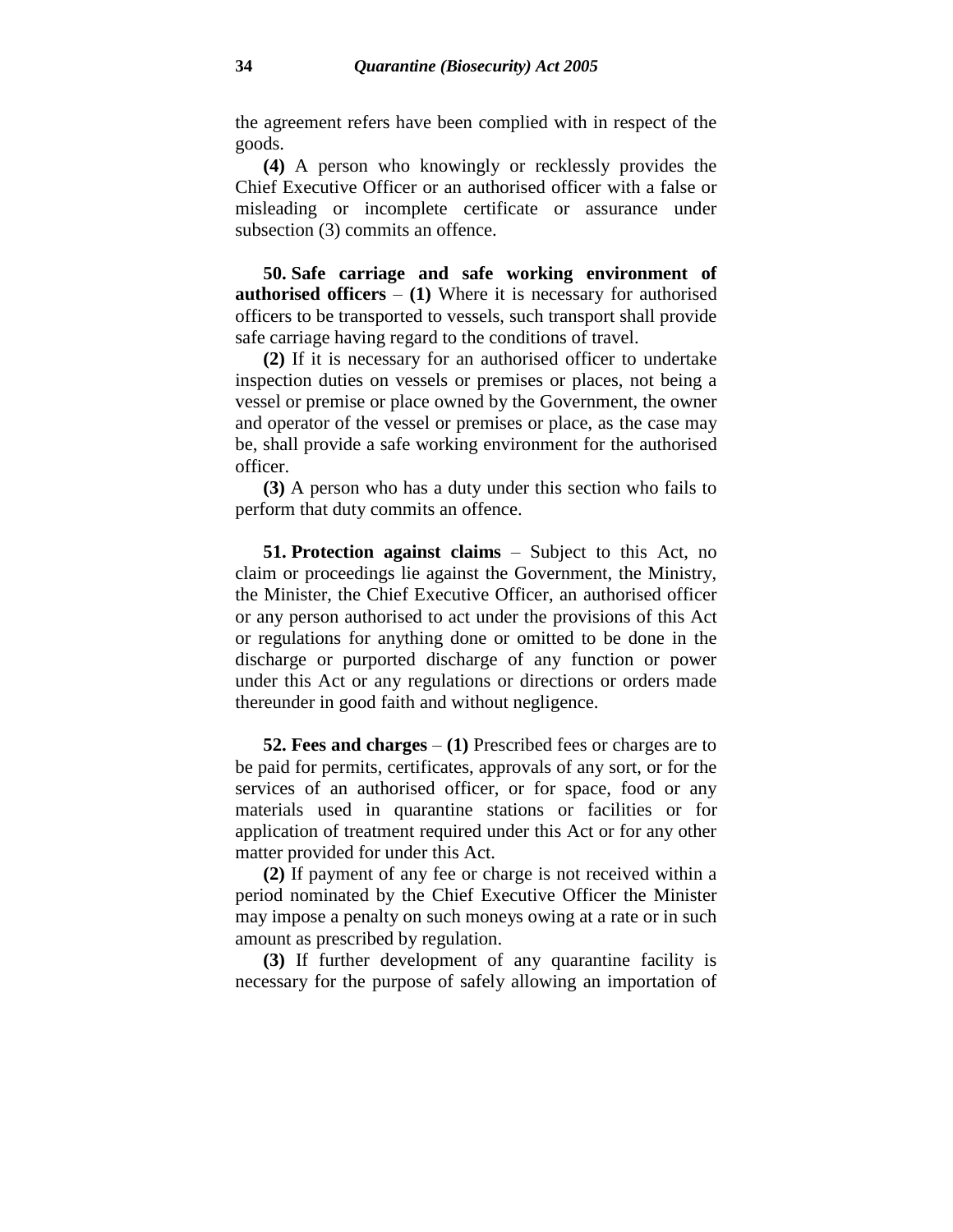the agreement refers have been complied with in respect of the goods.

**(4)** A person who knowingly or recklessly provides the Chief Executive Officer or an authorised officer with a false or misleading or incomplete certificate or assurance under subsection (3) commits an offence.

**50. Safe carriage and safe working environment of authorised officers** – **(1)** Where it is necessary for authorised officers to be transported to vessels, such transport shall provide safe carriage having regard to the conditions of travel.

**(2)** If it is necessary for an authorised officer to undertake inspection duties on vessels or premises or places, not being a vessel or premise or place owned by the Government, the owner and operator of the vessel or premises or place, as the case may be, shall provide a safe working environment for the authorised officer.

**(3)** A person who has a duty under this section who fails to perform that duty commits an offence.

**51. Protection against claims** – Subject to this Act, no claim or proceedings lie against the Government, the Ministry, the Minister, the Chief Executive Officer, an authorised officer or any person authorised to act under the provisions of this Act or regulations for anything done or omitted to be done in the discharge or purported discharge of any function or power under this Act or any regulations or directions or orders made thereunder in good faith and without negligence.

**52. Fees and charges** – **(1)** Prescribed fees or charges are to be paid for permits, certificates, approvals of any sort, or for the services of an authorised officer, or for space, food or any materials used in quarantine stations or facilities or for application of treatment required under this Act or for any other matter provided for under this Act.

**(2)** If payment of any fee or charge is not received within a period nominated by the Chief Executive Officer the Minister may impose a penalty on such moneys owing at a rate or in such amount as prescribed by regulation.

**(3)** If further development of any quarantine facility is necessary for the purpose of safely allowing an importation of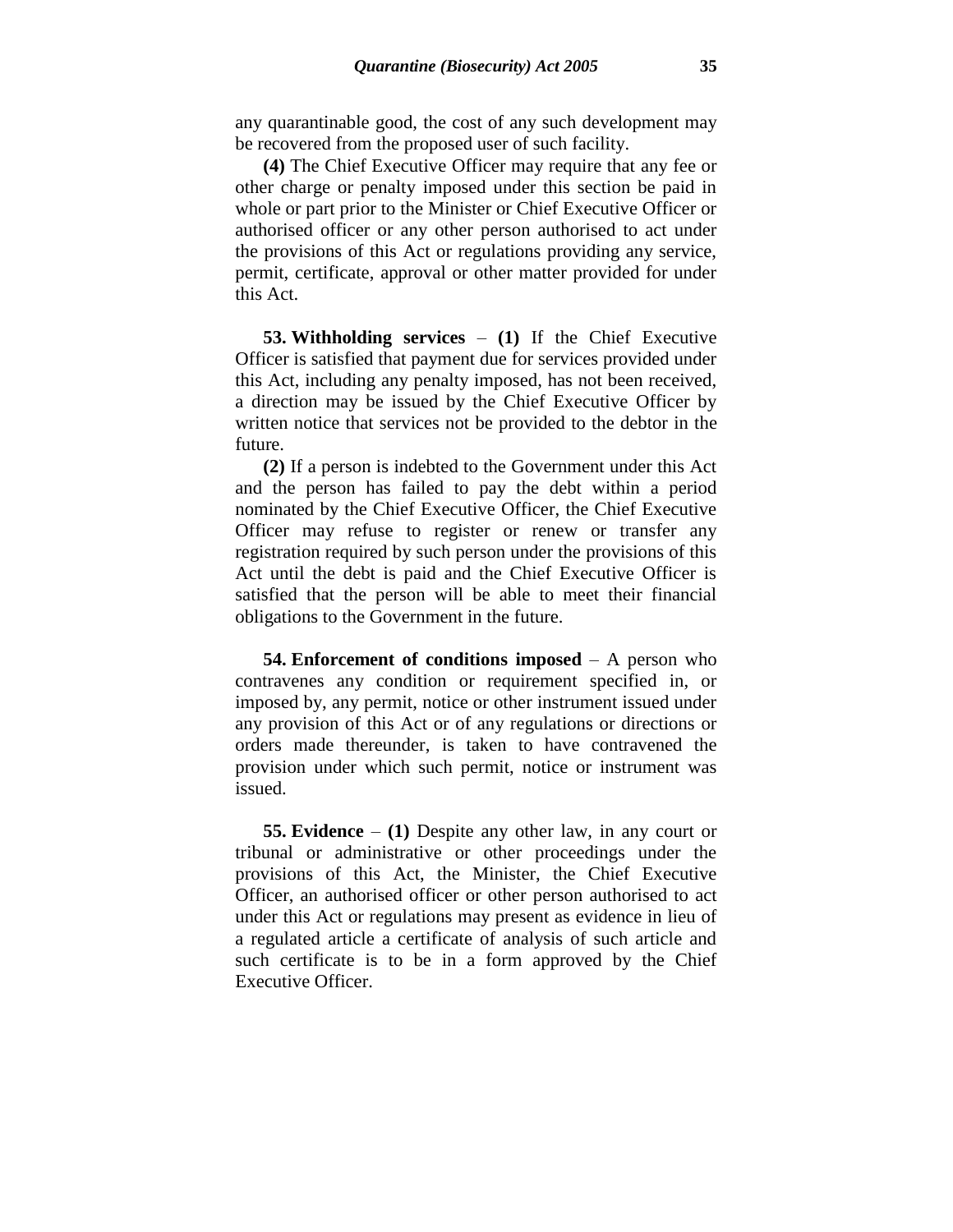any quarantinable good, the cost of any such development may be recovered from the proposed user of such facility.

**(4)** The Chief Executive Officer may require that any fee or other charge or penalty imposed under this section be paid in whole or part prior to the Minister or Chief Executive Officer or authorised officer or any other person authorised to act under the provisions of this Act or regulations providing any service, permit, certificate, approval or other matter provided for under this Act.

**53. Withholding services** – **(1)** If the Chief Executive Officer is satisfied that payment due for services provided under this Act, including any penalty imposed, has not been received, a direction may be issued by the Chief Executive Officer by written notice that services not be provided to the debtor in the future.

**(2)** If a person is indebted to the Government under this Act and the person has failed to pay the debt within a period nominated by the Chief Executive Officer, the Chief Executive Officer may refuse to register or renew or transfer any registration required by such person under the provisions of this Act until the debt is paid and the Chief Executive Officer is satisfied that the person will be able to meet their financial obligations to the Government in the future.

**54. Enforcement of conditions imposed** – A person who contravenes any condition or requirement specified in, or imposed by, any permit, notice or other instrument issued under any provision of this Act or of any regulations or directions or orders made thereunder, is taken to have contravened the provision under which such permit, notice or instrument was issued.

**55. Evidence** – **(1)** Despite any other law, in any court or tribunal or administrative or other proceedings under the provisions of this Act, the Minister, the Chief Executive Officer, an authorised officer or other person authorised to act under this Act or regulations may present as evidence in lieu of a regulated article a certificate of analysis of such article and such certificate is to be in a form approved by the Chief Executive Officer.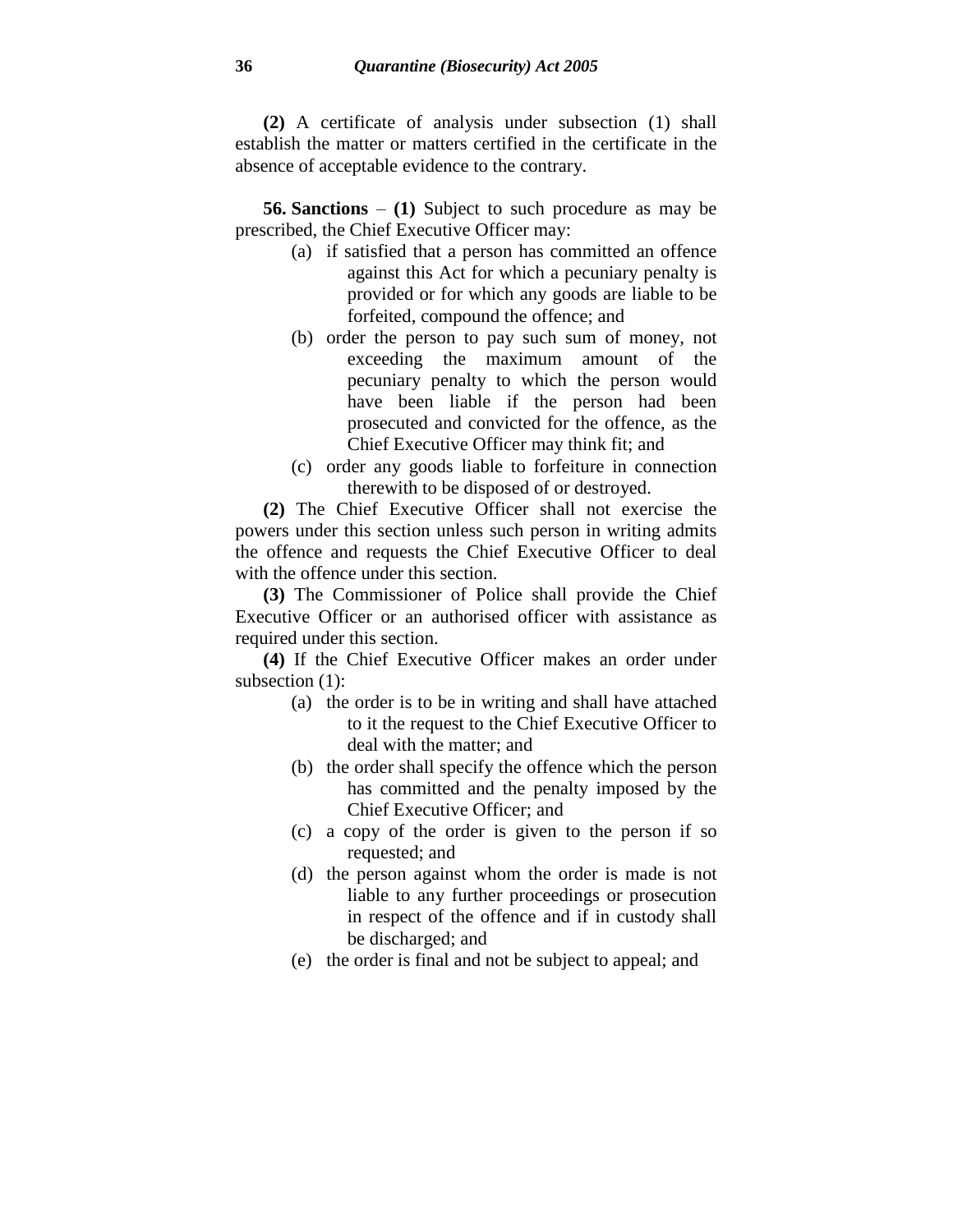**(2)** A certificate of analysis under subsection (1) shall establish the matter or matters certified in the certificate in the absence of acceptable evidence to the contrary.

**56. Sanctions** – **(1)** Subject to such procedure as may be prescribed, the Chief Executive Officer may:

- (a) if satisfied that a person has committed an offence against this Act for which a pecuniary penalty is provided or for which any goods are liable to be forfeited, compound the offence; and
- (b) order the person to pay such sum of money, not exceeding the maximum amount of the pecuniary penalty to which the person would have been liable if the person had been prosecuted and convicted for the offence, as the Chief Executive Officer may think fit; and
- (c) order any goods liable to forfeiture in connection therewith to be disposed of or destroyed.

**(2)** The Chief Executive Officer shall not exercise the powers under this section unless such person in writing admits the offence and requests the Chief Executive Officer to deal with the offence under this section.

**(3)** The Commissioner of Police shall provide the Chief Executive Officer or an authorised officer with assistance as required under this section.

**(4)** If the Chief Executive Officer makes an order under subsection (1):

- (a) the order is to be in writing and shall have attached to it the request to the Chief Executive Officer to deal with the matter; and
- (b) the order shall specify the offence which the person has committed and the penalty imposed by the Chief Executive Officer; and
- (c) a copy of the order is given to the person if so requested; and
- (d) the person against whom the order is made is not liable to any further proceedings or prosecution in respect of the offence and if in custody shall be discharged; and
- (e) the order is final and not be subject to appeal; and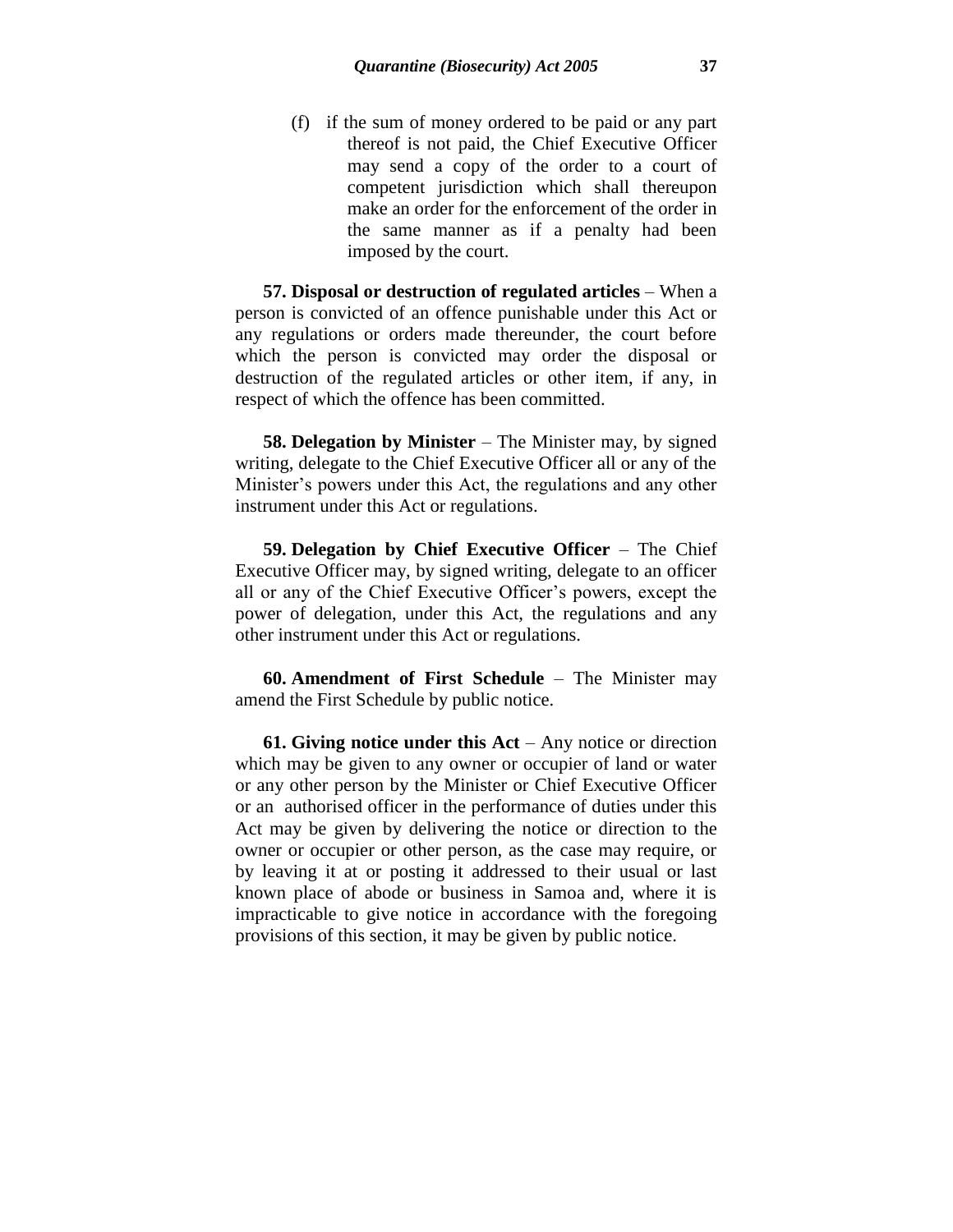(f) if the sum of money ordered to be paid or any part thereof is not paid, the Chief Executive Officer may send a copy of the order to a court of competent jurisdiction which shall thereupon make an order for the enforcement of the order in the same manner as if a penalty had been imposed by the court.

**57. Disposal or destruction of regulated articles** – When a person is convicted of an offence punishable under this Act or any regulations or orders made thereunder, the court before which the person is convicted may order the disposal or destruction of the regulated articles or other item, if any, in respect of which the offence has been committed.

**58. Delegation by Minister** – The Minister may, by signed writing, delegate to the Chief Executive Officer all or any of the Minister's powers under this Act, the regulations and any other instrument under this Act or regulations.

**59. Delegation by Chief Executive Officer** – The Chief Executive Officer may, by signed writing, delegate to an officer all or any of the Chief Executive Officer's powers, except the power of delegation, under this Act, the regulations and any other instrument under this Act or regulations.

**60. Amendment of First Schedule** – The Minister may amend the First Schedule by public notice.

**61. Giving notice under this Act** – Any notice or direction which may be given to any owner or occupier of land or water or any other person by the Minister or Chief Executive Officer or an authorised officer in the performance of duties under this Act may be given by delivering the notice or direction to the owner or occupier or other person, as the case may require, or by leaving it at or posting it addressed to their usual or last known place of abode or business in Samoa and, where it is impracticable to give notice in accordance with the foregoing provisions of this section, it may be given by public notice.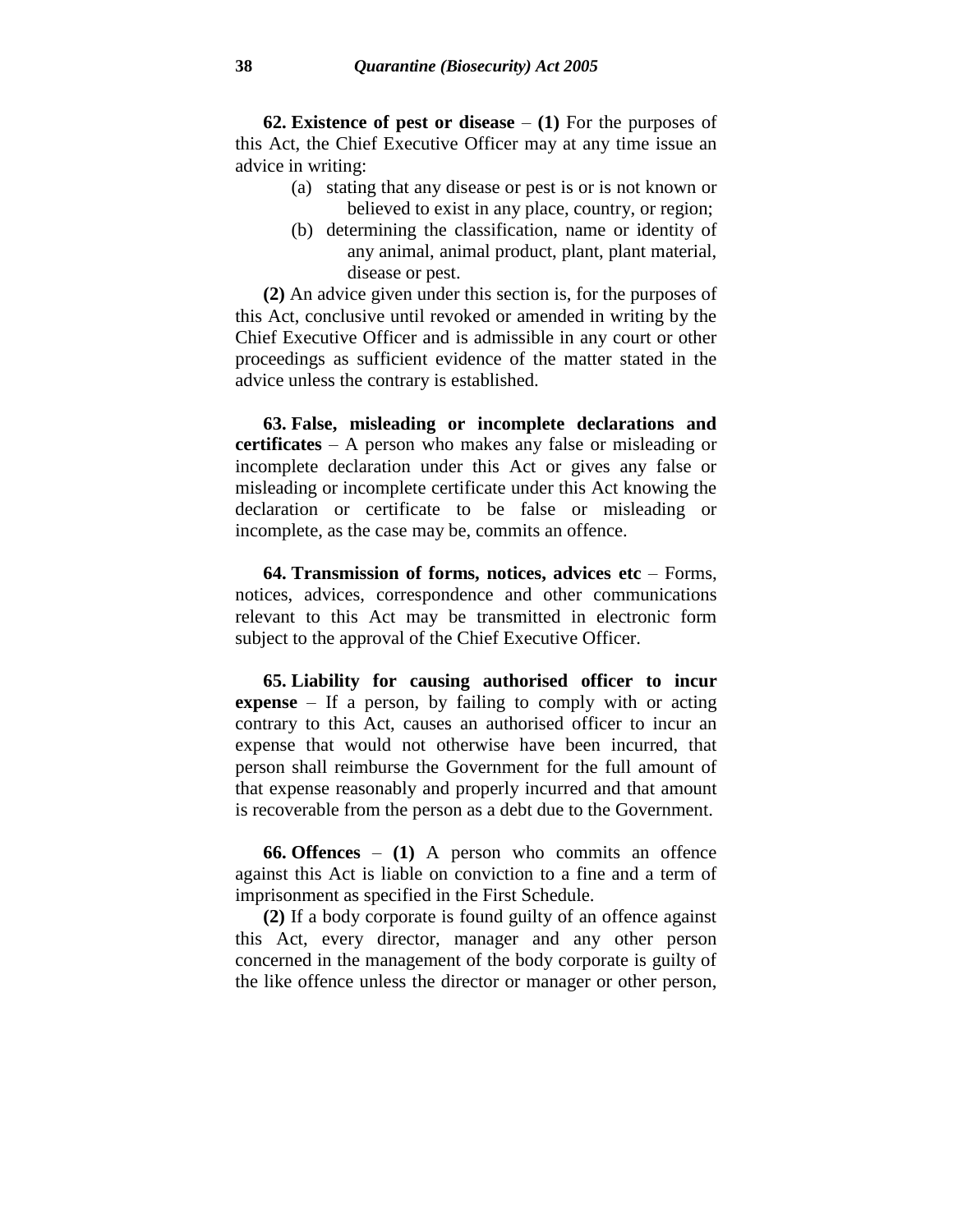**62. Existence of pest or disease** – **(1)** For the purposes of this Act, the Chief Executive Officer may at any time issue an advice in writing:

- (a) stating that any disease or pest is or is not known or believed to exist in any place, country, or region;
- (b) determining the classification, name or identity of any animal, animal product, plant, plant material, disease or pest.

**(2)** An advice given under this section is, for the purposes of this Act, conclusive until revoked or amended in writing by the Chief Executive Officer and is admissible in any court or other proceedings as sufficient evidence of the matter stated in the advice unless the contrary is established.

**63. False, misleading or incomplete declarations and certificates** – A person who makes any false or misleading or incomplete declaration under this Act or gives any false or misleading or incomplete certificate under this Act knowing the declaration or certificate to be false or misleading or incomplete, as the case may be, commits an offence.

**64. Transmission of forms, notices, advices etc** – Forms, notices, advices, correspondence and other communications relevant to this Act may be transmitted in electronic form subject to the approval of the Chief Executive Officer.

**65. Liability for causing authorised officer to incur expense** – If a person, by failing to comply with or acting contrary to this Act, causes an authorised officer to incur an expense that would not otherwise have been incurred, that person shall reimburse the Government for the full amount of that expense reasonably and properly incurred and that amount is recoverable from the person as a debt due to the Government.

**66. Offences** – **(1)** A person who commits an offence against this Act is liable on conviction to a fine and a term of imprisonment as specified in the First Schedule.

**(2)** If a body corporate is found guilty of an offence against this Act, every director, manager and any other person concerned in the management of the body corporate is guilty of the like offence unless the director or manager or other person,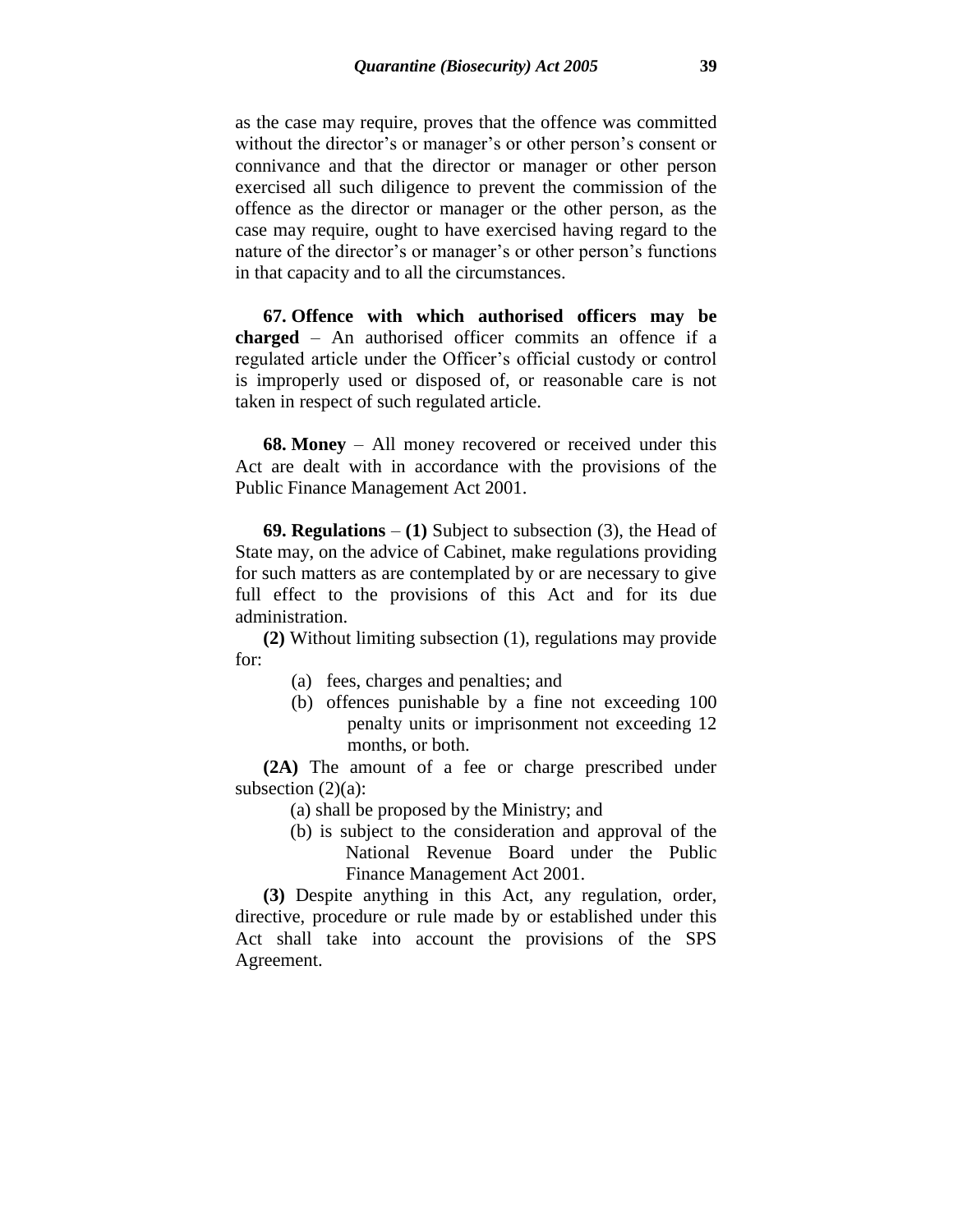as the case may require, proves that the offence was committed without the director's or manager's or other person's consent or connivance and that the director or manager or other person exercised all such diligence to prevent the commission of the offence as the director or manager or the other person, as the case may require, ought to have exercised having regard to the nature of the director's or manager's or other person's functions in that capacity and to all the circumstances.

**67. Offence with which authorised officers may be charged** – An authorised officer commits an offence if a regulated article under the Officer's official custody or control is improperly used or disposed of, or reasonable care is not taken in respect of such regulated article.

**68. Money** – All money recovered or received under this Act are dealt with in accordance with the provisions of the Public Finance Management Act 2001.

**69. Regulations** – **(1)** Subject to subsection (3), the Head of State may, on the advice of Cabinet, make regulations providing for such matters as are contemplated by or are necessary to give full effect to the provisions of this Act and for its due administration.

**(2)** Without limiting subsection (1), regulations may provide for:

- (a) fees, charges and penalties; and
- (b) offences punishable by a fine not exceeding 100 penalty units or imprisonment not exceeding 12 months, or both.

**(2A)** The amount of a fee or charge prescribed under subsection  $(2)(a)$ :

- (a) shall be proposed by the Ministry; and
- (b) is subject to the consideration and approval of the National Revenue Board under the Public Finance Management Act 2001.

**(3)** Despite anything in this Act, any regulation, order, directive, procedure or rule made by or established under this Act shall take into account the provisions of the SPS Agreement.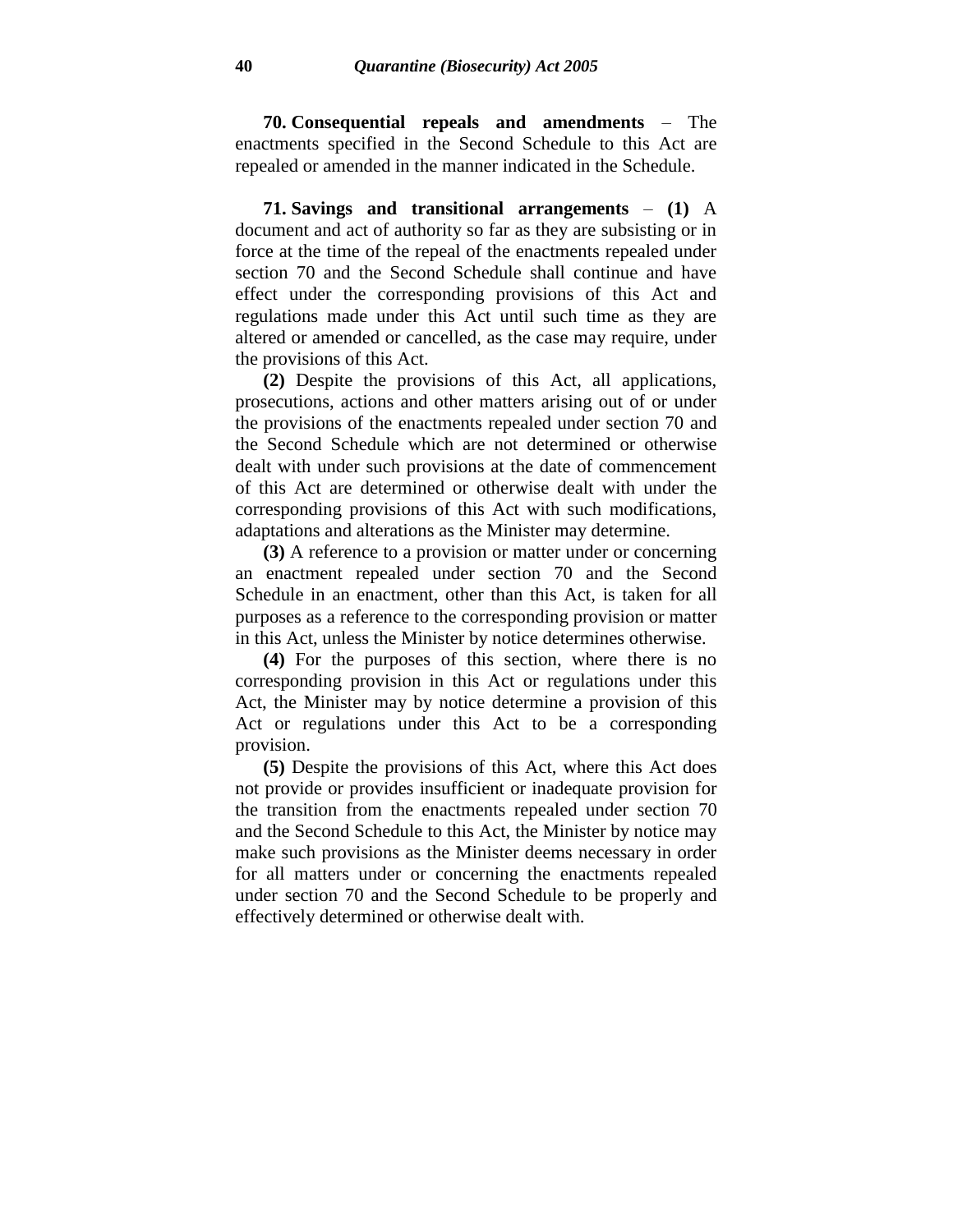**70. Consequential repeals and amendments** – The enactments specified in the Second Schedule to this Act are repealed or amended in the manner indicated in the Schedule.

**71. Savings and transitional arrangements** – **(1)** A document and act of authority so far as they are subsisting or in force at the time of the repeal of the enactments repealed under section 70 and the Second Schedule shall continue and have effect under the corresponding provisions of this Act and regulations made under this Act until such time as they are altered or amended or cancelled, as the case may require, under the provisions of this Act.

**(2)** Despite the provisions of this Act, all applications, prosecutions, actions and other matters arising out of or under the provisions of the enactments repealed under section 70 and the Second Schedule which are not determined or otherwise dealt with under such provisions at the date of commencement of this Act are determined or otherwise dealt with under the corresponding provisions of this Act with such modifications, adaptations and alterations as the Minister may determine.

**(3)** A reference to a provision or matter under or concerning an enactment repealed under section 70 and the Second Schedule in an enactment, other than this Act, is taken for all purposes as a reference to the corresponding provision or matter in this Act, unless the Minister by notice determines otherwise.

**(4)** For the purposes of this section, where there is no corresponding provision in this Act or regulations under this Act, the Minister may by notice determine a provision of this Act or regulations under this Act to be a corresponding provision.

**(5)** Despite the provisions of this Act, where this Act does not provide or provides insufficient or inadequate provision for the transition from the enactments repealed under section 70 and the Second Schedule to this Act, the Minister by notice may make such provisions as the Minister deems necessary in order for all matters under or concerning the enactments repealed under section 70 and the Second Schedule to be properly and effectively determined or otherwise dealt with.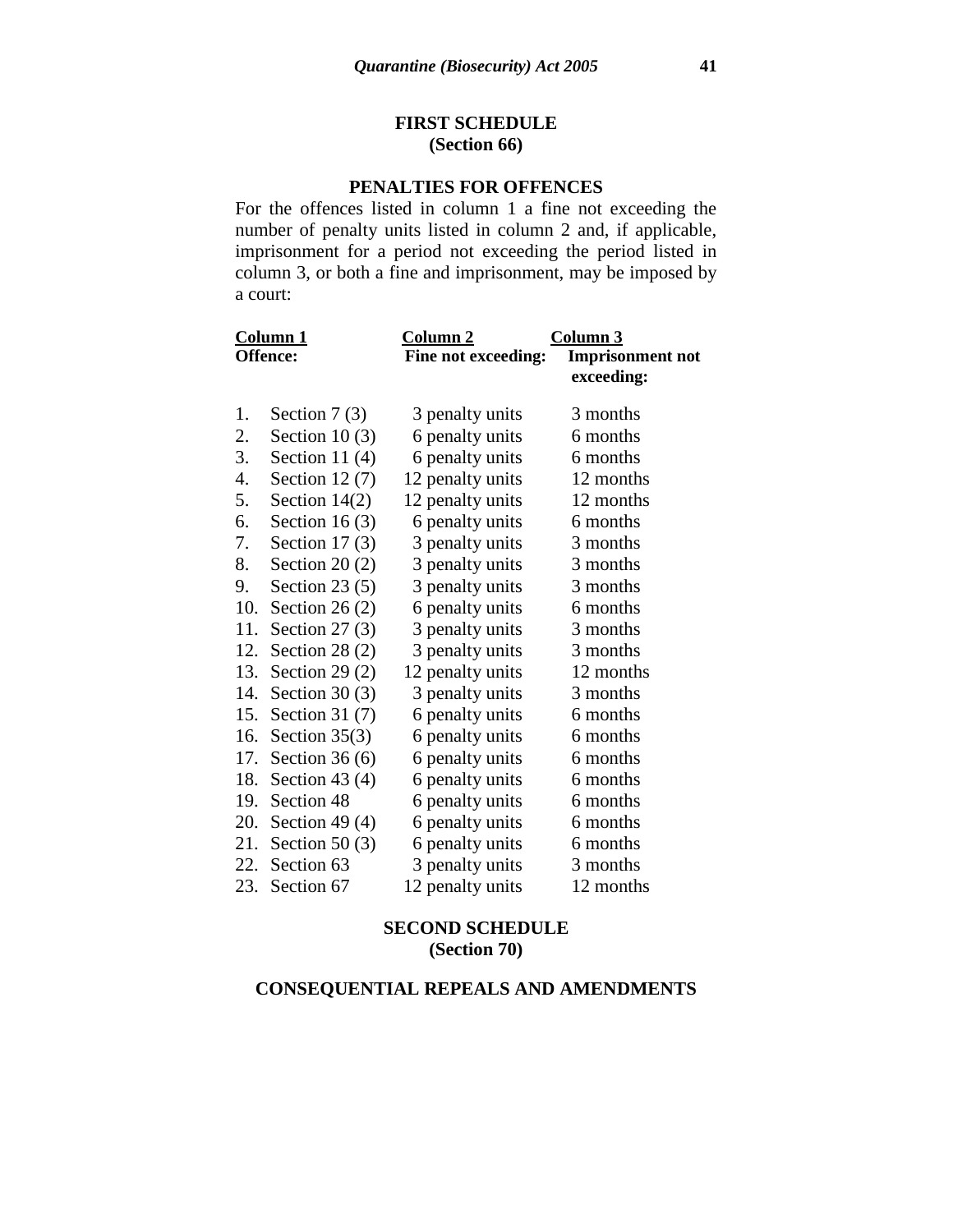### **FIRST SCHEDULE (Section 66)**

### **PENALTIES FOR OFFENCES**

For the offences listed in column 1 a fine not exceeding the number of penalty units listed in column 2 and, if applicable, imprisonment for a period not exceeding the period listed in column 3, or both a fine and imprisonment, may be imposed by a court:

| <u>Column 1</u> |                    | Column 2            | Column 3                |
|-----------------|--------------------|---------------------|-------------------------|
| <b>Offence:</b> |                    | Fine not exceeding: | <b>Imprisonment not</b> |
|                 |                    |                     | exceeding:              |
|                 |                    |                     |                         |
| 1.              | Section $7(3)$     | 3 penalty units     | 3 months                |
| 2.              | Section 10 $(3)$   | 6 penalty units     | 6 months                |
| 3.              | Section 11 $(4)$   | 6 penalty units     | 6 months                |
| 4.              | Section 12 $(7)$   | 12 penalty units    | 12 months               |
| 5.              | Section $14(2)$    | 12 penalty units    | 12 months               |
| 6.              | Section 16 $(3)$   | 6 penalty units     | 6 months                |
| 7.              | Section 17 $(3)$   | 3 penalty units     | 3 months                |
| 8.              | Section $20(2)$    | 3 penalty units     | 3 months                |
| 9.              | Section $23(5)$    | 3 penalty units     | 3 months                |
| 10.             | Section 26 $(2)$   | 6 penalty units     | 6 months                |
| 11.             | Section 27 $(3)$   | 3 penalty units     | 3 months                |
|                 | 12. Section 28 (2) | 3 penalty units     | 3 months                |
|                 | 13. Section 29 (2) | 12 penalty units    | 12 months               |
|                 | 14. Section 30 (3) | 3 penalty units     | 3 months                |
|                 | 15. Section 31 (7) | 6 penalty units     | 6 months                |
|                 | 16. Section 35(3)  | 6 penalty units     | 6 months                |
|                 | 17. Section 36 (6) | 6 penalty units     | 6 months                |
|                 | 18. Section 43 (4) | 6 penalty units     | 6 months                |
| 19.             | Section 48         | 6 penalty units     | 6 months                |
|                 | 20. Section 49 (4) | 6 penalty units     | 6 months                |
|                 | 21. Section 50 (3) | 6 penalty units     | 6 months                |
|                 | 22. Section 63     | 3 penalty units     | 3 months                |
|                 | 23. Section 67     | 12 penalty units    | 12 months               |

### **SECOND SCHEDULE (Section 70)**

## **CONSEQUENTIAL REPEALS AND AMENDMENTS**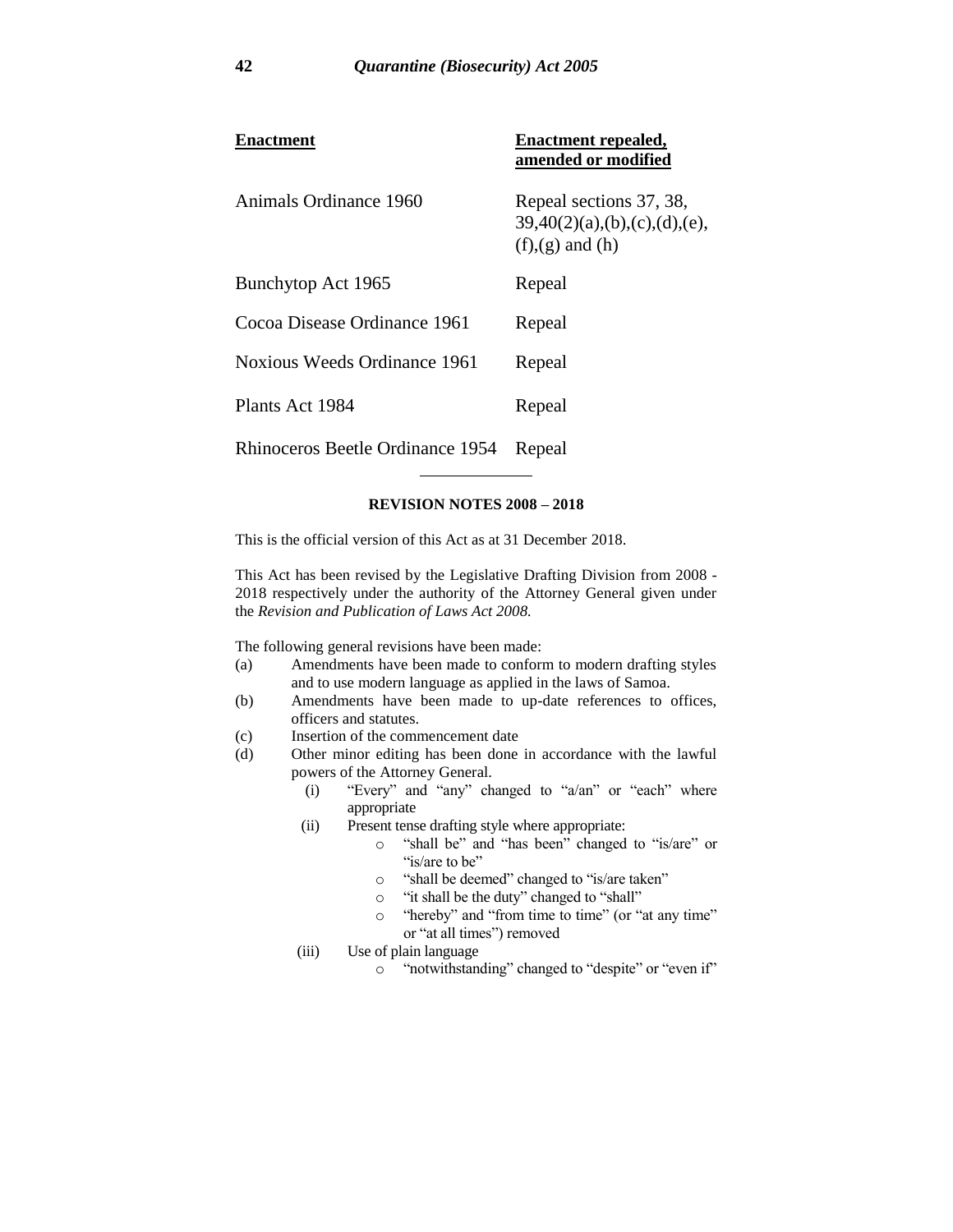| Enactment                        | <b>Enactment repealed,</b><br>amended or modified                              |
|----------------------------------|--------------------------------------------------------------------------------|
| Animals Ordinance 1960           | Repeal sections 37, 38,<br>39,40(2)(a),(b),(c),(d),(e),<br>$(f),(g)$ and $(h)$ |
| Bunchytop Act 1965               | Repeal                                                                         |
| Cocoa Disease Ordinance 1961     | Repeal                                                                         |
| Noxious Weeds Ordinance 1961     | Repeal                                                                         |
| Plants Act 1984                  | Repeal                                                                         |
| Rhinoceros Beetle Ordinance 1954 | Repeal                                                                         |

#### **REVISION NOTES 2008 – 2018**

This is the official version of this Act as at 31 December 2018.

This Act has been revised by the Legislative Drafting Division from 2008 - 2018 respectively under the authority of the Attorney General given under the *Revision and Publication of Laws Act 2008.*

The following general revisions have been made:

- (a) Amendments have been made to conform to modern drafting styles and to use modern language as applied in the laws of Samoa.
- (b) Amendments have been made to up-date references to offices, officers and statutes.
- (c) Insertion of the commencement date
- (d) Other minor editing has been done in accordance with the lawful powers of the Attorney General.
	- (i) "Every" and "any" changed to "a/an" or "each" where appropriate
	- (ii) Present tense drafting style where appropriate:
		- o "shall be" and "has been" changed to "is/are" or "is/are to be"
		- o "shall be deemed" changed to "is/are taken"
		- o "it shall be the duty" changed to "shall"
		- o "hereby" and "from time to time" (or "at any time" or "at all times") removed
	- (iii) Use of plain language
		- o "notwithstanding" changed to "despite" or "even if"